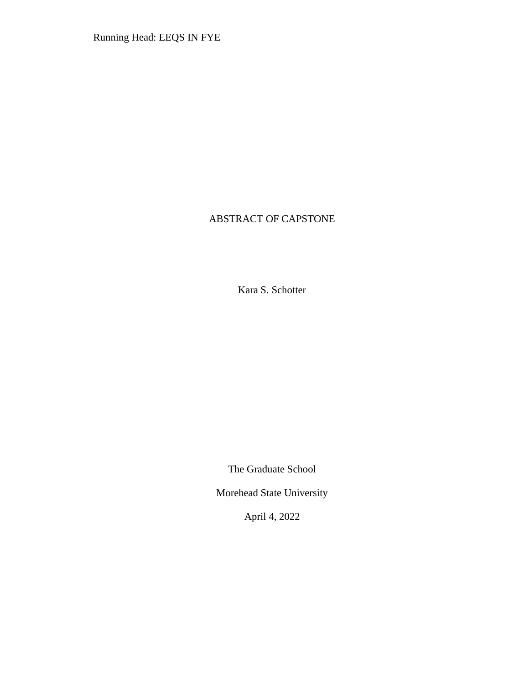Running Head: EEQS IN FYE

# ABSTRACT OF CAPSTONE

Kara S. Schotter

The Graduate School

Morehead State University

April 4, 2022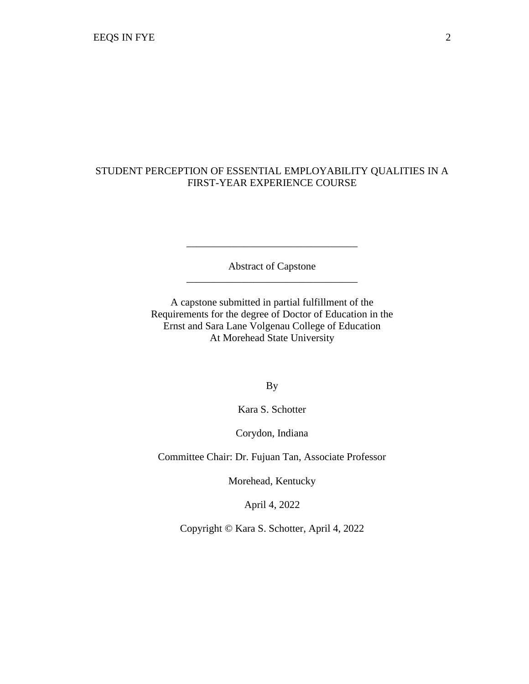# STUDENT PERCEPTION OF ESSENTIAL EMPLOYABILITY QUALITIES IN A FIRST-YEAR EXPERIENCE COURSE

Abstract of Capstone \_\_\_\_\_\_\_\_\_\_\_\_\_\_\_\_\_\_\_\_\_\_\_\_\_\_\_\_\_\_\_\_\_

\_\_\_\_\_\_\_\_\_\_\_\_\_\_\_\_\_\_\_\_\_\_\_\_\_\_\_\_\_\_\_\_\_

A capstone submitted in partial fulfillment of the Requirements for the degree of Doctor of Education in the Ernst and Sara Lane Volgenau College of Education At Morehead State University

By

Kara S. Schotter

Corydon, Indiana

Committee Chair: Dr. Fujuan Tan, Associate Professor

Morehead, Kentucky

April 4, 2022

Copyright © Kara S. Schotter, April 4, 2022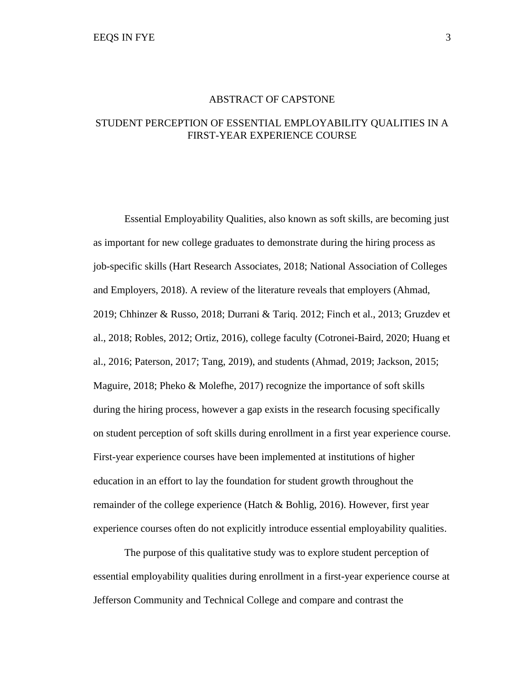### ABSTRACT OF CAPSTONE

## STUDENT PERCEPTION OF ESSENTIAL EMPLOYABILITY QUALITIES IN A FIRST-YEAR EXPERIENCE COURSE

Essential Employability Qualities, also known as soft skills, are becoming just as important for new college graduates to demonstrate during the hiring process as job-specific skills (Hart Research Associates, 2018; National Association of Colleges and Employers, 2018). A review of the literature reveals that employers (Ahmad, 2019; Chhinzer & Russo, 2018; Durrani & Tariq. 2012; Finch et al., 2013; Gruzdev et al., 2018; Robles, 2012; Ortiz, 2016), college faculty (Cotronei-Baird, 2020; Huang et al., 2016; Paterson, 2017; Tang, 2019), and students (Ahmad, 2019; Jackson, 2015; Maguire, 2018; Pheko & Molefhe, 2017) recognize the importance of soft skills during the hiring process, however a gap exists in the research focusing specifically on student perception of soft skills during enrollment in a first year experience course. First-year experience courses have been implemented at institutions of higher education in an effort to lay the foundation for student growth throughout the remainder of the college experience (Hatch & Bohlig, 2016). However, first year experience courses often do not explicitly introduce essential employability qualities.

The purpose of this qualitative study was to explore student perception of essential employability qualities during enrollment in a first-year experience course at Jefferson Community and Technical College and compare and contrast the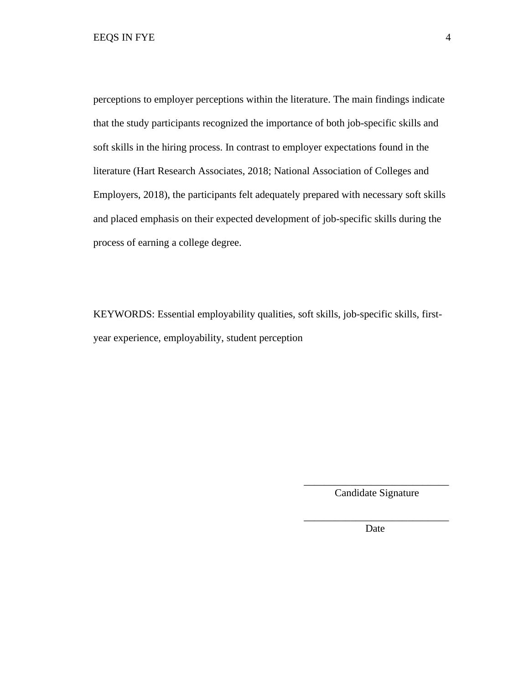perceptions to employer perceptions within the literature. The main findings indicate that the study participants recognized the importance of both job-specific skills and soft skills in the hiring process. In contrast to employer expectations found in the literature (Hart Research Associates, 2018; National Association of Colleges and Employers, 2018), the participants felt adequately prepared with necessary soft skills and placed emphasis on their expected development of job-specific skills during the process of earning a college degree.

KEYWORDS: Essential employability qualities, soft skills, job-specific skills, firstyear experience, employability, student perception

> \_\_\_\_\_\_\_\_\_\_\_\_\_\_\_\_\_\_\_\_\_\_\_\_\_\_\_\_ Candidate Signature

\_\_\_\_\_\_\_\_\_\_\_\_\_\_\_\_\_\_\_\_\_\_\_\_\_\_\_\_ **Date**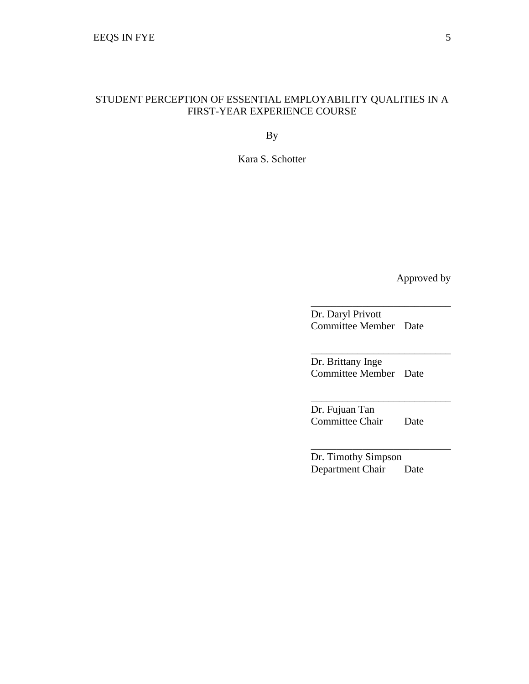## STUDENT PERCEPTION OF ESSENTIAL EMPLOYABILITY QUALITIES IN A FIRST-YEAR EXPERIENCE COURSE

By

Kara S. Schotter

Approved by

Dr. Daryl Privott Committee Member Date

\_\_\_\_\_\_\_\_\_\_\_\_\_\_\_\_\_\_\_\_\_\_\_\_\_\_\_

\_\_\_\_\_\_\_\_\_\_\_\_\_\_\_\_\_\_\_\_\_\_\_\_\_\_\_

\_\_\_\_\_\_\_\_\_\_\_\_\_\_\_\_\_\_\_\_\_\_\_\_\_\_\_

\_\_\_\_\_\_\_\_\_\_\_\_\_\_\_\_\_\_\_\_\_\_\_\_\_\_\_

Dr. Brittany Inge Committee Member Date

Dr. Fujuan Tan Committee Chair Date

Dr. Timothy Simpson Department Chair Date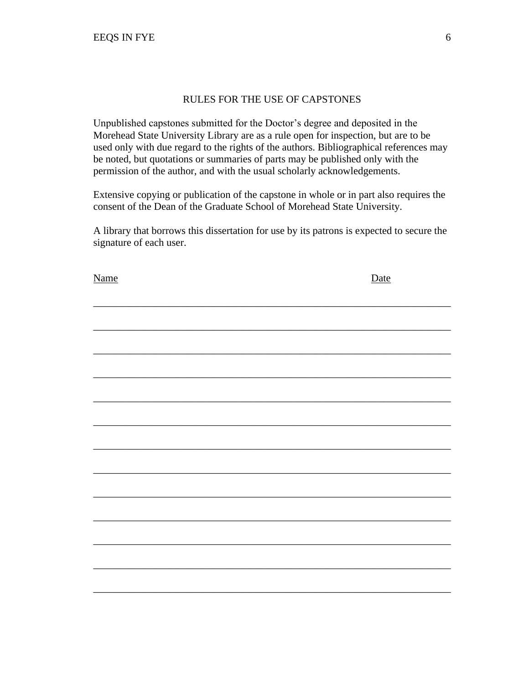## RULES FOR THE USE OF CAPSTONES

Unpublished capstones submitted for the Doctor's degree and deposited in the Morehead State University Library are as a rule open for inspection, but are to be used only with due regard to the rights of the authors. Bibliographical references may be noted, but quotations or summaries of parts may be published only with the permission of the author, and with the usual scholarly acknowledgements.

Extensive copying or publication of the capstone in whole or in part also requires the consent of the Dean of the Graduate School of Morehead State University.

A library that borrows this dissertation for use by its patrons is expected to secure the signature of each user.

| <b>Name</b> | Date |
|-------------|------|
|             |      |
|             |      |
|             |      |
|             |      |
|             |      |
|             |      |
|             |      |
|             |      |
|             |      |
|             |      |
|             |      |
|             |      |
|             |      |
|             |      |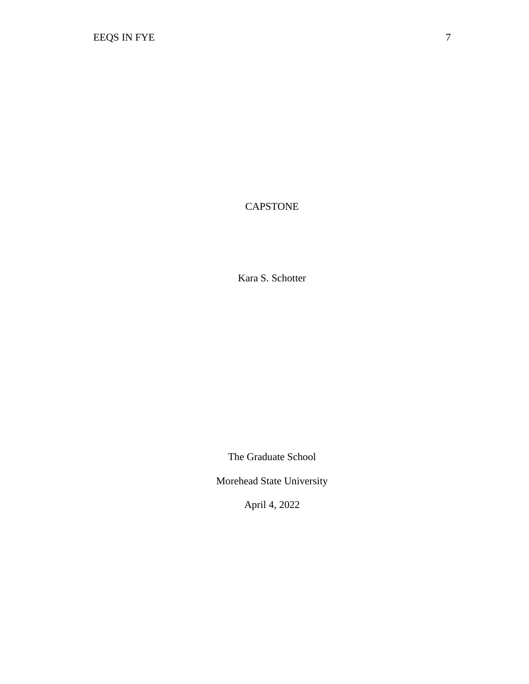CAPSTONE

Kara S. Schotter

The Graduate School

Morehead State University

April 4, 2022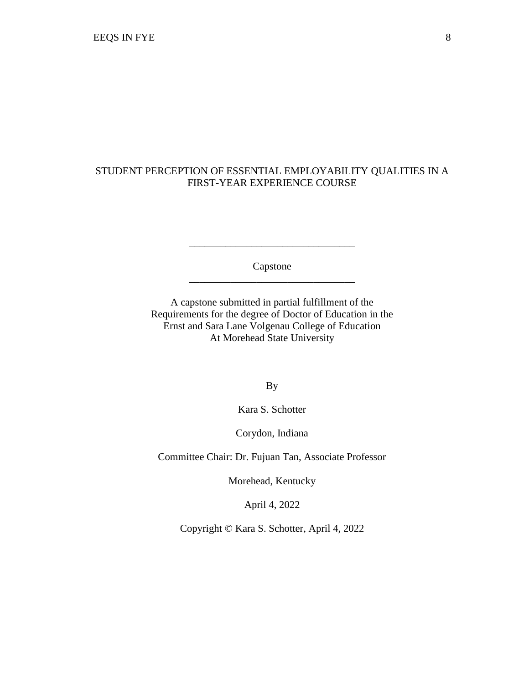# STUDENT PERCEPTION OF ESSENTIAL EMPLOYABILITY QUALITIES IN A FIRST-YEAR EXPERIENCE COURSE

Capstone \_\_\_\_\_\_\_\_\_\_\_\_\_\_\_\_\_\_\_\_\_\_\_\_\_\_\_\_\_\_\_\_

\_\_\_\_\_\_\_\_\_\_\_\_\_\_\_\_\_\_\_\_\_\_\_\_\_\_\_\_\_\_\_\_

A capstone submitted in partial fulfillment of the Requirements for the degree of Doctor of Education in the Ernst and Sara Lane Volgenau College of Education At Morehead State University

By

Kara S. Schotter

Corydon, Indiana

Committee Chair: Dr. Fujuan Tan, Associate Professor

Morehead, Kentucky

April 4, 2022

Copyright © Kara S. Schotter, April 4, 2022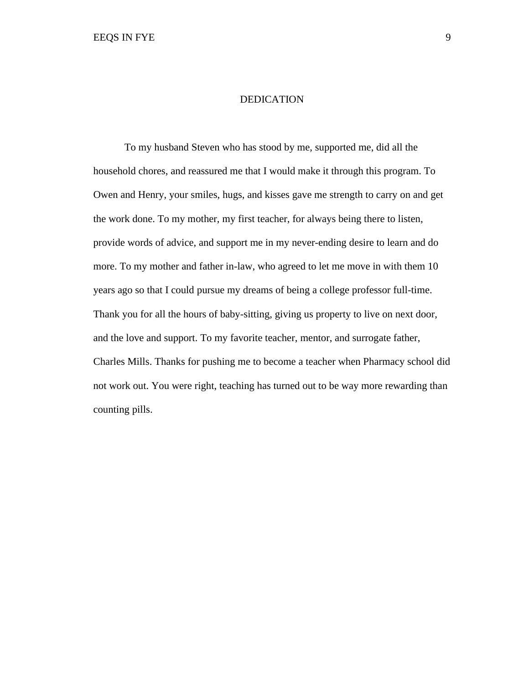### DEDICATION

To my husband Steven who has stood by me, supported me, did all the household chores, and reassured me that I would make it through this program. To Owen and Henry, your smiles, hugs, and kisses gave me strength to carry on and get the work done. To my mother, my first teacher, for always being there to listen, provide words of advice, and support me in my never-ending desire to learn and do more. To my mother and father in-law, who agreed to let me move in with them 10 years ago so that I could pursue my dreams of being a college professor full-time. Thank you for all the hours of baby-sitting, giving us property to live on next door, and the love and support. To my favorite teacher, mentor, and surrogate father, Charles Mills. Thanks for pushing me to become a teacher when Pharmacy school did not work out. You were right, teaching has turned out to be way more rewarding than counting pills.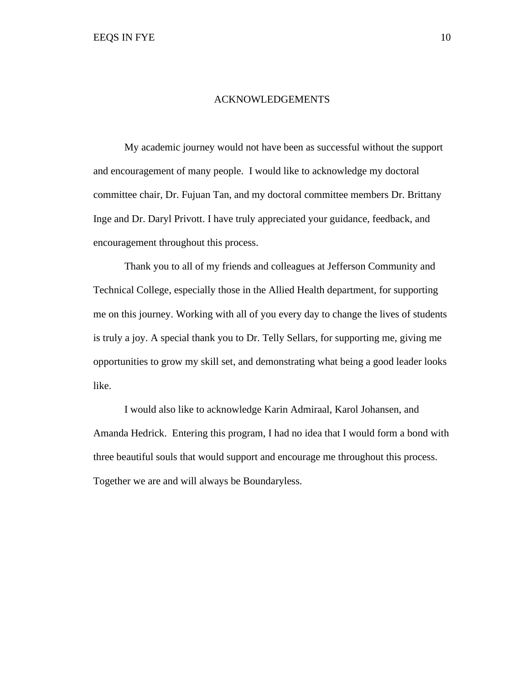#### ACKNOWLEDGEMENTS

My academic journey would not have been as successful without the support and encouragement of many people. I would like to acknowledge my doctoral committee chair, Dr. Fujuan Tan, and my doctoral committee members Dr. Brittany Inge and Dr. Daryl Privott. I have truly appreciated your guidance, feedback, and encouragement throughout this process.

Thank you to all of my friends and colleagues at Jefferson Community and Technical College, especially those in the Allied Health department, for supporting me on this journey. Working with all of you every day to change the lives of students is truly a joy. A special thank you to Dr. Telly Sellars, for supporting me, giving me opportunities to grow my skill set, and demonstrating what being a good leader looks like.

I would also like to acknowledge Karin Admiraal, Karol Johansen, and Amanda Hedrick. Entering this program, I had no idea that I would form a bond with three beautiful souls that would support and encourage me throughout this process. Together we are and will always be Boundaryless.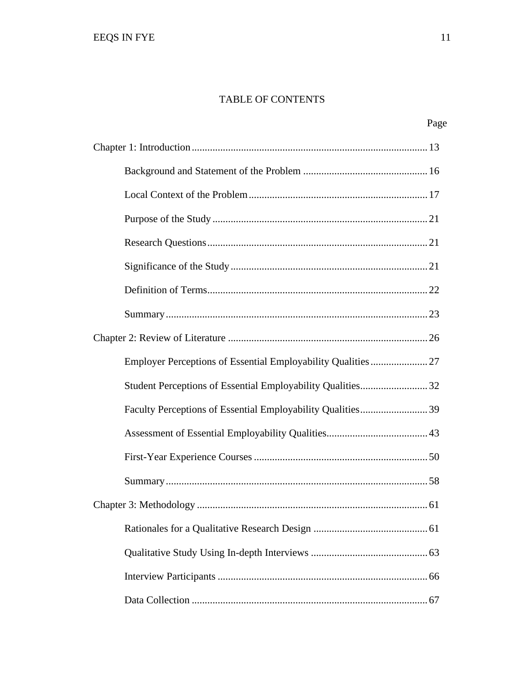## TABLE OF CONTENTS

| Page |  |
|------|--|
|      |  |
|      |  |
|      |  |
|      |  |
|      |  |
|      |  |
|      |  |
|      |  |
|      |  |
|      |  |
|      |  |
|      |  |
|      |  |
|      |  |
|      |  |
|      |  |
|      |  |
|      |  |
|      |  |
|      |  |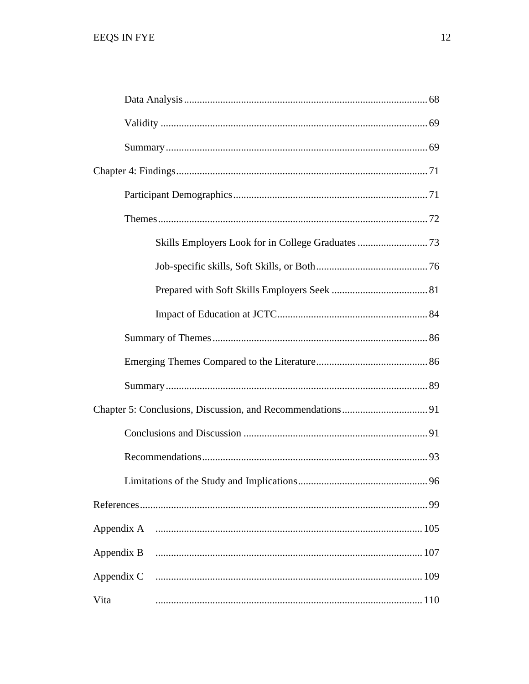| Appendix B |
|------------|
| Appendix C |
| Vita       |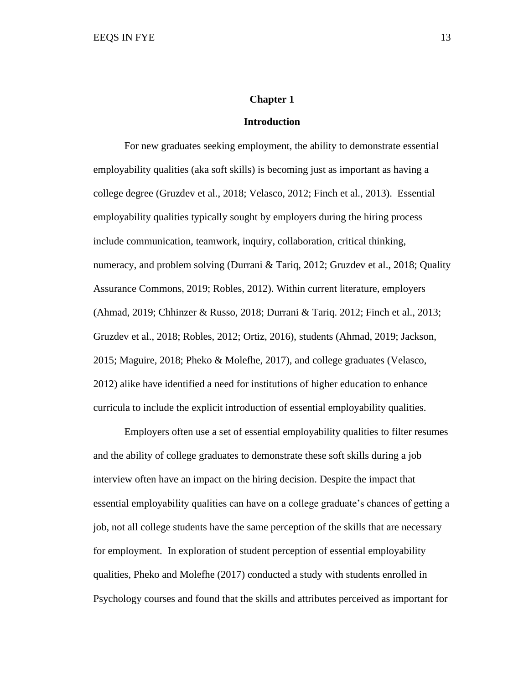#### **Chapter 1**

#### **Introduction**

For new graduates seeking employment, the ability to demonstrate essential employability qualities (aka soft skills) is becoming just as important as having a college degree (Gruzdev et al., 2018; Velasco, 2012; Finch et al., 2013). Essential employability qualities typically sought by employers during the hiring process include communication, teamwork, inquiry, collaboration, critical thinking, numeracy, and problem solving (Durrani & Tariq, 2012; Gruzdev et al., 2018; Quality Assurance Commons, 2019; Robles, 2012). Within current literature, employers (Ahmad, 2019; Chhinzer & Russo, 2018; Durrani & Tariq. 2012; Finch et al., 2013; Gruzdev et al., 2018; Robles, 2012; Ortiz, 2016), students (Ahmad, 2019; Jackson, 2015; Maguire, 2018; Pheko & Molefhe, 2017), and college graduates (Velasco, 2012) alike have identified a need for institutions of higher education to enhance curricula to include the explicit introduction of essential employability qualities.

Employers often use a set of essential employability qualities to filter resumes and the ability of college graduates to demonstrate these soft skills during a job interview often have an impact on the hiring decision. Despite the impact that essential employability qualities can have on a college graduate's chances of getting a job, not all college students have the same perception of the skills that are necessary for employment. In exploration of student perception of essential employability qualities, Pheko and Molefhe (2017) conducted a study with students enrolled in Psychology courses and found that the skills and attributes perceived as important for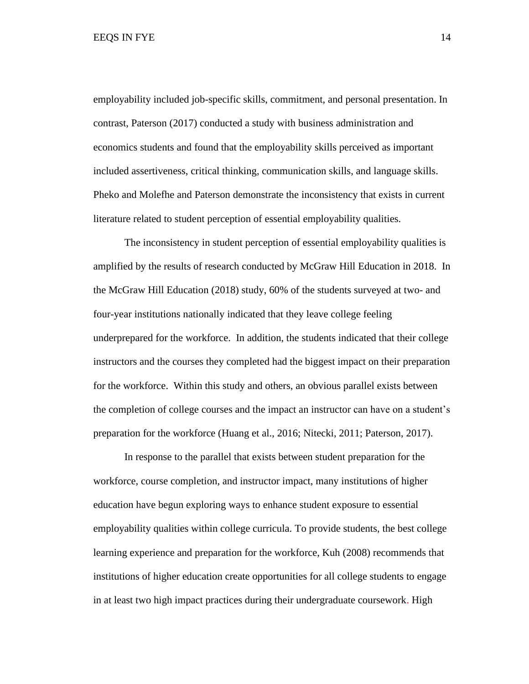employability included job-specific skills, commitment, and personal presentation. In contrast, Paterson (2017) conducted a study with business administration and economics students and found that the employability skills perceived as important included assertiveness, critical thinking, communication skills, and language skills. Pheko and Molefhe and Paterson demonstrate the inconsistency that exists in current literature related to student perception of essential employability qualities.

The inconsistency in student perception of essential employability qualities is amplified by the results of research conducted by McGraw Hill Education in 2018. In the McGraw Hill Education (2018) study, 60% of the students surveyed at two- and four-year institutions nationally indicated that they leave college feeling underprepared for the workforce. In addition, the students indicated that their college instructors and the courses they completed had the biggest impact on their preparation for the workforce. Within this study and others, an obvious parallel exists between the completion of college courses and the impact an instructor can have on a student's preparation for the workforce (Huang et al., 2016; Nitecki, 2011; Paterson, 2017).

In response to the parallel that exists between student preparation for the workforce, course completion, and instructor impact, many institutions of higher education have begun exploring ways to enhance student exposure to essential employability qualities within college curricula. To provide students, the best college learning experience and preparation for the workforce, Kuh (2008) recommends that institutions of higher education create opportunities for all college students to engage in at least two high impact practices during their undergraduate coursework. High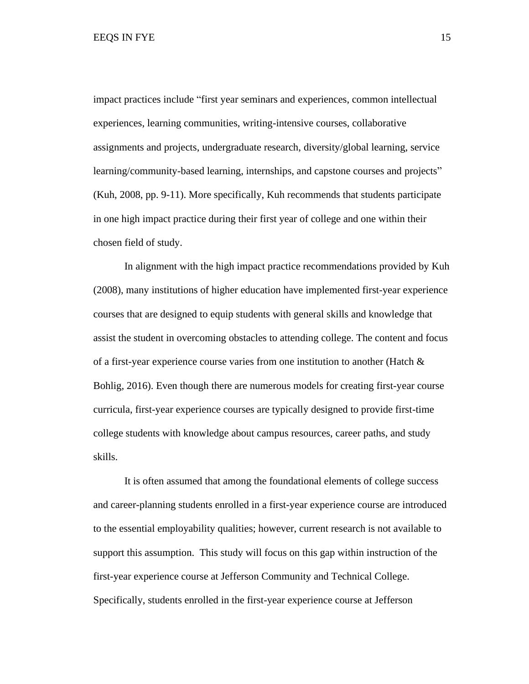impact practices include "first year seminars and experiences, common intellectual experiences, learning communities, writing-intensive courses, collaborative assignments and projects, undergraduate research, diversity/global learning, service learning/community-based learning, internships, and capstone courses and projects" (Kuh, 2008, pp. 9-11). More specifically, Kuh recommends that students participate in one high impact practice during their first year of college and one within their chosen field of study.

In alignment with the high impact practice recommendations provided by Kuh (2008), many institutions of higher education have implemented first-year experience courses that are designed to equip students with general skills and knowledge that assist the student in overcoming obstacles to attending college. The content and focus of a first-year experience course varies from one institution to another (Hatch  $\&$ Bohlig, 2016). Even though there are numerous models for creating first-year course curricula, first-year experience courses are typically designed to provide first-time college students with knowledge about campus resources, career paths, and study skills.

It is often assumed that among the foundational elements of college success and career-planning students enrolled in a first-year experience course are introduced to the essential employability qualities; however, current research is not available to support this assumption. This study will focus on this gap within instruction of the first-year experience course at Jefferson Community and Technical College. Specifically, students enrolled in the first-year experience course at Jefferson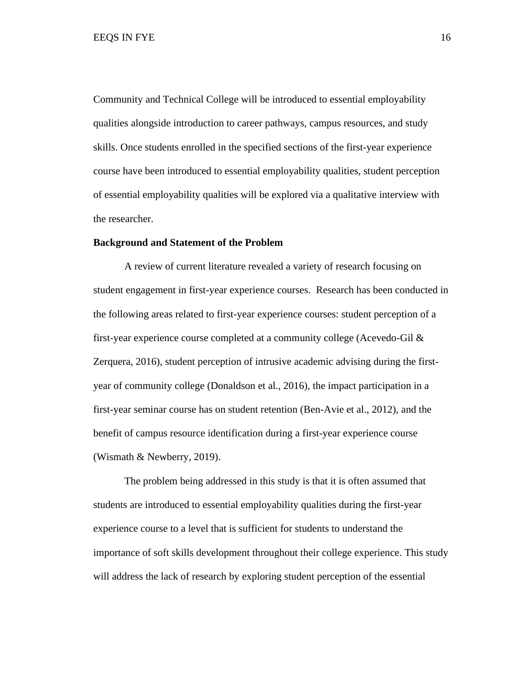Community and Technical College will be introduced to essential employability qualities alongside introduction to career pathways, campus resources, and study skills. Once students enrolled in the specified sections of the first-year experience course have been introduced to essential employability qualities, student perception of essential employability qualities will be explored via a qualitative interview with the researcher.

## **Background and Statement of the Problem**

A review of current literature revealed a variety of research focusing on student engagement in first-year experience courses. Research has been conducted in the following areas related to first-year experience courses: student perception of a first-year experience course completed at a community college (Acevedo-Gil & Zerquera, 2016), student perception of intrusive academic advising during the firstyear of community college (Donaldson et al., 2016), the impact participation in a first-year seminar course has on student retention (Ben-Avie et al., 2012), and the benefit of campus resource identification during a first-year experience course (Wismath & Newberry, 2019).

The problem being addressed in this study is that it is often assumed that students are introduced to essential employability qualities during the first-year experience course to a level that is sufficient for students to understand the importance of soft skills development throughout their college experience. This study will address the lack of research by exploring student perception of the essential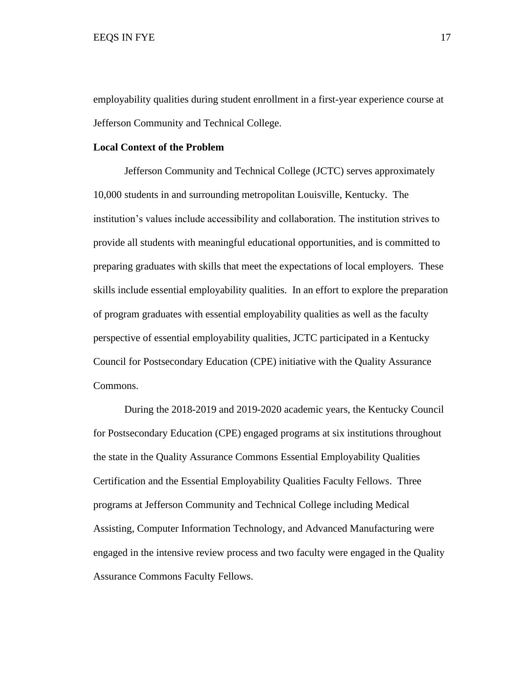employability qualities during student enrollment in a first-year experience course at Jefferson Community and Technical College.

## **Local Context of the Problem**

Jefferson Community and Technical College (JCTC) serves approximately 10,000 students in and surrounding metropolitan Louisville, Kentucky. The institution's values include accessibility and collaboration. The institution strives to provide all students with meaningful educational opportunities, and is committed to preparing graduates with skills that meet the expectations of local employers. These skills include essential employability qualities. In an effort to explore the preparation of program graduates with essential employability qualities as well as the faculty perspective of essential employability qualities, JCTC participated in a Kentucky Council for Postsecondary Education (CPE) initiative with the Quality Assurance Commons.

During the 2018-2019 and 2019-2020 academic years, the Kentucky Council for Postsecondary Education (CPE) engaged programs at six institutions throughout the state in the Quality Assurance Commons Essential Employability Qualities Certification and the Essential Employability Qualities Faculty Fellows. Three programs at Jefferson Community and Technical College including Medical Assisting, Computer Information Technology, and Advanced Manufacturing were engaged in the intensive review process and two faculty were engaged in the Quality Assurance Commons Faculty Fellows.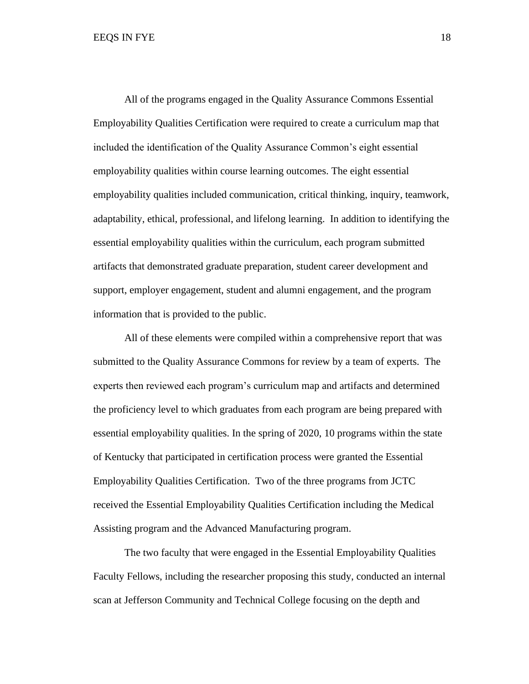All of the programs engaged in the Quality Assurance Commons Essential Employability Qualities Certification were required to create a curriculum map that included the identification of the Quality Assurance Common's eight essential employability qualities within course learning outcomes. The eight essential employability qualities included communication, critical thinking, inquiry, teamwork, adaptability, ethical, professional, and lifelong learning. In addition to identifying the essential employability qualities within the curriculum, each program submitted artifacts that demonstrated graduate preparation, student career development and support, employer engagement, student and alumni engagement, and the program information that is provided to the public.

All of these elements were compiled within a comprehensive report that was submitted to the Quality Assurance Commons for review by a team of experts. The experts then reviewed each program's curriculum map and artifacts and determined the proficiency level to which graduates from each program are being prepared with essential employability qualities. In the spring of 2020, 10 programs within the state of Kentucky that participated in certification process were granted the Essential Employability Qualities Certification. Two of the three programs from JCTC received the Essential Employability Qualities Certification including the Medical Assisting program and the Advanced Manufacturing program.

The two faculty that were engaged in the Essential Employability Qualities Faculty Fellows, including the researcher proposing this study, conducted an internal scan at Jefferson Community and Technical College focusing on the depth and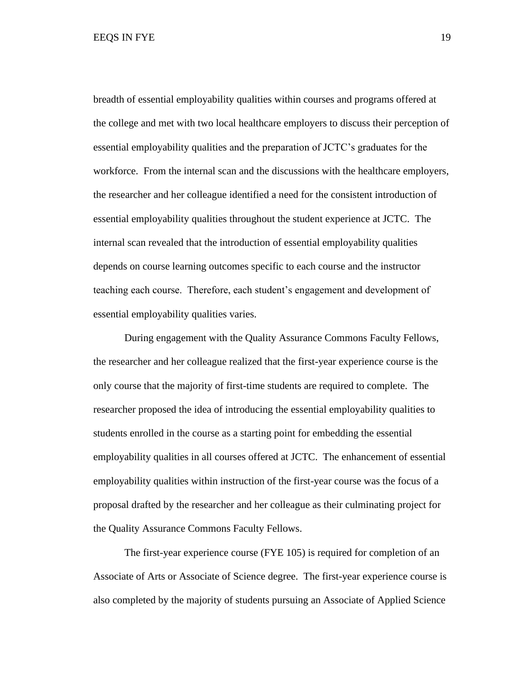breadth of essential employability qualities within courses and programs offered at the college and met with two local healthcare employers to discuss their perception of essential employability qualities and the preparation of JCTC's graduates for the workforce. From the internal scan and the discussions with the healthcare employers, the researcher and her colleague identified a need for the consistent introduction of essential employability qualities throughout the student experience at JCTC. The internal scan revealed that the introduction of essential employability qualities depends on course learning outcomes specific to each course and the instructor teaching each course. Therefore, each student's engagement and development of essential employability qualities varies.

During engagement with the Quality Assurance Commons Faculty Fellows, the researcher and her colleague realized that the first-year experience course is the only course that the majority of first-time students are required to complete. The researcher proposed the idea of introducing the essential employability qualities to students enrolled in the course as a starting point for embedding the essential employability qualities in all courses offered at JCTC. The enhancement of essential employability qualities within instruction of the first-year course was the focus of a proposal drafted by the researcher and her colleague as their culminating project for the Quality Assurance Commons Faculty Fellows.

The first-year experience course (FYE 105) is required for completion of an Associate of Arts or Associate of Science degree. The first-year experience course is also completed by the majority of students pursuing an Associate of Applied Science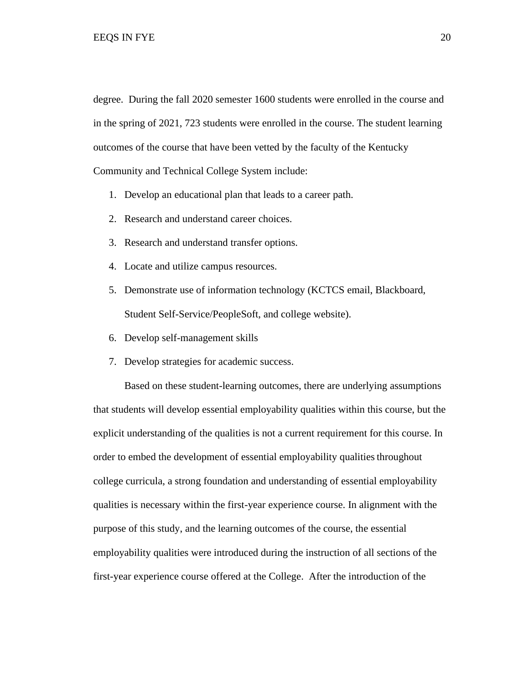degree. During the fall 2020 semester 1600 students were enrolled in the course and in the spring of 2021, 723 students were enrolled in the course. The student learning outcomes of the course that have been vetted by the faculty of the Kentucky Community and Technical College System include:

- 1. Develop an educational plan that leads to a career path.
- 2. Research and understand career choices.
- 3. Research and understand transfer options.
- 4. Locate and utilize campus resources.
- 5. Demonstrate use of information technology (KCTCS email, Blackboard, Student Self-Service/PeopleSoft, and college website).
- 6. Develop self-management skills
- 7. Develop strategies for academic success.

Based on these student-learning outcomes, there are underlying assumptions that students will develop essential employability qualities within this course, but the explicit understanding of the qualities is not a current requirement for this course. In order to embed the development of essential employability qualitiesthroughout college curricula, a strong foundation and understanding of essential employability qualities is necessary within the first-year experience course. In alignment with the purpose of this study, and the learning outcomes of the course, the essential employability qualities were introduced during the instruction of all sections of the first-year experience course offered at the College. After the introduction of the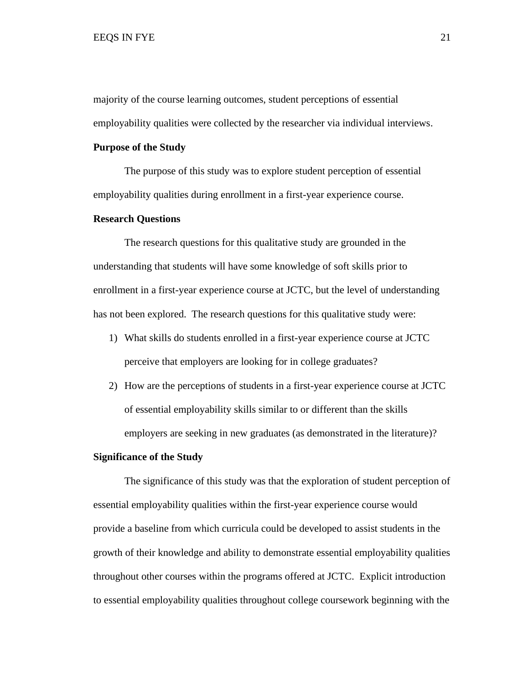majority of the course learning outcomes, student perceptions of essential employability qualities were collected by the researcher via individual interviews.

#### **Purpose of the Study**

The purpose of this study was to explore student perception of essential employability qualities during enrollment in a first-year experience course.

### **Research Questions**

The research questions for this qualitative study are grounded in the understanding that students will have some knowledge of soft skills prior to enrollment in a first-year experience course at JCTC, but the level of understanding has not been explored. The research questions for this qualitative study were:

- 1) What skills do students enrolled in a first-year experience course at JCTC perceive that employers are looking for in college graduates?
- 2) How are the perceptions of students in a first-year experience course at JCTC of essential employability skills similar to or different than the skills employers are seeking in new graduates (as demonstrated in the literature)?

### **Significance of the Study**

The significance of this study was that the exploration of student perception of essential employability qualities within the first-year experience course would provide a baseline from which curricula could be developed to assist students in the growth of their knowledge and ability to demonstrate essential employability qualities throughout other courses within the programs offered at JCTC. Explicit introduction to essential employability qualities throughout college coursework beginning with the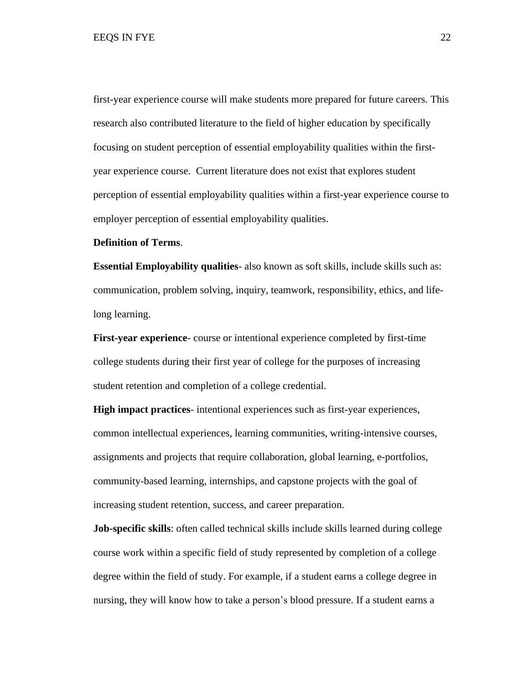first-year experience course will make students more prepared for future careers. This research also contributed literature to the field of higher education by specifically focusing on student perception of essential employability qualities within the firstyear experience course. Current literature does not exist that explores student perception of essential employability qualities within a first-year experience course to employer perception of essential employability qualities.

### **Definition of Terms**.

**Essential Employability qualities**- also known as soft skills, include skills such as: communication, problem solving, inquiry, teamwork, responsibility, ethics, and lifelong learning.

**First-year experience**- course or intentional experience completed by first-time college students during their first year of college for the purposes of increasing student retention and completion of a college credential.

**High impact practices**- intentional experiences such as first-year experiences, common intellectual experiences, learning communities, writing-intensive courses, assignments and projects that require collaboration, global learning, e-portfolios, community-based learning, internships, and capstone projects with the goal of increasing student retention, success, and career preparation.

**Job-specific skills**: often called technical skills include skills learned during college course work within a specific field of study represented by completion of a college degree within the field of study. For example, if a student earns a college degree in nursing, they will know how to take a person's blood pressure. If a student earns a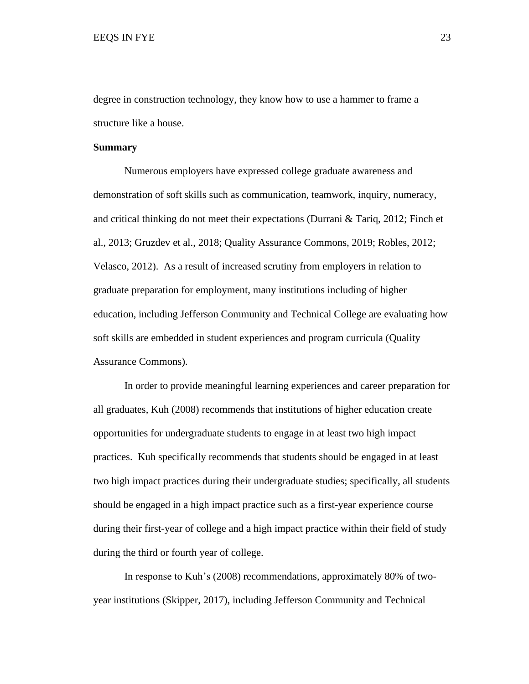degree in construction technology, they know how to use a hammer to frame a structure like a house.

#### **Summary**

Numerous employers have expressed college graduate awareness and demonstration of soft skills such as communication, teamwork, inquiry, numeracy, and critical thinking do not meet their expectations (Durrani & Tariq, 2012; Finch et al., 2013; Gruzdev et al., 2018; Quality Assurance Commons, 2019; Robles, 2012; Velasco, 2012). As a result of increased scrutiny from employers in relation to graduate preparation for employment, many institutions including of higher education, including Jefferson Community and Technical College are evaluating how soft skills are embedded in student experiences and program curricula (Quality Assurance Commons).

In order to provide meaningful learning experiences and career preparation for all graduates, Kuh (2008) recommends that institutions of higher education create opportunities for undergraduate students to engage in at least two high impact practices. Kuh specifically recommends that students should be engaged in at least two high impact practices during their undergraduate studies; specifically, all students should be engaged in a high impact practice such as a first-year experience course during their first-year of college and a high impact practice within their field of study during the third or fourth year of college.

In response to Kuh's (2008) recommendations, approximately 80% of twoyear institutions (Skipper, 2017), including Jefferson Community and Technical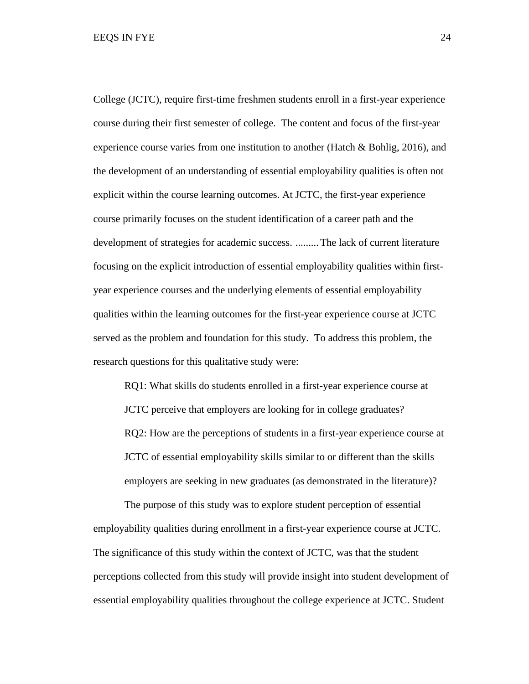College (JCTC), require first-time freshmen students enroll in a first-year experience course during their first semester of college. The content and focus of the first-year experience course varies from one institution to another (Hatch & Bohlig, 2016), and the development of an understanding of essential employability qualities is often not explicit within the course learning outcomes. At JCTC, the first-year experience course primarily focuses on the student identification of a career path and the development of strategies for academic success. .........The lack of current literature focusing on the explicit introduction of essential employability qualities within firstyear experience courses and the underlying elements of essential employability qualities within the learning outcomes for the first-year experience course at JCTC served as the problem and foundation for this study. To address this problem, the research questions for this qualitative study were:

RQ1: What skills do students enrolled in a first-year experience course at JCTC perceive that employers are looking for in college graduates? RQ2: How are the perceptions of students in a first-year experience course at JCTC of essential employability skills similar to or different than the skills employers are seeking in new graduates (as demonstrated in the literature)?

 The purpose of this study was to explore student perception of essential employability qualities during enrollment in a first-year experience course at JCTC. The significance of this study within the context of JCTC, was that the student perceptions collected from this study will provide insight into student development of essential employability qualities throughout the college experience at JCTC. Student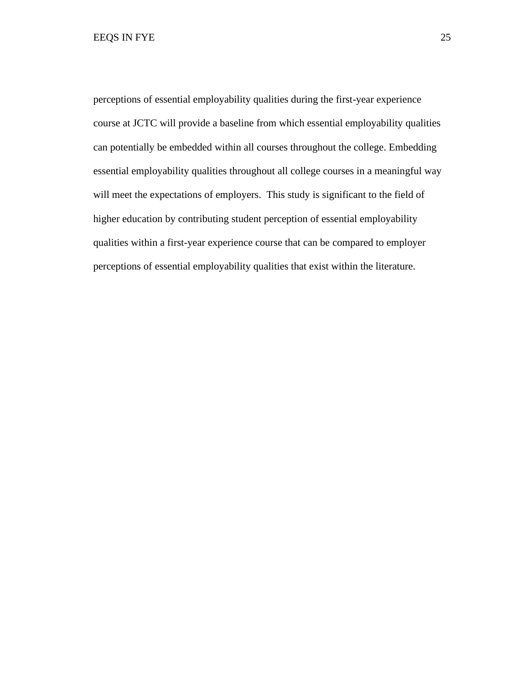perceptions of essential employability qualities during the first-year experience course at JCTC will provide a baseline from which essential employability qualities can potentially be embedded within all courses throughout the college. Embedding essential employability qualities throughout all college courses in a meaningful way will meet the expectations of employers. This study is significant to the field of higher education by contributing student perception of essential employability qualities within a first-year experience course that can be compared to employer perceptions of essential employability qualities that exist within the literature.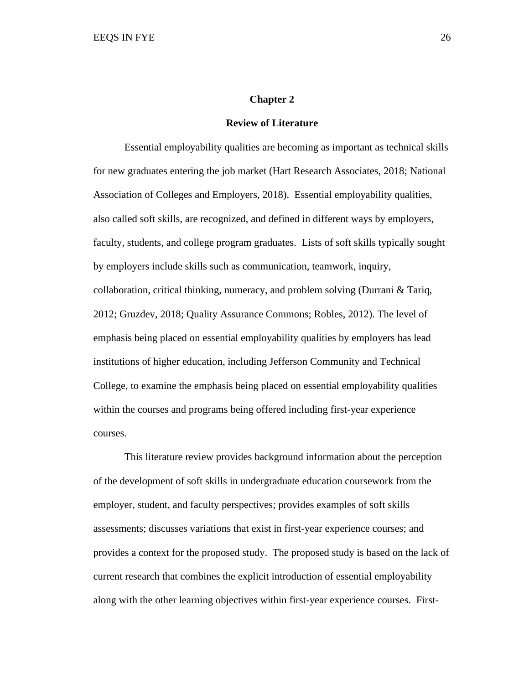#### **Chapter 2**

#### **Review of Literature**

Essential employability qualities are becoming as important as technical skills for new graduates entering the job market (Hart Research Associates, 2018; National Association of Colleges and Employers, 2018). Essential employability qualities, also called soft skills, are recognized, and defined in different ways by employers, faculty, students, and college program graduates. Lists of soft skills typically sought by employers include skills such as communication, teamwork, inquiry, collaboration, critical thinking, numeracy, and problem solving (Durrani & Tariq, 2012; Gruzdev, 2018; Quality Assurance Commons; Robles, 2012). The level of emphasis being placed on essential employability qualities by employers has lead institutions of higher education, including Jefferson Community and Technical College, to examine the emphasis being placed on essential employability qualities within the courses and programs being offered including first-year experience courses.

This literature review provides background information about the perception of the development of soft skills in undergraduate education coursework from the employer, student, and faculty perspectives; provides examples of soft skills assessments; discusses variations that exist in first-year experience courses; and provides a context for the proposed study. The proposed study is based on the lack of current research that combines the explicit introduction of essential employability along with the other learning objectives within first-year experience courses. First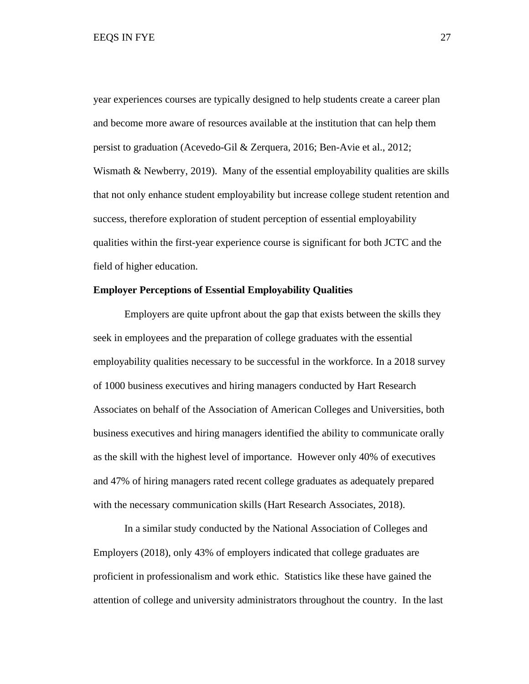year experiences courses are typically designed to help students create a career plan and become more aware of resources available at the institution that can help them persist to graduation (Acevedo-Gil & Zerquera, 2016; Ben-Avie et al., 2012; Wismath  $&$  Newberry, 2019). Many of the essential employability qualities are skills that not only enhance student employability but increase college student retention and success, therefore exploration of student perception of essential employability qualities within the first-year experience course is significant for both JCTC and the field of higher education.

#### **Employer Perceptions of Essential Employability Qualities**

Employers are quite upfront about the gap that exists between the skills they seek in employees and the preparation of college graduates with the essential employability qualities necessary to be successful in the workforce. In a 2018 survey of 1000 business executives and hiring managers conducted by Hart Research Associates on behalf of the Association of American Colleges and Universities, both business executives and hiring managers identified the ability to communicate orally as the skill with the highest level of importance. However only 40% of executives and 47% of hiring managers rated recent college graduates as adequately prepared with the necessary communication skills (Hart Research Associates, 2018).

In a similar study conducted by the National Association of Colleges and Employers (2018), only 43% of employers indicated that college graduates are proficient in professionalism and work ethic. Statistics like these have gained the attention of college and university administrators throughout the country. In the last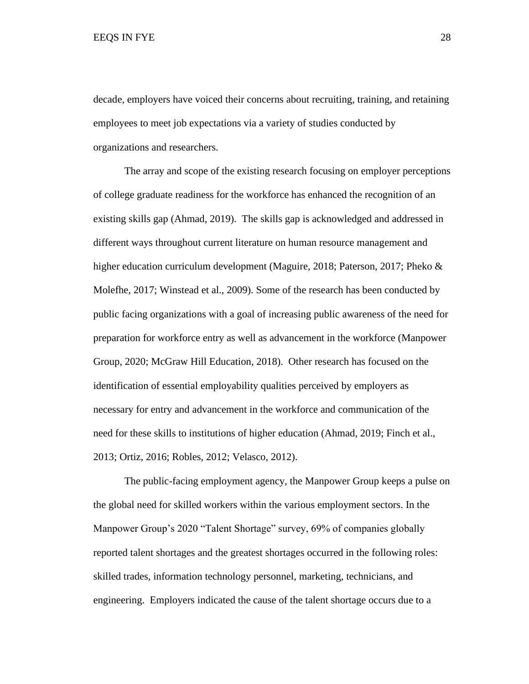decade, employers have voiced their concerns about recruiting, training, and retaining employees to meet job expectations via a variety of studies conducted by organizations and researchers.

The array and scope of the existing research focusing on employer perceptions of college graduate readiness for the workforce has enhanced the recognition of an existing skills gap (Ahmad, 2019). The skills gap is acknowledged and addressed in different ways throughout current literature on human resource management and higher education curriculum development (Maguire, 2018; Paterson, 2017; Pheko & Molefhe, 2017; Winstead et al., 2009). Some of the research has been conducted by public facing organizations with a goal of increasing public awareness of the need for preparation for workforce entry as well as advancement in the workforce (Manpower Group, 2020; McGraw Hill Education, 2018). Other research has focused on the identification of essential employability qualities perceived by employers as necessary for entry and advancement in the workforce and communication of the need for these skills to institutions of higher education (Ahmad, 2019; Finch et al., 2013; Ortiz, 2016; Robles, 2012; Velasco, 2012).

The public-facing employment agency, the Manpower Group keeps a pulse on the global need for skilled workers within the various employment sectors. In the Manpower Group's 2020 "Talent Shortage" survey, 69% of companies globally reported talent shortages and the greatest shortages occurred in the following roles: skilled trades, information technology personnel, marketing, technicians, and engineering. Employers indicated the cause of the talent shortage occurs due to a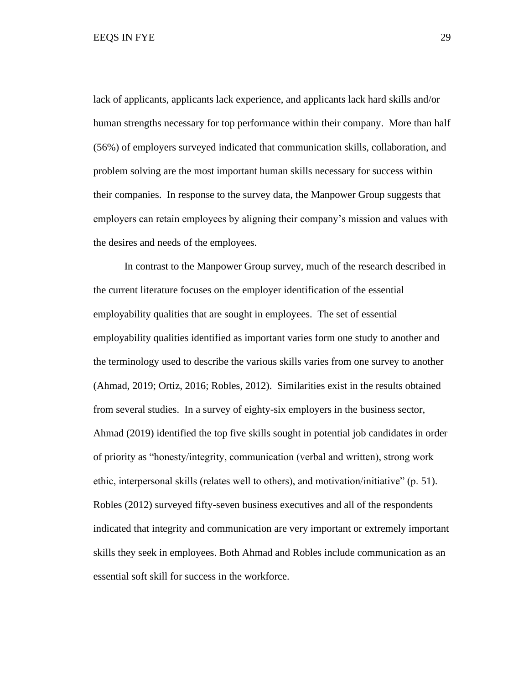EEQS IN FYE 29

lack of applicants, applicants lack experience, and applicants lack hard skills and/or human strengths necessary for top performance within their company. More than half (56%) of employers surveyed indicated that communication skills, collaboration, and problem solving are the most important human skills necessary for success within their companies. In response to the survey data, the Manpower Group suggests that employers can retain employees by aligning their company's mission and values with the desires and needs of the employees.

In contrast to the Manpower Group survey, much of the research described in the current literature focuses on the employer identification of the essential employability qualities that are sought in employees. The set of essential employability qualities identified as important varies form one study to another and the terminology used to describe the various skills varies from one survey to another (Ahmad, 2019; Ortiz, 2016; Robles, 2012). Similarities exist in the results obtained from several studies. In a survey of eighty-six employers in the business sector, Ahmad (2019) identified the top five skills sought in potential job candidates in order of priority as "honesty/integrity, communication (verbal and written), strong work ethic, interpersonal skills (relates well to others), and motivation/initiative" (p. 51). Robles (2012) surveyed fifty-seven business executives and all of the respondents indicated that integrity and communication are very important or extremely important skills they seek in employees. Both Ahmad and Robles include communication as an essential soft skill for success in the workforce.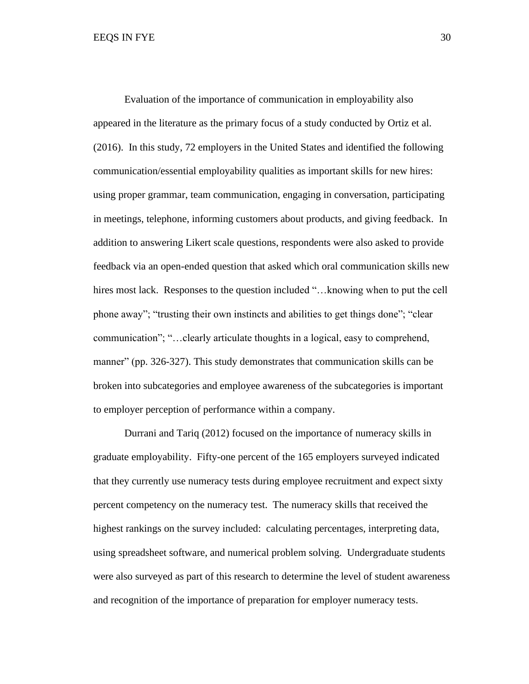Evaluation of the importance of communication in employability also appeared in the literature as the primary focus of a study conducted by Ortiz et al. (2016). In this study, 72 employers in the United States and identified the following communication/essential employability qualities as important skills for new hires: using proper grammar, team communication, engaging in conversation, participating in meetings, telephone, informing customers about products, and giving feedback. In addition to answering Likert scale questions, respondents were also asked to provide feedback via an open-ended question that asked which oral communication skills new hires most lack. Responses to the question included "... knowing when to put the cell phone away"; "trusting their own instincts and abilities to get things done"; "clear communication"; "…clearly articulate thoughts in a logical, easy to comprehend, manner" (pp. 326-327). This study demonstrates that communication skills can be broken into subcategories and employee awareness of the subcategories is important to employer perception of performance within a company.

Durrani and Tariq (2012) focused on the importance of numeracy skills in graduate employability. Fifty-one percent of the 165 employers surveyed indicated that they currently use numeracy tests during employee recruitment and expect sixty percent competency on the numeracy test. The numeracy skills that received the highest rankings on the survey included: calculating percentages, interpreting data, using spreadsheet software, and numerical problem solving. Undergraduate students were also surveyed as part of this research to determine the level of student awareness and recognition of the importance of preparation for employer numeracy tests.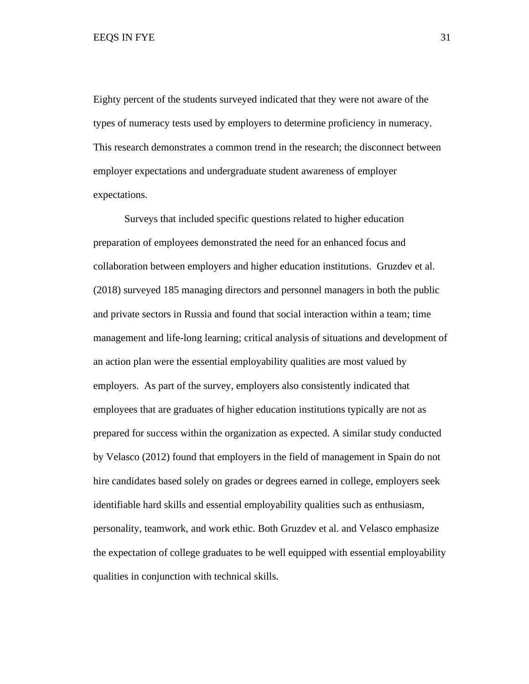Eighty percent of the students surveyed indicated that they were not aware of the types of numeracy tests used by employers to determine proficiency in numeracy. This research demonstrates a common trend in the research; the disconnect between employer expectations and undergraduate student awareness of employer expectations.

Surveys that included specific questions related to higher education preparation of employees demonstrated the need for an enhanced focus and collaboration between employers and higher education institutions. Gruzdev et al. (2018) surveyed 185 managing directors and personnel managers in both the public and private sectors in Russia and found that social interaction within a team; time management and life-long learning; critical analysis of situations and development of an action plan were the essential employability qualities are most valued by employers. As part of the survey, employers also consistently indicated that employees that are graduates of higher education institutions typically are not as prepared for success within the organization as expected. A similar study conducted by Velasco (2012) found that employers in the field of management in Spain do not hire candidates based solely on grades or degrees earned in college, employers seek identifiable hard skills and essential employability qualities such as enthusiasm, personality, teamwork, and work ethic. Both Gruzdev et al. and Velasco emphasize the expectation of college graduates to be well equipped with essential employability qualities in conjunction with technical skills.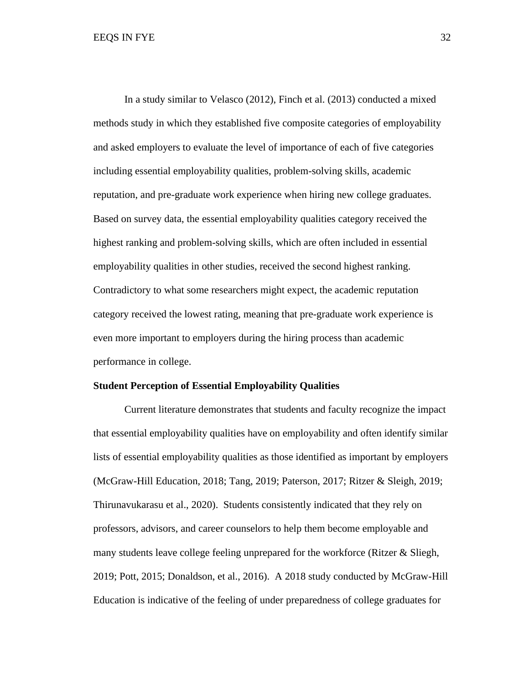In a study similar to Velasco (2012), Finch et al. (2013) conducted a mixed methods study in which they established five composite categories of employability and asked employers to evaluate the level of importance of each of five categories including essential employability qualities, problem-solving skills, academic reputation, and pre-graduate work experience when hiring new college graduates. Based on survey data, the essential employability qualities category received the highest ranking and problem-solving skills, which are often included in essential employability qualities in other studies, received the second highest ranking. Contradictory to what some researchers might expect, the academic reputation category received the lowest rating, meaning that pre-graduate work experience is even more important to employers during the hiring process than academic performance in college.

#### **Student Perception of Essential Employability Qualities**

Current literature demonstrates that students and faculty recognize the impact that essential employability qualities have on employability and often identify similar lists of essential employability qualities as those identified as important by employers (McGraw-Hill Education, 2018; Tang, 2019; Paterson, 2017; Ritzer & Sleigh, 2019; Thirunavukarasu et al., 2020). Students consistently indicated that they rely on professors, advisors, and career counselors to help them become employable and many students leave college feeling unprepared for the workforce (Ritzer & Sliegh, 2019; Pott, 2015; Donaldson, et al., 2016). A 2018 study conducted by McGraw-Hill Education is indicative of the feeling of under preparedness of college graduates for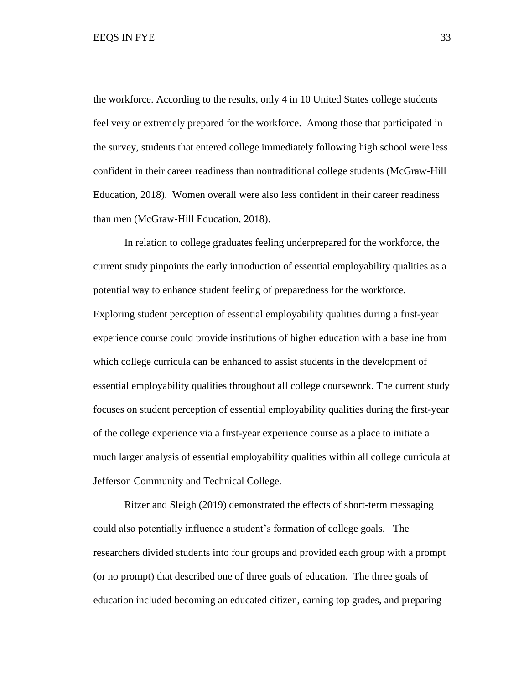EEQS IN FYE 33

the workforce. According to the results, only 4 in 10 United States college students feel very or extremely prepared for the workforce. Among those that participated in the survey, students that entered college immediately following high school were less confident in their career readiness than nontraditional college students (McGraw-Hill Education, 2018). Women overall were also less confident in their career readiness than men (McGraw-Hill Education, 2018).

In relation to college graduates feeling underprepared for the workforce, the current study pinpoints the early introduction of essential employability qualities as a potential way to enhance student feeling of preparedness for the workforce. Exploring student perception of essential employability qualities during a first-year experience course could provide institutions of higher education with a baseline from which college curricula can be enhanced to assist students in the development of essential employability qualities throughout all college coursework. The current study focuses on student perception of essential employability qualities during the first-year of the college experience via a first-year experience course as a place to initiate a much larger analysis of essential employability qualities within all college curricula at Jefferson Community and Technical College.

Ritzer and Sleigh (2019) demonstrated the effects of short-term messaging could also potentially influence a student's formation of college goals. The researchers divided students into four groups and provided each group with a prompt (or no prompt) that described one of three goals of education. The three goals of education included becoming an educated citizen, earning top grades, and preparing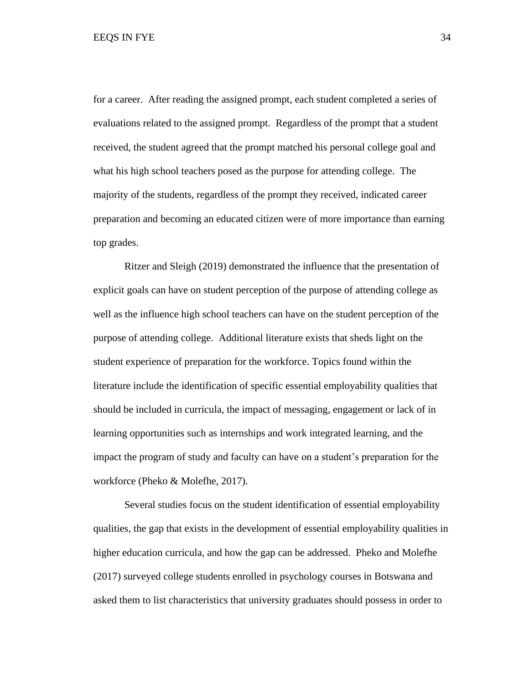for a career. After reading the assigned prompt, each student completed a series of evaluations related to the assigned prompt. Regardless of the prompt that a student received, the student agreed that the prompt matched his personal college goal and what his high school teachers posed as the purpose for attending college. The majority of the students, regardless of the prompt they received, indicated career preparation and becoming an educated citizen were of more importance than earning top grades.

Ritzer and Sleigh (2019) demonstrated the influence that the presentation of explicit goals can have on student perception of the purpose of attending college as well as the influence high school teachers can have on the student perception of the purpose of attending college. Additional literature exists that sheds light on the student experience of preparation for the workforce. Topics found within the literature include the identification of specific essential employability qualities that should be included in curricula, the impact of messaging, engagement or lack of in learning opportunities such as internships and work integrated learning, and the impact the program of study and faculty can have on a student's preparation for the workforce (Pheko & Molefhe, 2017).

Several studies focus on the student identification of essential employability qualities, the gap that exists in the development of essential employability qualities in higher education curricula, and how the gap can be addressed. Pheko and Molefhe (2017) surveyed college students enrolled in psychology courses in Botswana and asked them to list characteristics that university graduates should possess in order to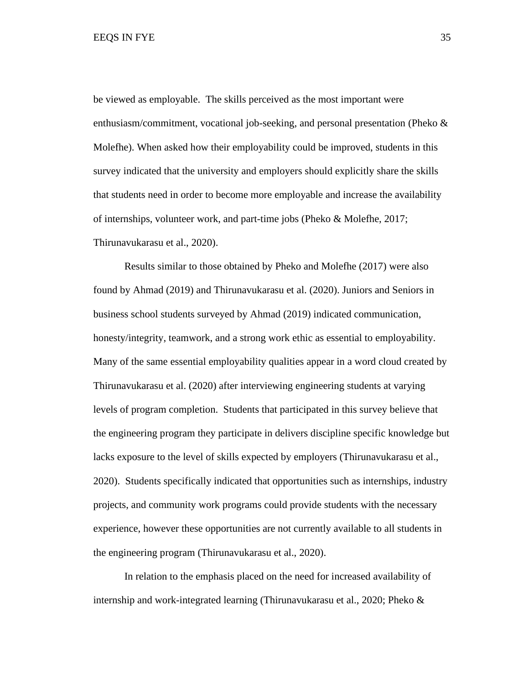be viewed as employable. The skills perceived as the most important were enthusiasm/commitment, vocational job-seeking, and personal presentation (Pheko & Molefhe). When asked how their employability could be improved, students in this survey indicated that the university and employers should explicitly share the skills that students need in order to become more employable and increase the availability of internships, volunteer work, and part-time jobs (Pheko & Molefhe, 2017; Thirunavukarasu et al., 2020).

Results similar to those obtained by Pheko and Molefhe (2017) were also found by Ahmad (2019) and Thirunavukarasu et al. (2020). Juniors and Seniors in business school students surveyed by Ahmad (2019) indicated communication, honesty/integrity, teamwork, and a strong work ethic as essential to employability. Many of the same essential employability qualities appear in a word cloud created by Thirunavukarasu et al. (2020) after interviewing engineering students at varying levels of program completion. Students that participated in this survey believe that the engineering program they participate in delivers discipline specific knowledge but lacks exposure to the level of skills expected by employers (Thirunavukarasu et al., 2020). Students specifically indicated that opportunities such as internships, industry projects, and community work programs could provide students with the necessary experience, however these opportunities are not currently available to all students in the engineering program (Thirunavukarasu et al., 2020).

In relation to the emphasis placed on the need for increased availability of internship and work-integrated learning (Thirunavukarasu et al., 2020; Pheko &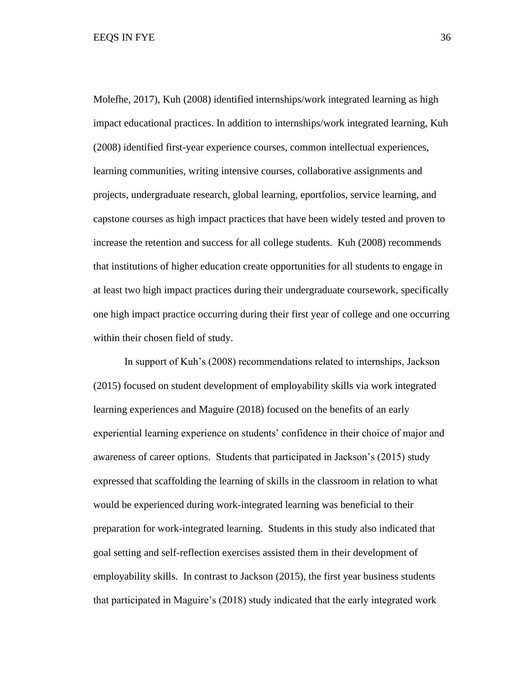Molefhe, 2017), Kuh (2008) identified internships/work integrated learning as high impact educational practices. In addition to internships/work integrated learning, Kuh (2008) identified first-year experience courses, common intellectual experiences, learning communities, writing intensive courses, collaborative assignments and projects, undergraduate research, global learning, eportfolios, service learning, and capstone courses as high impact practices that have been widely tested and proven to increase the retention and success for all college students. Kuh (2008) recommends that institutions of higher education create opportunities for all students to engage in at least two high impact practices during their undergraduate coursework, specifically one high impact practice occurring during their first year of college and one occurring within their chosen field of study.

In support of Kuh's (2008) recommendations related to internships, Jackson (2015) focused on student development of employability skills via work integrated learning experiences and Maguire (2018) focused on the benefits of an early experiential learning experience on students' confidence in their choice of major and awareness of career options. Students that participated in Jackson's (2015) study expressed that scaffolding the learning of skills in the classroom in relation to what would be experienced during work-integrated learning was beneficial to their preparation for work-integrated learning. Students in this study also indicated that goal setting and self-reflection exercises assisted them in their development of employability skills. In contrast to Jackson (2015), the first year business students that participated in Maguire's (2018) study indicated that the early integrated work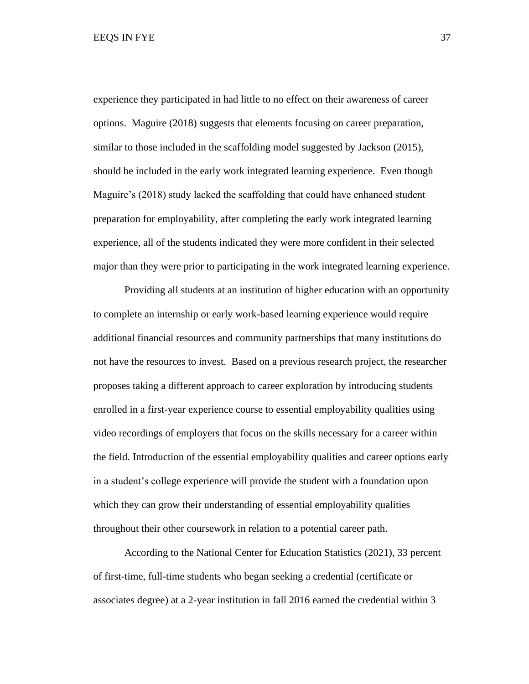experience they participated in had little to no effect on their awareness of career options. Maguire (2018) suggests that elements focusing on career preparation, similar to those included in the scaffolding model suggested by Jackson (2015), should be included in the early work integrated learning experience. Even though Maguire's (2018) study lacked the scaffolding that could have enhanced student preparation for employability, after completing the early work integrated learning experience, all of the students indicated they were more confident in their selected major than they were prior to participating in the work integrated learning experience.

Providing all students at an institution of higher education with an opportunity to complete an internship or early work-based learning experience would require additional financial resources and community partnerships that many institutions do not have the resources to invest. Based on a previous research project, the researcher proposes taking a different approach to career exploration by introducing students enrolled in a first-year experience course to essential employability qualities using video recordings of employers that focus on the skills necessary for a career within the field. Introduction of the essential employability qualities and career options early in a student's college experience will provide the student with a foundation upon which they can grow their understanding of essential employability qualities throughout their other coursework in relation to a potential career path.

According to the National Center for Education Statistics (2021), 33 percent of first-time, full-time students who began seeking a credential (certificate or associates degree) at a 2-year institution in fall 2016 earned the credential within 3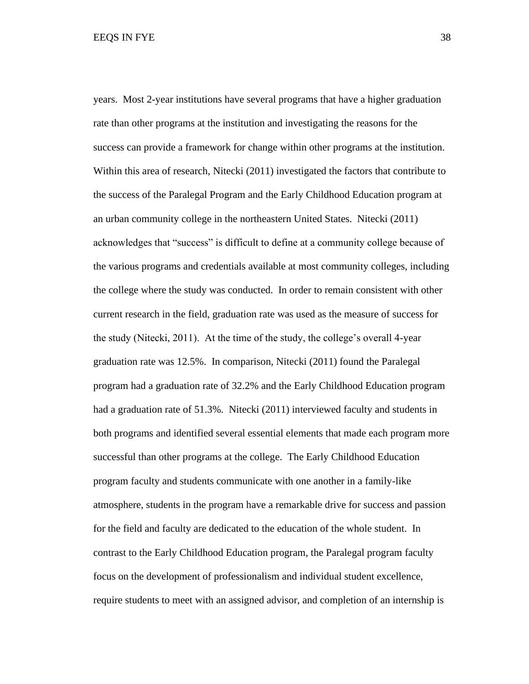years. Most 2-year institutions have several programs that have a higher graduation rate than other programs at the institution and investigating the reasons for the success can provide a framework for change within other programs at the institution. Within this area of research, Nitecki (2011) investigated the factors that contribute to the success of the Paralegal Program and the Early Childhood Education program at an urban community college in the northeastern United States. Nitecki (2011) acknowledges that "success" is difficult to define at a community college because of the various programs and credentials available at most community colleges, including the college where the study was conducted. In order to remain consistent with other current research in the field, graduation rate was used as the measure of success for the study (Nitecki, 2011). At the time of the study, the college's overall 4-year graduation rate was 12.5%. In comparison, Nitecki (2011) found the Paralegal program had a graduation rate of 32.2% and the Early Childhood Education program had a graduation rate of 51.3%. Nitecki (2011) interviewed faculty and students in both programs and identified several essential elements that made each program more successful than other programs at the college. The Early Childhood Education program faculty and students communicate with one another in a family-like atmosphere, students in the program have a remarkable drive for success and passion for the field and faculty are dedicated to the education of the whole student. In contrast to the Early Childhood Education program, the Paralegal program faculty focus on the development of professionalism and individual student excellence, require students to meet with an assigned advisor, and completion of an internship is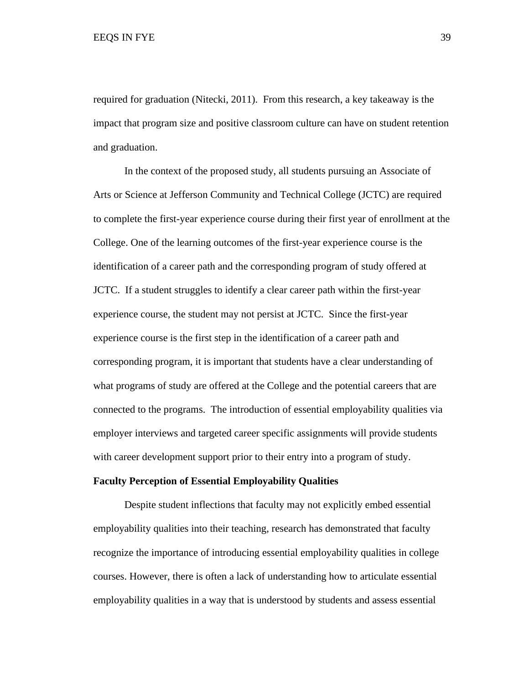required for graduation (Nitecki, 2011). From this research, a key takeaway is the impact that program size and positive classroom culture can have on student retention and graduation.

In the context of the proposed study, all students pursuing an Associate of Arts or Science at Jefferson Community and Technical College (JCTC) are required to complete the first-year experience course during their first year of enrollment at the College. One of the learning outcomes of the first-year experience course is the identification of a career path and the corresponding program of study offered at JCTC. If a student struggles to identify a clear career path within the first-year experience course, the student may not persist at JCTC. Since the first-year experience course is the first step in the identification of a career path and corresponding program, it is important that students have a clear understanding of what programs of study are offered at the College and the potential careers that are connected to the programs. The introduction of essential employability qualities via employer interviews and targeted career specific assignments will provide students with career development support prior to their entry into a program of study.

### **Faculty Perception of Essential Employability Qualities**

Despite student inflections that faculty may not explicitly embed essential employability qualities into their teaching, research has demonstrated that faculty recognize the importance of introducing essential employability qualities in college courses. However, there is often a lack of understanding how to articulate essential employability qualities in a way that is understood by students and assess essential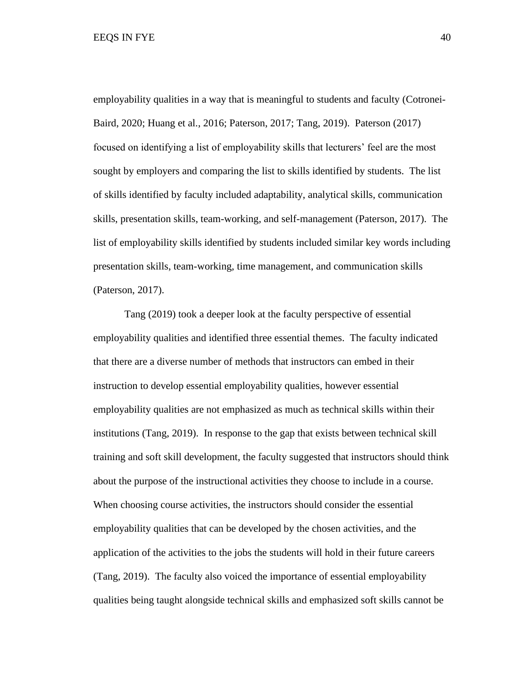employability qualities in a way that is meaningful to students and faculty (Cotronei-Baird, 2020; Huang et al., 2016; Paterson, 2017; Tang, 2019). Paterson (2017) focused on identifying a list of employability skills that lecturers' feel are the most sought by employers and comparing the list to skills identified by students. The list of skills identified by faculty included adaptability, analytical skills, communication skills, presentation skills, team-working, and self-management (Paterson, 2017). The list of employability skills identified by students included similar key words including presentation skills, team-working, time management, and communication skills (Paterson, 2017).

 Tang (2019) took a deeper look at the faculty perspective of essential employability qualities and identified three essential themes. The faculty indicated that there are a diverse number of methods that instructors can embed in their instruction to develop essential employability qualities, however essential employability qualities are not emphasized as much as technical skills within their institutions (Tang, 2019). In response to the gap that exists between technical skill training and soft skill development, the faculty suggested that instructors should think about the purpose of the instructional activities they choose to include in a course. When choosing course activities, the instructors should consider the essential employability qualities that can be developed by the chosen activities, and the application of the activities to the jobs the students will hold in their future careers (Tang, 2019). The faculty also voiced the importance of essential employability qualities being taught alongside technical skills and emphasized soft skills cannot be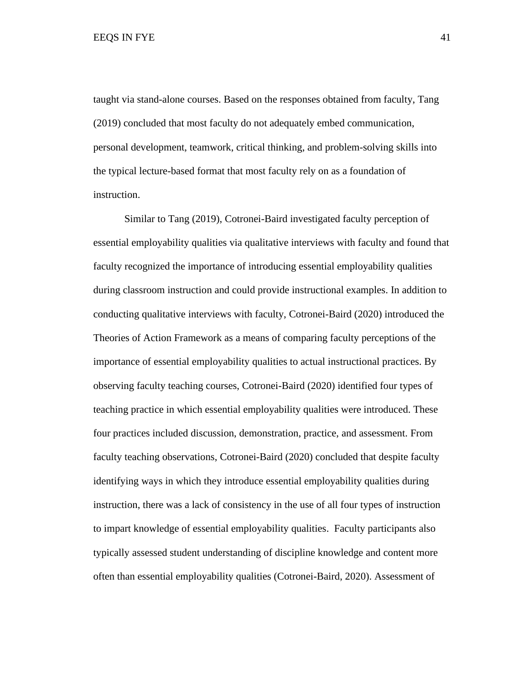taught via stand-alone courses. Based on the responses obtained from faculty, Tang (2019) concluded that most faculty do not adequately embed communication, personal development, teamwork, critical thinking, and problem-solving skills into the typical lecture-based format that most faculty rely on as a foundation of instruction.

Similar to Tang (2019), Cotronei-Baird investigated faculty perception of essential employability qualities via qualitative interviews with faculty and found that faculty recognized the importance of introducing essential employability qualities during classroom instruction and could provide instructional examples. In addition to conducting qualitative interviews with faculty, Cotronei-Baird (2020) introduced the Theories of Action Framework as a means of comparing faculty perceptions of the importance of essential employability qualities to actual instructional practices. By observing faculty teaching courses, Cotronei-Baird (2020) identified four types of teaching practice in which essential employability qualities were introduced. These four practices included discussion, demonstration, practice, and assessment. From faculty teaching observations, Cotronei-Baird (2020) concluded that despite faculty identifying ways in which they introduce essential employability qualities during instruction, there was a lack of consistency in the use of all four types of instruction to impart knowledge of essential employability qualities. Faculty participants also typically assessed student understanding of discipline knowledge and content more often than essential employability qualities (Cotronei-Baird, 2020). Assessment of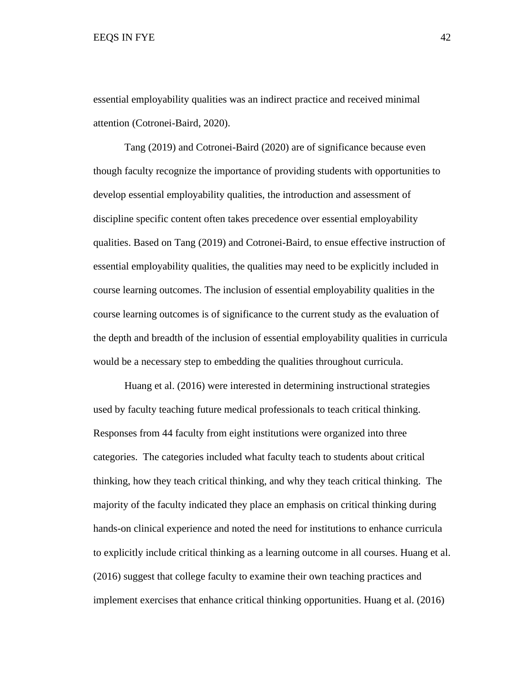essential employability qualities was an indirect practice and received minimal attention (Cotronei-Baird, 2020).

Tang (2019) and Cotronei-Baird (2020) are of significance because even though faculty recognize the importance of providing students with opportunities to develop essential employability qualities, the introduction and assessment of discipline specific content often takes precedence over essential employability qualities. Based on Tang (2019) and Cotronei-Baird, to ensue effective instruction of essential employability qualities, the qualities may need to be explicitly included in course learning outcomes. The inclusion of essential employability qualities in the course learning outcomes is of significance to the current study as the evaluation of the depth and breadth of the inclusion of essential employability qualities in curricula would be a necessary step to embedding the qualities throughout curricula.

Huang et al. (2016) were interested in determining instructional strategies used by faculty teaching future medical professionals to teach critical thinking. Responses from 44 faculty from eight institutions were organized into three categories. The categories included what faculty teach to students about critical thinking, how they teach critical thinking, and why they teach critical thinking. The majority of the faculty indicated they place an emphasis on critical thinking during hands-on clinical experience and noted the need for institutions to enhance curricula to explicitly include critical thinking as a learning outcome in all courses. Huang et al. (2016) suggest that college faculty to examine their own teaching practices and implement exercises that enhance critical thinking opportunities. Huang et al. (2016)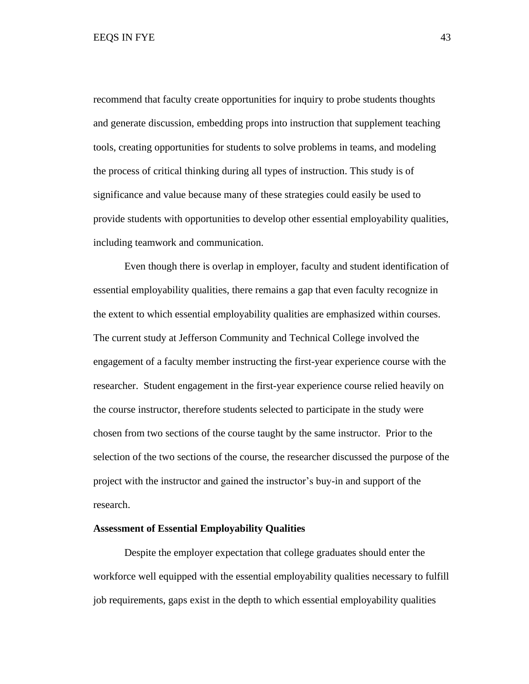recommend that faculty create opportunities for inquiry to probe students thoughts and generate discussion, embedding props into instruction that supplement teaching tools, creating opportunities for students to solve problems in teams, and modeling the process of critical thinking during all types of instruction. This study is of significance and value because many of these strategies could easily be used to provide students with opportunities to develop other essential employability qualities, including teamwork and communication.

Even though there is overlap in employer, faculty and student identification of essential employability qualities, there remains a gap that even faculty recognize in the extent to which essential employability qualities are emphasized within courses. The current study at Jefferson Community and Technical College involved the engagement of a faculty member instructing the first-year experience course with the researcher. Student engagement in the first-year experience course relied heavily on the course instructor, therefore students selected to participate in the study were chosen from two sections of the course taught by the same instructor. Prior to the selection of the two sections of the course, the researcher discussed the purpose of the project with the instructor and gained the instructor's buy-in and support of the research.

### **Assessment of Essential Employability Qualities**

Despite the employer expectation that college graduates should enter the workforce well equipped with the essential employability qualities necessary to fulfill job requirements, gaps exist in the depth to which essential employability qualities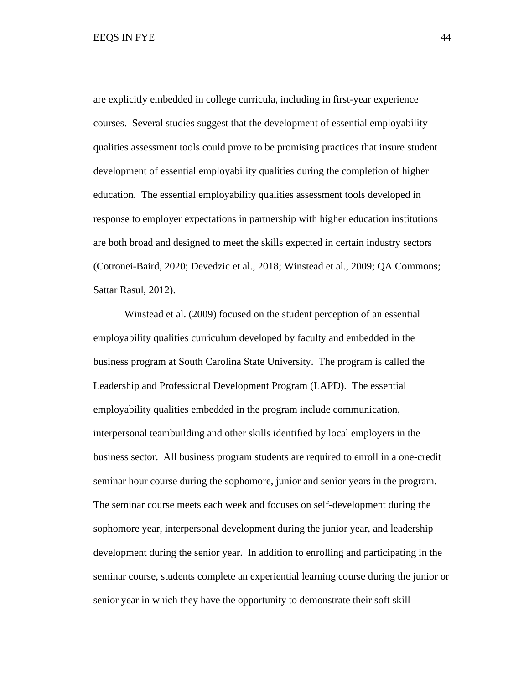are explicitly embedded in college curricula, including in first-year experience courses. Several studies suggest that the development of essential employability qualities assessment tools could prove to be promising practices that insure student development of essential employability qualities during the completion of higher education. The essential employability qualities assessment tools developed in response to employer expectations in partnership with higher education institutions are both broad and designed to meet the skills expected in certain industry sectors (Cotronei-Baird, 2020; Devedzic et al., 2018; Winstead et al., 2009; QA Commons; Sattar Rasul, 2012).

Winstead et al. (2009) focused on the student perception of an essential employability qualities curriculum developed by faculty and embedded in the business program at South Carolina State University. The program is called the Leadership and Professional Development Program (LAPD). The essential employability qualities embedded in the program include communication, interpersonal teambuilding and other skills identified by local employers in the business sector. All business program students are required to enroll in a one-credit seminar hour course during the sophomore, junior and senior years in the program. The seminar course meets each week and focuses on self-development during the sophomore year, interpersonal development during the junior year, and leadership development during the senior year. In addition to enrolling and participating in the seminar course, students complete an experiential learning course during the junior or senior year in which they have the opportunity to demonstrate their soft skill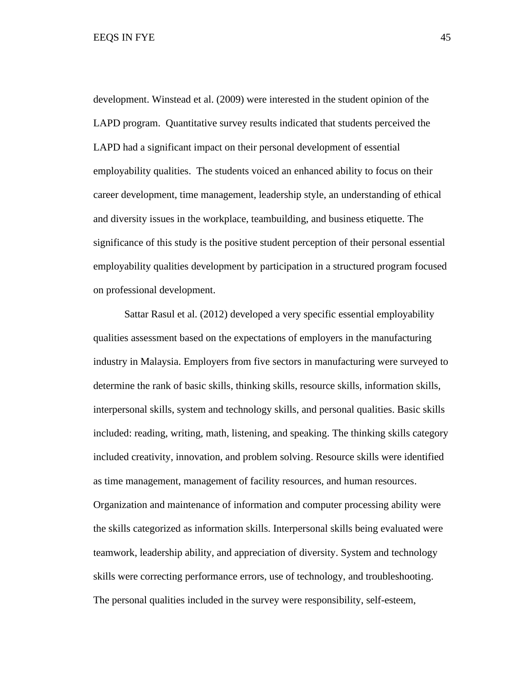development. Winstead et al. (2009) were interested in the student opinion of the LAPD program. Quantitative survey results indicated that students perceived the LAPD had a significant impact on their personal development of essential employability qualities. The students voiced an enhanced ability to focus on their career development, time management, leadership style, an understanding of ethical and diversity issues in the workplace, teambuilding, and business etiquette. The significance of this study is the positive student perception of their personal essential employability qualities development by participation in a structured program focused on professional development.

Sattar Rasul et al. (2012) developed a very specific essential employability qualities assessment based on the expectations of employers in the manufacturing industry in Malaysia. Employers from five sectors in manufacturing were surveyed to determine the rank of basic skills, thinking skills, resource skills, information skills, interpersonal skills, system and technology skills, and personal qualities. Basic skills included: reading, writing, math, listening, and speaking. The thinking skills category included creativity, innovation, and problem solving. Resource skills were identified as time management, management of facility resources, and human resources. Organization and maintenance of information and computer processing ability were the skills categorized as information skills. Interpersonal skills being evaluated were teamwork, leadership ability, and appreciation of diversity. System and technology skills were correcting performance errors, use of technology, and troubleshooting. The personal qualities included in the survey were responsibility, self-esteem,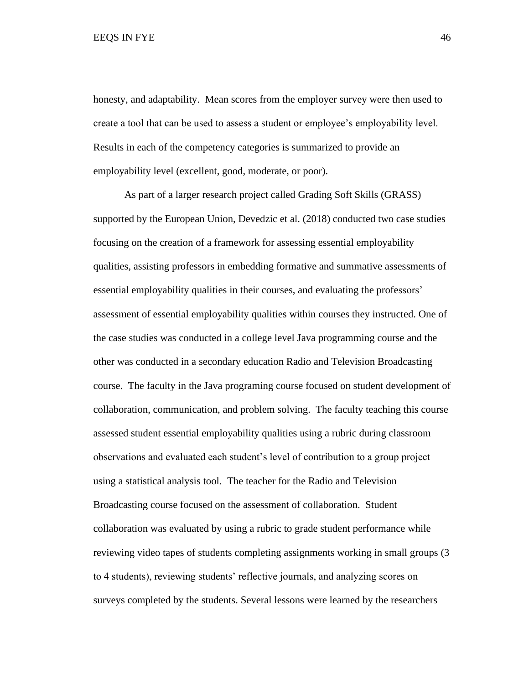honesty, and adaptability. Mean scores from the employer survey were then used to create a tool that can be used to assess a student or employee's employability level. Results in each of the competency categories is summarized to provide an employability level (excellent, good, moderate, or poor).

As part of a larger research project called Grading Soft Skills (GRASS) supported by the European Union, Devedzic et al. (2018) conducted two case studies focusing on the creation of a framework for assessing essential employability qualities, assisting professors in embedding formative and summative assessments of essential employability qualities in their courses, and evaluating the professors' assessment of essential employability qualities within courses they instructed. One of the case studies was conducted in a college level Java programming course and the other was conducted in a secondary education Radio and Television Broadcasting course. The faculty in the Java programing course focused on student development of collaboration, communication, and problem solving. The faculty teaching this course assessed student essential employability qualities using a rubric during classroom observations and evaluated each student's level of contribution to a group project using a statistical analysis tool. The teacher for the Radio and Television Broadcasting course focused on the assessment of collaboration. Student collaboration was evaluated by using a rubric to grade student performance while reviewing video tapes of students completing assignments working in small groups (3 to 4 students), reviewing students' reflective journals, and analyzing scores on surveys completed by the students. Several lessons were learned by the researchers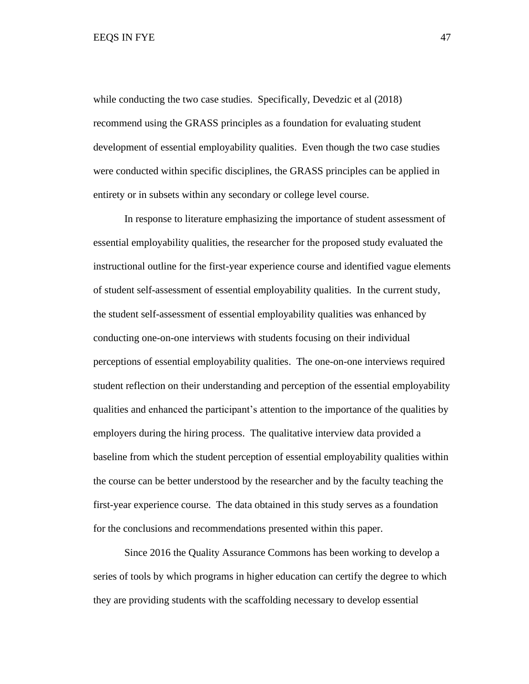while conducting the two case studies. Specifically, Devedzic et al  $(2018)$ recommend using the GRASS principles as a foundation for evaluating student development of essential employability qualities. Even though the two case studies were conducted within specific disciplines, the GRASS principles can be applied in entirety or in subsets within any secondary or college level course.

In response to literature emphasizing the importance of student assessment of essential employability qualities, the researcher for the proposed study evaluated the instructional outline for the first-year experience course and identified vague elements of student self-assessment of essential employability qualities. In the current study, the student self-assessment of essential employability qualities was enhanced by conducting one-on-one interviews with students focusing on their individual perceptions of essential employability qualities. The one-on-one interviews required student reflection on their understanding and perception of the essential employability qualities and enhanced the participant's attention to the importance of the qualities by employers during the hiring process. The qualitative interview data provided a baseline from which the student perception of essential employability qualities within the course can be better understood by the researcher and by the faculty teaching the first-year experience course. The data obtained in this study serves as a foundation for the conclusions and recommendations presented within this paper.

Since 2016 the Quality Assurance Commons has been working to develop a series of tools by which programs in higher education can certify the degree to which they are providing students with the scaffolding necessary to develop essential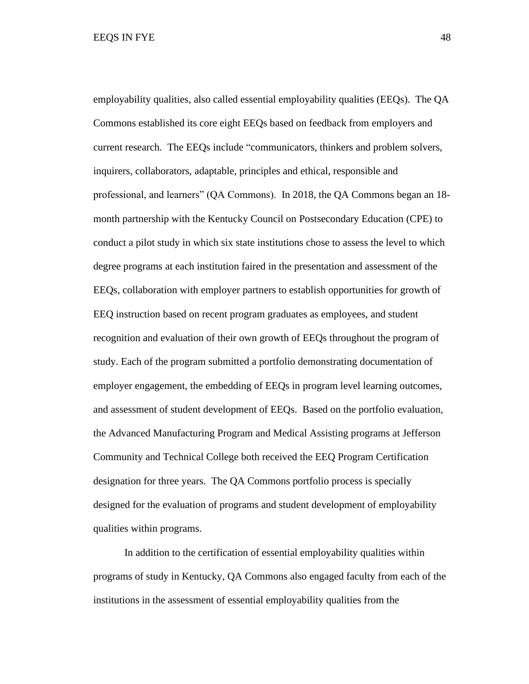employability qualities, also called essential employability qualities (EEQs). The QA Commons established its core eight EEQs based on feedback from employers and current research. The EEQs include "communicators, thinkers and problem solvers, inquirers, collaborators, adaptable, principles and ethical, responsible and professional, and learners" (QA Commons). In 2018, the QA Commons began an 18 month partnership with the Kentucky Council on Postsecondary Education (CPE) to conduct a pilot study in which six state institutions chose to assess the level to which degree programs at each institution faired in the presentation and assessment of the EEQs, collaboration with employer partners to establish opportunities for growth of EEQ instruction based on recent program graduates as employees, and student recognition and evaluation of their own growth of EEQs throughout the program of study. Each of the program submitted a portfolio demonstrating documentation of employer engagement, the embedding of EEQs in program level learning outcomes, and assessment of student development of EEQs. Based on the portfolio evaluation, the Advanced Manufacturing Program and Medical Assisting programs at Jefferson Community and Technical College both received the EEQ Program Certification designation for three years. The QA Commons portfolio process is specially designed for the evaluation of programs and student development of employability qualities within programs.

In addition to the certification of essential employability qualities within programs of study in Kentucky, QA Commons also engaged faculty from each of the institutions in the assessment of essential employability qualities from the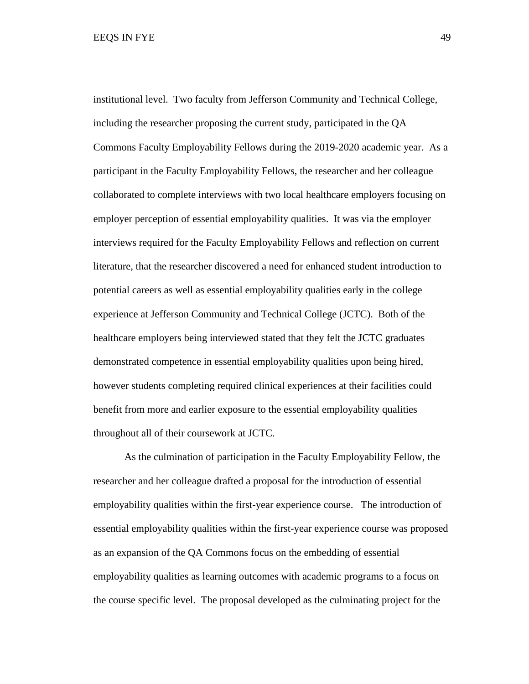institutional level. Two faculty from Jefferson Community and Technical College, including the researcher proposing the current study, participated in the QA Commons Faculty Employability Fellows during the 2019-2020 academic year. As a participant in the Faculty Employability Fellows, the researcher and her colleague collaborated to complete interviews with two local healthcare employers focusing on employer perception of essential employability qualities. It was via the employer interviews required for the Faculty Employability Fellows and reflection on current literature, that the researcher discovered a need for enhanced student introduction to potential careers as well as essential employability qualities early in the college experience at Jefferson Community and Technical College (JCTC). Both of the healthcare employers being interviewed stated that they felt the JCTC graduates demonstrated competence in essential employability qualities upon being hired, however students completing required clinical experiences at their facilities could benefit from more and earlier exposure to the essential employability qualities throughout all of their coursework at JCTC.

As the culmination of participation in the Faculty Employability Fellow, the researcher and her colleague drafted a proposal for the introduction of essential employability qualities within the first-year experience course. The introduction of essential employability qualities within the first-year experience course was proposed as an expansion of the QA Commons focus on the embedding of essential employability qualities as learning outcomes with academic programs to a focus on the course specific level. The proposal developed as the culminating project for the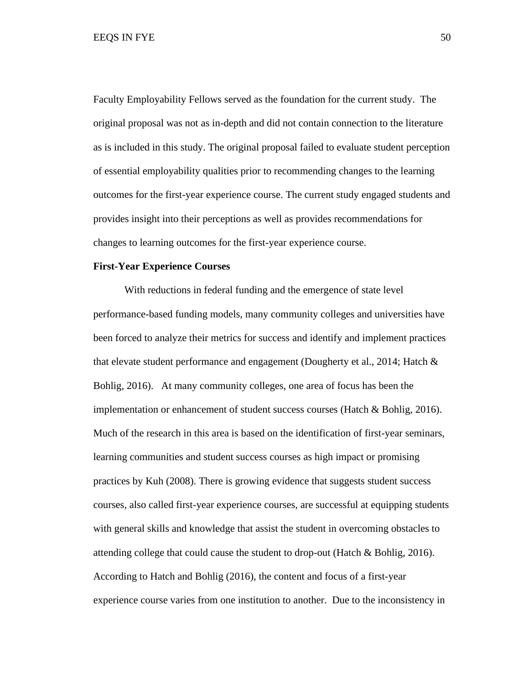Faculty Employability Fellows served as the foundation for the current study. The original proposal was not as in-depth and did not contain connection to the literature as is included in this study. The original proposal failed to evaluate student perception of essential employability qualities prior to recommending changes to the learning outcomes for the first-year experience course. The current study engaged students and provides insight into their perceptions as well as provides recommendations for changes to learning outcomes for the first-year experience course.

### **First-Year Experience Courses**

With reductions in federal funding and the emergence of state level performance-based funding models, many community colleges and universities have been forced to analyze their metrics for success and identify and implement practices that elevate student performance and engagement (Dougherty et al., 2014; Hatch & Bohlig, 2016). At many community colleges, one area of focus has been the implementation or enhancement of student success courses (Hatch & Bohlig, 2016). Much of the research in this area is based on the identification of first-year seminars, learning communities and student success courses as high impact or promising practices by Kuh (2008). There is growing evidence that suggests student success courses, also called first-year experience courses, are successful at equipping students with general skills and knowledge that assist the student in overcoming obstacles to attending college that could cause the student to drop-out (Hatch & Bohlig, 2016). According to Hatch and Bohlig (2016), the content and focus of a first-year experience course varies from one institution to another. Due to the inconsistency in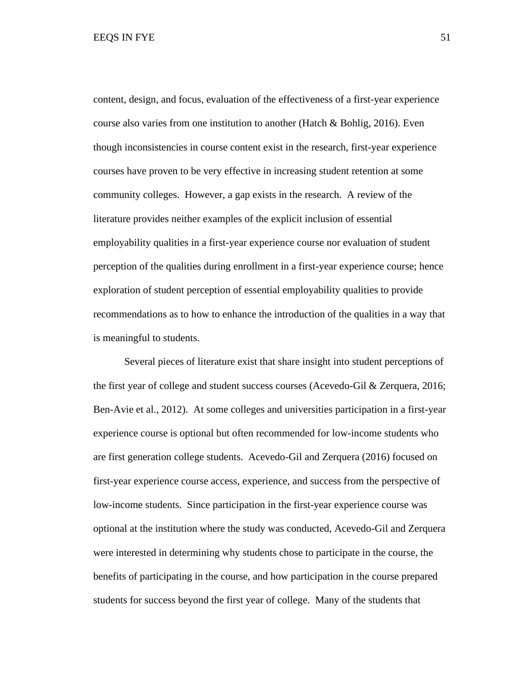content, design, and focus, evaluation of the effectiveness of a first-year experience course also varies from one institution to another (Hatch & Bohlig, 2016). Even though inconsistencies in course content exist in the research, first-year experience courses have proven to be very effective in increasing student retention at some community colleges. However, a gap exists in the research. A review of the literature provides neither examples of the explicit inclusion of essential employability qualities in a first-year experience course nor evaluation of student perception of the qualities during enrollment in a first-year experience course; hence exploration of student perception of essential employability qualities to provide recommendations as to how to enhance the introduction of the qualities in a way that is meaningful to students.

Several pieces of literature exist that share insight into student perceptions of the first year of college and student success courses (Acevedo-Gil & Zerquera, 2016; Ben-Avie et al., 2012). At some colleges and universities participation in a first-year experience course is optional but often recommended for low-income students who are first generation college students. Acevedo-Gil and Zerquera (2016) focused on first-year experience course access, experience, and success from the perspective of low-income students. Since participation in the first-year experience course was optional at the institution where the study was conducted, Acevedo-Gil and Zerquera were interested in determining why students chose to participate in the course, the benefits of participating in the course, and how participation in the course prepared students for success beyond the first year of college. Many of the students that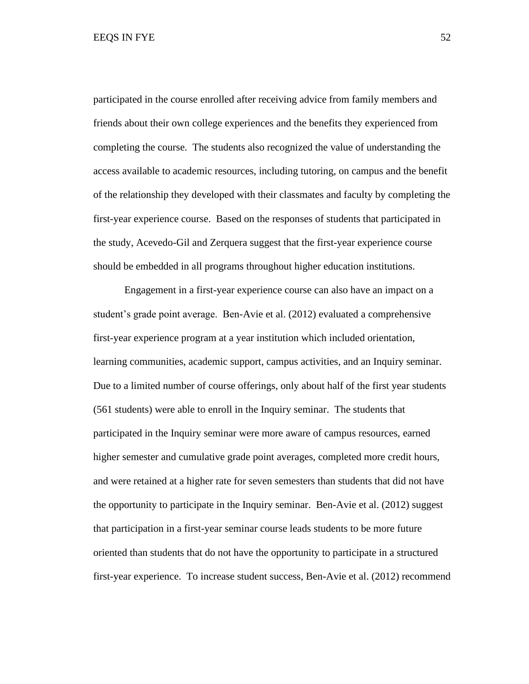participated in the course enrolled after receiving advice from family members and friends about their own college experiences and the benefits they experienced from completing the course. The students also recognized the value of understanding the access available to academic resources, including tutoring, on campus and the benefit of the relationship they developed with their classmates and faculty by completing the first-year experience course. Based on the responses of students that participated in the study, Acevedo-Gil and Zerquera suggest that the first-year experience course should be embedded in all programs throughout higher education institutions.

Engagement in a first-year experience course can also have an impact on a student's grade point average. Ben-Avie et al. (2012) evaluated a comprehensive first-year experience program at a year institution which included orientation, learning communities, academic support, campus activities, and an Inquiry seminar. Due to a limited number of course offerings, only about half of the first year students (561 students) were able to enroll in the Inquiry seminar. The students that participated in the Inquiry seminar were more aware of campus resources, earned higher semester and cumulative grade point averages, completed more credit hours, and were retained at a higher rate for seven semesters than students that did not have the opportunity to participate in the Inquiry seminar. Ben-Avie et al. (2012) suggest that participation in a first-year seminar course leads students to be more future oriented than students that do not have the opportunity to participate in a structured first-year experience. To increase student success, Ben-Avie et al. (2012) recommend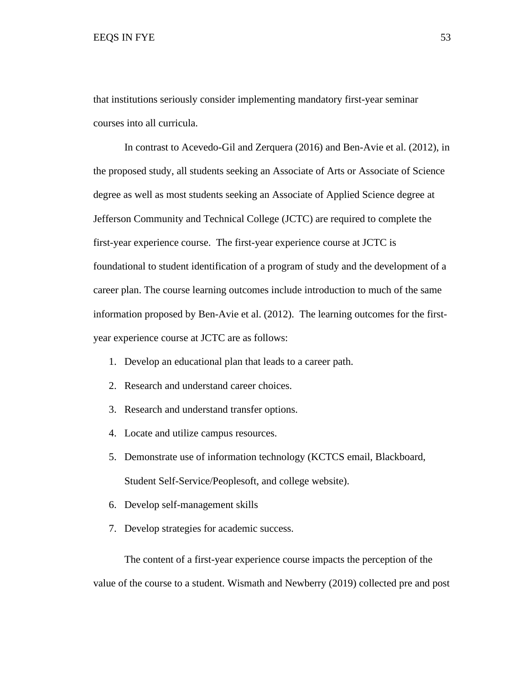that institutions seriously consider implementing mandatory first-year seminar courses into all curricula.

In contrast to Acevedo-Gil and Zerquera (2016) and Ben-Avie et al. (2012), in the proposed study, all students seeking an Associate of Arts or Associate of Science degree as well as most students seeking an Associate of Applied Science degree at Jefferson Community and Technical College (JCTC) are required to complete the first-year experience course. The first-year experience course at JCTC is foundational to student identification of a program of study and the development of a career plan. The course learning outcomes include introduction to much of the same information proposed by Ben-Avie et al. (2012). The learning outcomes for the firstyear experience course at JCTC are as follows:

- 1. Develop an educational plan that leads to a career path.
- 2. Research and understand career choices.
- 3. Research and understand transfer options.
- 4. Locate and utilize campus resources.
- 5. Demonstrate use of information technology (KCTCS email, Blackboard, Student Self-Service/Peoplesoft, and college website).
- 6. Develop self-management skills
- 7. Develop strategies for academic success.

The content of a first-year experience course impacts the perception of the value of the course to a student. Wismath and Newberry (2019) collected pre and post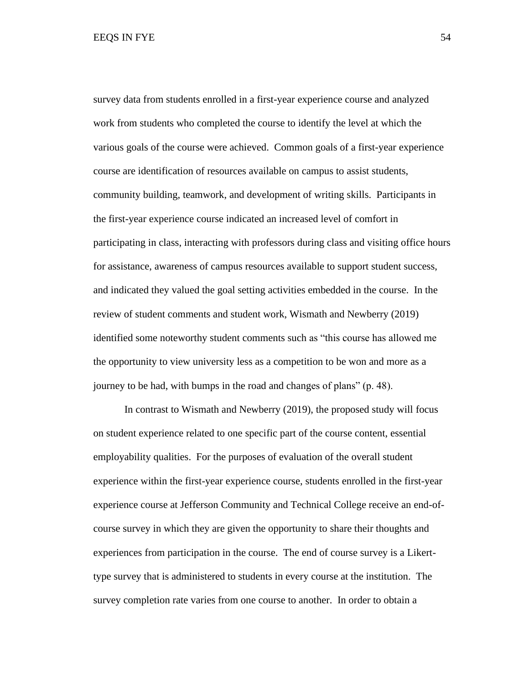survey data from students enrolled in a first-year experience course and analyzed work from students who completed the course to identify the level at which the various goals of the course were achieved. Common goals of a first-year experience course are identification of resources available on campus to assist students, community building, teamwork, and development of writing skills. Participants in the first-year experience course indicated an increased level of comfort in participating in class, interacting with professors during class and visiting office hours for assistance, awareness of campus resources available to support student success, and indicated they valued the goal setting activities embedded in the course. In the review of student comments and student work, Wismath and Newberry (2019) identified some noteworthy student comments such as "this course has allowed me the opportunity to view university less as a competition to be won and more as a journey to be had, with bumps in the road and changes of plans" (p. 48).

In contrast to Wismath and Newberry (2019), the proposed study will focus on student experience related to one specific part of the course content, essential employability qualities. For the purposes of evaluation of the overall student experience within the first-year experience course, students enrolled in the first-year experience course at Jefferson Community and Technical College receive an end-ofcourse survey in which they are given the opportunity to share their thoughts and experiences from participation in the course. The end of course survey is a Likerttype survey that is administered to students in every course at the institution. The survey completion rate varies from one course to another. In order to obtain a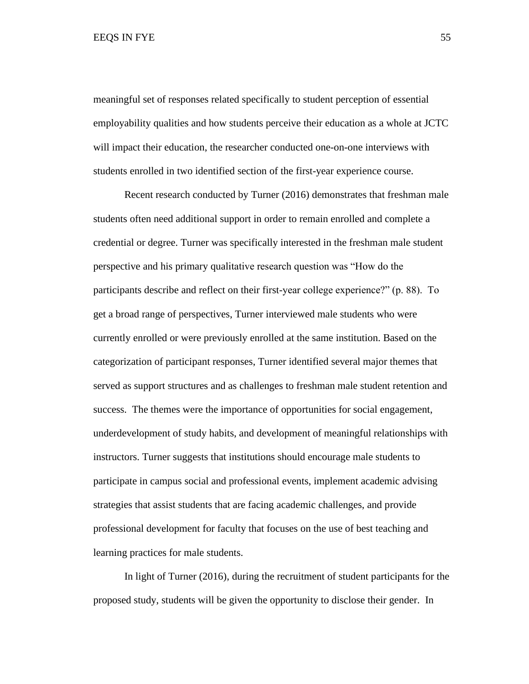meaningful set of responses related specifically to student perception of essential employability qualities and how students perceive their education as a whole at JCTC will impact their education, the researcher conducted one-on-one interviews with students enrolled in two identified section of the first-year experience course.

Recent research conducted by Turner (2016) demonstrates that freshman male students often need additional support in order to remain enrolled and complete a credential or degree. Turner was specifically interested in the freshman male student perspective and his primary qualitative research question was "How do the participants describe and reflect on their first-year college experience?" (p. 88). To get a broad range of perspectives, Turner interviewed male students who were currently enrolled or were previously enrolled at the same institution. Based on the categorization of participant responses, Turner identified several major themes that served as support structures and as challenges to freshman male student retention and success. The themes were the importance of opportunities for social engagement, underdevelopment of study habits, and development of meaningful relationships with instructors. Turner suggests that institutions should encourage male students to participate in campus social and professional events, implement academic advising strategies that assist students that are facing academic challenges, and provide professional development for faculty that focuses on the use of best teaching and learning practices for male students.

In light of Turner (2016), during the recruitment of student participants for the proposed study, students will be given the opportunity to disclose their gender. In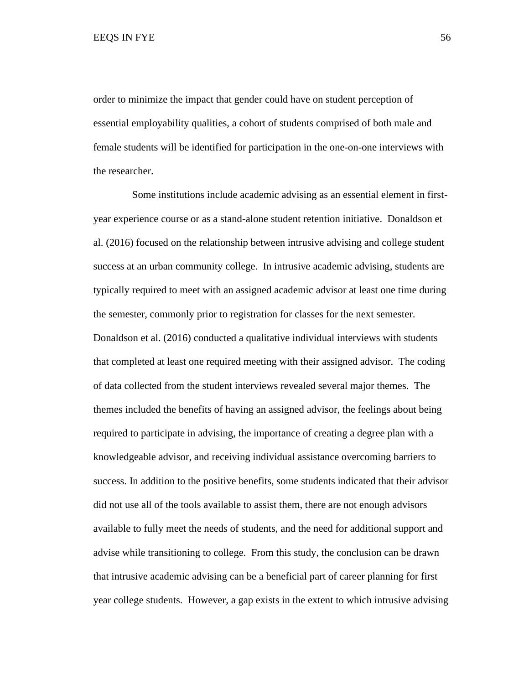order to minimize the impact that gender could have on student perception of essential employability qualities, a cohort of students comprised of both male and female students will be identified for participation in the one-on-one interviews with the researcher.

 Some institutions include academic advising as an essential element in firstyear experience course or as a stand-alone student retention initiative. Donaldson et al. (2016) focused on the relationship between intrusive advising and college student success at an urban community college. In intrusive academic advising, students are typically required to meet with an assigned academic advisor at least one time during the semester, commonly prior to registration for classes for the next semester. Donaldson et al. (2016) conducted a qualitative individual interviews with students that completed at least one required meeting with their assigned advisor. The coding of data collected from the student interviews revealed several major themes. The themes included the benefits of having an assigned advisor, the feelings about being required to participate in advising, the importance of creating a degree plan with a knowledgeable advisor, and receiving individual assistance overcoming barriers to success. In addition to the positive benefits, some students indicated that their advisor did not use all of the tools available to assist them, there are not enough advisors available to fully meet the needs of students, and the need for additional support and advise while transitioning to college. From this study, the conclusion can be drawn that intrusive academic advising can be a beneficial part of career planning for first year college students. However, a gap exists in the extent to which intrusive advising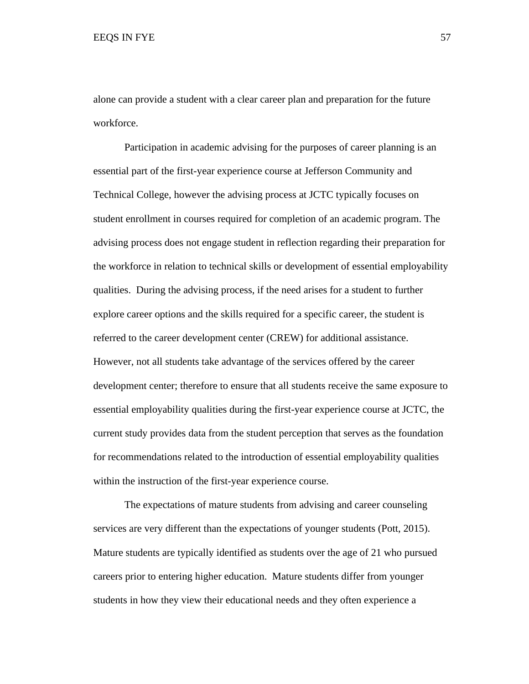alone can provide a student with a clear career plan and preparation for the future workforce.

Participation in academic advising for the purposes of career planning is an essential part of the first-year experience course at Jefferson Community and Technical College, however the advising process at JCTC typically focuses on student enrollment in courses required for completion of an academic program. The advising process does not engage student in reflection regarding their preparation for the workforce in relation to technical skills or development of essential employability qualities. During the advising process, if the need arises for a student to further explore career options and the skills required for a specific career, the student is referred to the career development center (CREW) for additional assistance. However, not all students take advantage of the services offered by the career development center; therefore to ensure that all students receive the same exposure to essential employability qualities during the first-year experience course at JCTC, the current study provides data from the student perception that serves as the foundation for recommendations related to the introduction of essential employability qualities within the instruction of the first-year experience course.

The expectations of mature students from advising and career counseling services are very different than the expectations of younger students (Pott, 2015). Mature students are typically identified as students over the age of 21 who pursued careers prior to entering higher education. Mature students differ from younger students in how they view their educational needs and they often experience a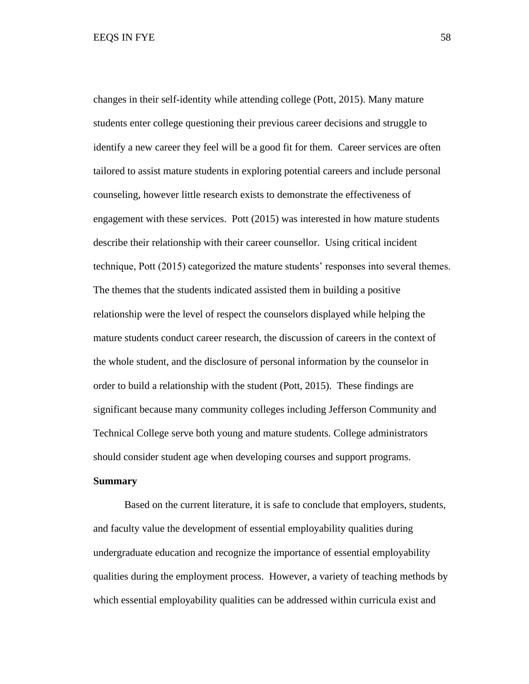changes in their self-identity while attending college (Pott, 2015). Many mature students enter college questioning their previous career decisions and struggle to identify a new career they feel will be a good fit for them. Career services are often tailored to assist mature students in exploring potential careers and include personal counseling, however little research exists to demonstrate the effectiveness of engagement with these services. Pott (2015) was interested in how mature students describe their relationship with their career counsellor. Using critical incident technique, Pott (2015) categorized the mature students' responses into several themes. The themes that the students indicated assisted them in building a positive relationship were the level of respect the counselors displayed while helping the mature students conduct career research, the discussion of careers in the context of the whole student, and the disclosure of personal information by the counselor in order to build a relationship with the student (Pott, 2015). These findings are significant because many community colleges including Jefferson Community and Technical College serve both young and mature students. College administrators should consider student age when developing courses and support programs.

## **Summary**

Based on the current literature, it is safe to conclude that employers, students, and faculty value the development of essential employability qualities during undergraduate education and recognize the importance of essential employability qualities during the employment process. However, a variety of teaching methods by which essential employability qualities can be addressed within curricula exist and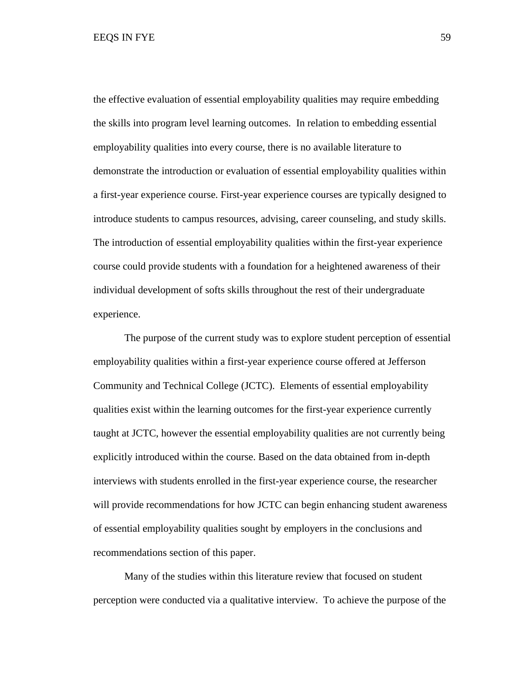the effective evaluation of essential employability qualities may require embedding the skills into program level learning outcomes. In relation to embedding essential employability qualities into every course, there is no available literature to demonstrate the introduction or evaluation of essential employability qualities within a first-year experience course. First-year experience courses are typically designed to introduce students to campus resources, advising, career counseling, and study skills. The introduction of essential employability qualities within the first-year experience course could provide students with a foundation for a heightened awareness of their individual development of softs skills throughout the rest of their undergraduate experience.

The purpose of the current study was to explore student perception of essential employability qualities within a first-year experience course offered at Jefferson Community and Technical College (JCTC). Elements of essential employability qualities exist within the learning outcomes for the first-year experience currently taught at JCTC, however the essential employability qualities are not currently being explicitly introduced within the course. Based on the data obtained from in-depth interviews with students enrolled in the first-year experience course, the researcher will provide recommendations for how JCTC can begin enhancing student awareness of essential employability qualities sought by employers in the conclusions and recommendations section of this paper.

Many of the studies within this literature review that focused on student perception were conducted via a qualitative interview. To achieve the purpose of the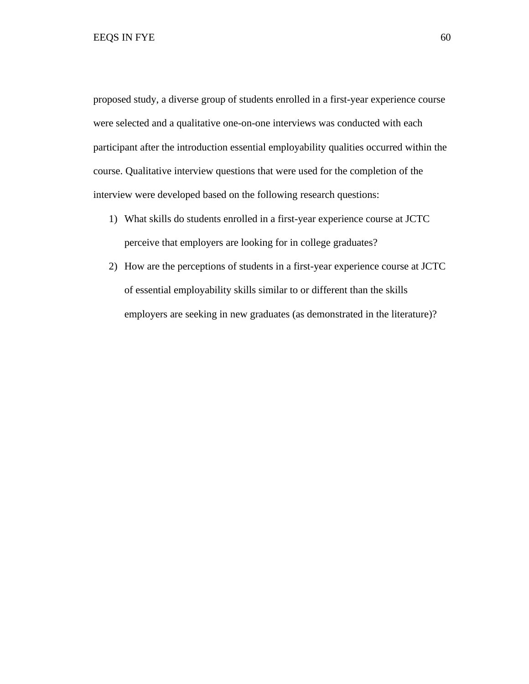proposed study, a diverse group of students enrolled in a first-year experience course were selected and a qualitative one-on-one interviews was conducted with each participant after the introduction essential employability qualities occurred within the course. Qualitative interview questions that were used for the completion of the interview were developed based on the following research questions:

- 1) What skills do students enrolled in a first-year experience course at JCTC perceive that employers are looking for in college graduates?
- 2) How are the perceptions of students in a first-year experience course at JCTC of essential employability skills similar to or different than the skills employers are seeking in new graduates (as demonstrated in the literature)?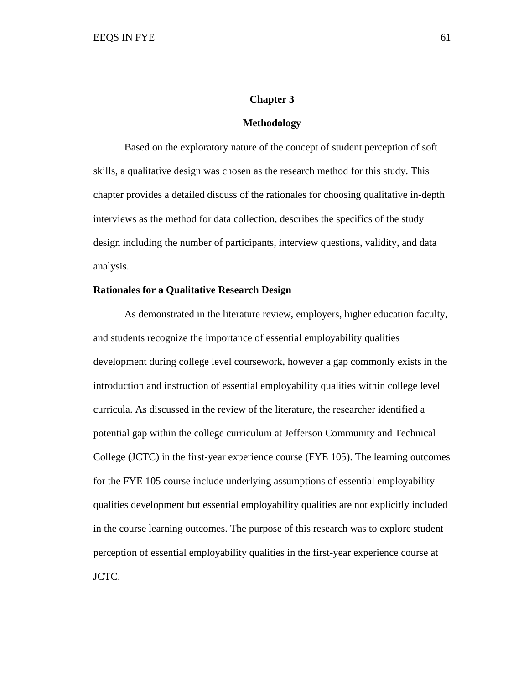## **Chapter 3**

### **Methodology**

Based on the exploratory nature of the concept of student perception of soft skills, a qualitative design was chosen as the research method for this study. This chapter provides a detailed discuss of the rationales for choosing qualitative in-depth interviews as the method for data collection, describes the specifics of the study design including the number of participants, interview questions, validity, and data analysis.

## **Rationales for a Qualitative Research Design**

As demonstrated in the literature review, employers, higher education faculty, and students recognize the importance of essential employability qualities development during college level coursework, however a gap commonly exists in the introduction and instruction of essential employability qualities within college level curricula. As discussed in the review of the literature, the researcher identified a potential gap within the college curriculum at Jefferson Community and Technical College (JCTC) in the first-year experience course (FYE 105). The learning outcomes for the FYE 105 course include underlying assumptions of essential employability qualities development but essential employability qualities are not explicitly included in the course learning outcomes. The purpose of this research was to explore student perception of essential employability qualities in the first-year experience course at JCTC.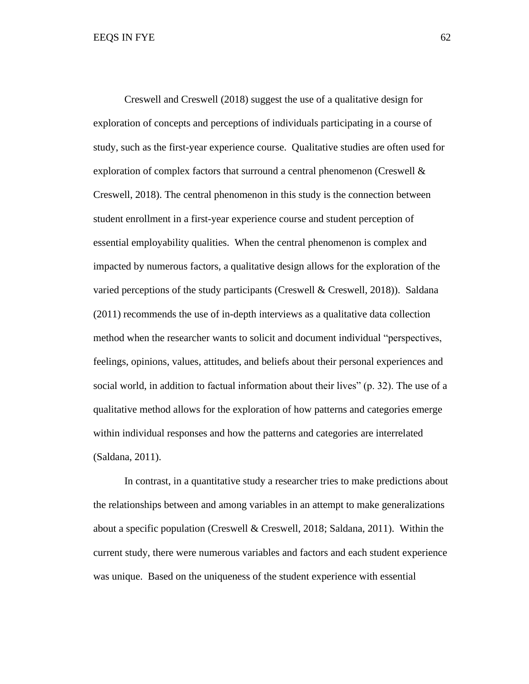Creswell and Creswell (2018) suggest the use of a qualitative design for exploration of concepts and perceptions of individuals participating in a course of study, such as the first-year experience course. Qualitative studies are often used for exploration of complex factors that surround a central phenomenon (Creswell & Creswell, 2018). The central phenomenon in this study is the connection between student enrollment in a first-year experience course and student perception of essential employability qualities. When the central phenomenon is complex and impacted by numerous factors, a qualitative design allows for the exploration of the varied perceptions of the study participants (Creswell & Creswell, 2018)). Saldana (2011) recommends the use of in-depth interviews as a qualitative data collection method when the researcher wants to solicit and document individual "perspectives, feelings, opinions, values, attitudes, and beliefs about their personal experiences and social world, in addition to factual information about their lives" (p. 32). The use of a qualitative method allows for the exploration of how patterns and categories emerge within individual responses and how the patterns and categories are interrelated (Saldana, 2011).

In contrast, in a quantitative study a researcher tries to make predictions about the relationships between and among variables in an attempt to make generalizations about a specific population (Creswell & Creswell, 2018; Saldana, 2011). Within the current study, there were numerous variables and factors and each student experience was unique. Based on the uniqueness of the student experience with essential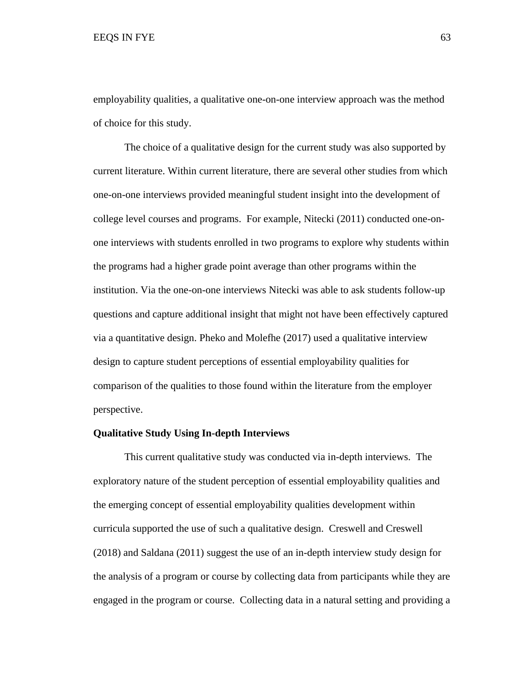employability qualities, a qualitative one-on-one interview approach was the method of choice for this study.

The choice of a qualitative design for the current study was also supported by current literature. Within current literature, there are several other studies from which one-on-one interviews provided meaningful student insight into the development of college level courses and programs. For example, Nitecki (2011) conducted one-onone interviews with students enrolled in two programs to explore why students within the programs had a higher grade point average than other programs within the institution. Via the one-on-one interviews Nitecki was able to ask students follow-up questions and capture additional insight that might not have been effectively captured via a quantitative design. Pheko and Molefhe (2017) used a qualitative interview design to capture student perceptions of essential employability qualities for comparison of the qualities to those found within the literature from the employer perspective.

## **Qualitative Study Using In-depth Interviews**

This current qualitative study was conducted via in-depth interviews. The exploratory nature of the student perception of essential employability qualities and the emerging concept of essential employability qualities development within curricula supported the use of such a qualitative design. Creswell and Creswell (2018) and Saldana (2011) suggest the use of an in-depth interview study design for the analysis of a program or course by collecting data from participants while they are engaged in the program or course. Collecting data in a natural setting and providing a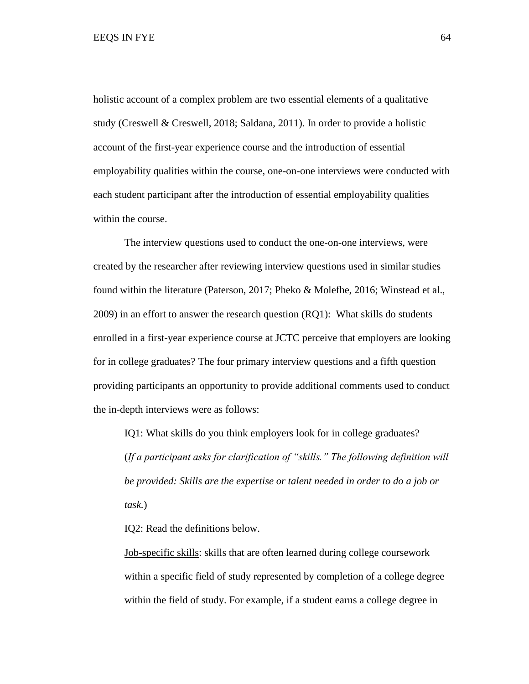holistic account of a complex problem are two essential elements of a qualitative study (Creswell & Creswell, 2018; Saldana, 2011). In order to provide a holistic account of the first-year experience course and the introduction of essential employability qualities within the course, one-on-one interviews were conducted with each student participant after the introduction of essential employability qualities within the course.

The interview questions used to conduct the one-on-one interviews, were created by the researcher after reviewing interview questions used in similar studies found within the literature (Paterson, 2017; Pheko & Molefhe, 2016; Winstead et al., 2009) in an effort to answer the research question (RQ1): What skills do students enrolled in a first-year experience course at JCTC perceive that employers are looking for in college graduates? The four primary interview questions and a fifth question providing participants an opportunity to provide additional comments used to conduct the in-depth interviews were as follows:

IQ1: What skills do you think employers look for in college graduates? (*If a participant asks for clarification of "skills." The following definition will be provided: Skills are the expertise or talent needed in order to do a job or task.*)

IQ2: Read the definitions below.

Job-specific skills: skills that are often learned during college coursework within a specific field of study represented by completion of a college degree within the field of study. For example, if a student earns a college degree in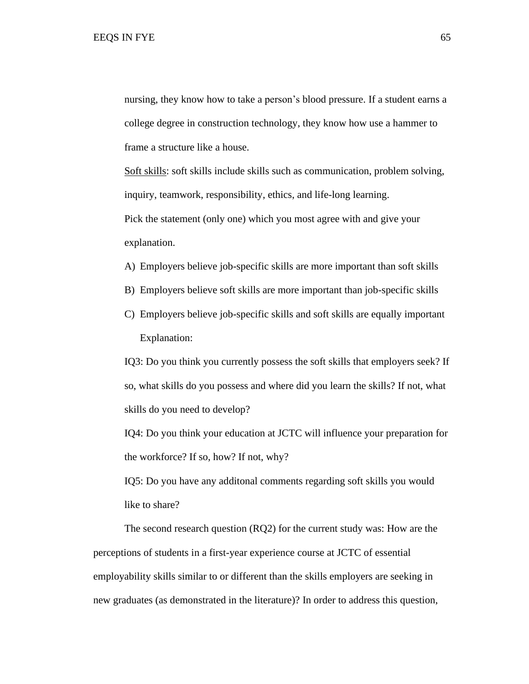nursing, they know how to take a person's blood pressure. If a student earns a college degree in construction technology, they know how use a hammer to frame a structure like a house.

Soft skills: soft skills include skills such as communication, problem solving, inquiry, teamwork, responsibility, ethics, and life-long learning. Pick the statement (only one) which you most agree with and give your explanation.

- A) Employers believe job-specific skills are more important than soft skills
- B) Employers believe soft skills are more important than job-specific skills
- C) Employers believe job-specific skills and soft skills are equally important Explanation:

IQ3: Do you think you currently possess the soft skills that employers seek? If so, what skills do you possess and where did you learn the skills? If not, what skills do you need to develop?

IQ4: Do you think your education at JCTC will influence your preparation for the workforce? If so, how? If not, why?

IQ5: Do you have any additonal comments regarding soft skills you would like to share?

The second research question (RQ2) for the current study was: How are the perceptions of students in a first-year experience course at JCTC of essential employability skills similar to or different than the skills employers are seeking in new graduates (as demonstrated in the literature)? In order to address this question,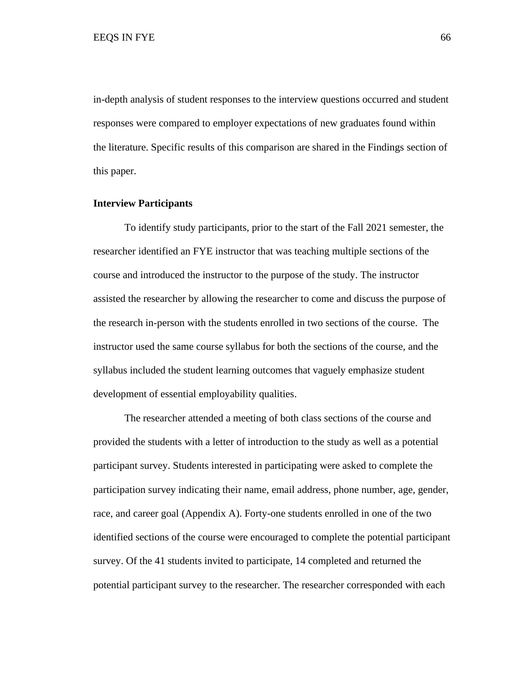in-depth analysis of student responses to the interview questions occurred and student responses were compared to employer expectations of new graduates found within the literature. Specific results of this comparison are shared in the Findings section of this paper.

## **Interview Participants**

To identify study participants, prior to the start of the Fall 2021 semester, the researcher identified an FYE instructor that was teaching multiple sections of the course and introduced the instructor to the purpose of the study. The instructor assisted the researcher by allowing the researcher to come and discuss the purpose of the research in-person with the students enrolled in two sections of the course. The instructor used the same course syllabus for both the sections of the course, and the syllabus included the student learning outcomes that vaguely emphasize student development of essential employability qualities.

The researcher attended a meeting of both class sections of the course and provided the students with a letter of introduction to the study as well as a potential participant survey. Students interested in participating were asked to complete the participation survey indicating their name, email address, phone number, age, gender, race, and career goal (Appendix A). Forty-one students enrolled in one of the two identified sections of the course were encouraged to complete the potential participant survey. Of the 41 students invited to participate, 14 completed and returned the potential participant survey to the researcher. The researcher corresponded with each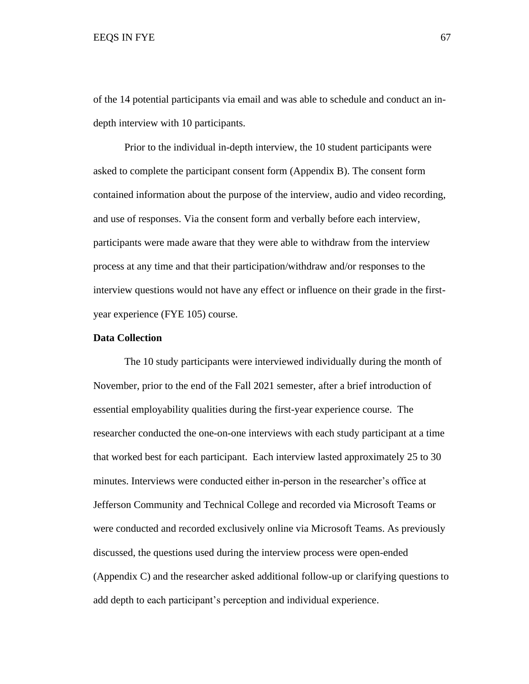of the 14 potential participants via email and was able to schedule and conduct an indepth interview with 10 participants.

Prior to the individual in-depth interview, the 10 student participants were asked to complete the participant consent form (Appendix B). The consent form contained information about the purpose of the interview, audio and video recording, and use of responses. Via the consent form and verbally before each interview, participants were made aware that they were able to withdraw from the interview process at any time and that their participation/withdraw and/or responses to the interview questions would not have any effect or influence on their grade in the firstyear experience (FYE 105) course.

# **Data Collection**

The 10 study participants were interviewed individually during the month of November, prior to the end of the Fall 2021 semester, after a brief introduction of essential employability qualities during the first-year experience course. The researcher conducted the one-on-one interviews with each study participant at a time that worked best for each participant. Each interview lasted approximately 25 to 30 minutes. Interviews were conducted either in-person in the researcher's office at Jefferson Community and Technical College and recorded via Microsoft Teams or were conducted and recorded exclusively online via Microsoft Teams. As previously discussed, the questions used during the interview process were open-ended (Appendix C) and the researcher asked additional follow-up or clarifying questions to add depth to each participant's perception and individual experience.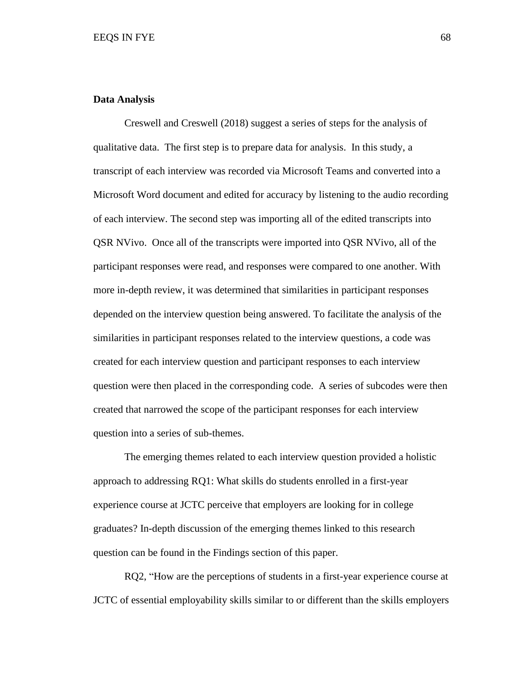## **Data Analysis**

Creswell and Creswell (2018) suggest a series of steps for the analysis of qualitative data. The first step is to prepare data for analysis. In this study, a transcript of each interview was recorded via Microsoft Teams and converted into a Microsoft Word document and edited for accuracy by listening to the audio recording of each interview. The second step was importing all of the edited transcripts into QSR NVivo. Once all of the transcripts were imported into QSR NVivo, all of the participant responses were read, and responses were compared to one another. With more in-depth review, it was determined that similarities in participant responses depended on the interview question being answered. To facilitate the analysis of the similarities in participant responses related to the interview questions, a code was created for each interview question and participant responses to each interview question were then placed in the corresponding code. A series of subcodes were then created that narrowed the scope of the participant responses for each interview question into a series of sub-themes.

The emerging themes related to each interview question provided a holistic approach to addressing RQ1: What skills do students enrolled in a first-year experience course at JCTC perceive that employers are looking for in college graduates? In-depth discussion of the emerging themes linked to this research question can be found in the Findings section of this paper.

RQ2, "How are the perceptions of students in a first-year experience course at JCTC of essential employability skills similar to or different than the skills employers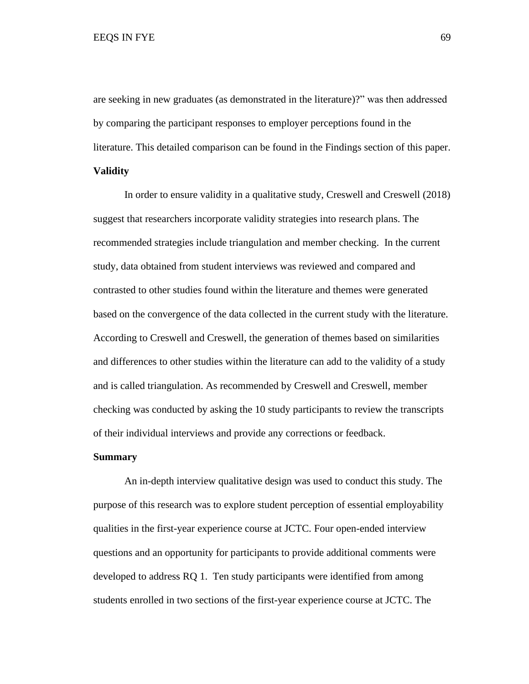are seeking in new graduates (as demonstrated in the literature)?" was then addressed by comparing the participant responses to employer perceptions found in the literature. This detailed comparison can be found in the Findings section of this paper. **Validity**

In order to ensure validity in a qualitative study, Creswell and Creswell (2018) suggest that researchers incorporate validity strategies into research plans. The recommended strategies include triangulation and member checking. In the current study, data obtained from student interviews was reviewed and compared and contrasted to other studies found within the literature and themes were generated based on the convergence of the data collected in the current study with the literature. According to Creswell and Creswell, the generation of themes based on similarities and differences to other studies within the literature can add to the validity of a study and is called triangulation. As recommended by Creswell and Creswell, member checking was conducted by asking the 10 study participants to review the transcripts of their individual interviews and provide any corrections or feedback.

# **Summary**

An in-depth interview qualitative design was used to conduct this study. The purpose of this research was to explore student perception of essential employability qualities in the first-year experience course at JCTC. Four open-ended interview questions and an opportunity for participants to provide additional comments were developed to address RQ 1. Ten study participants were identified from among students enrolled in two sections of the first-year experience course at JCTC. The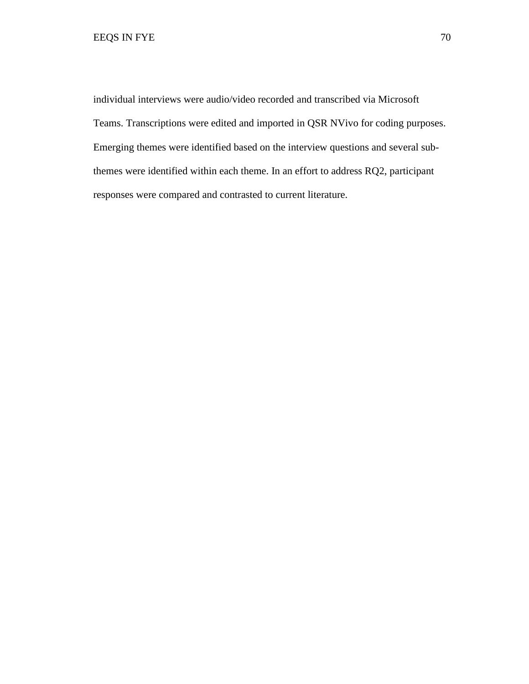individual interviews were audio/video recorded and transcribed via Microsoft Teams. Transcriptions were edited and imported in QSR NVivo for coding purposes. Emerging themes were identified based on the interview questions and several subthemes were identified within each theme. In an effort to address RQ2, participant responses were compared and contrasted to current literature.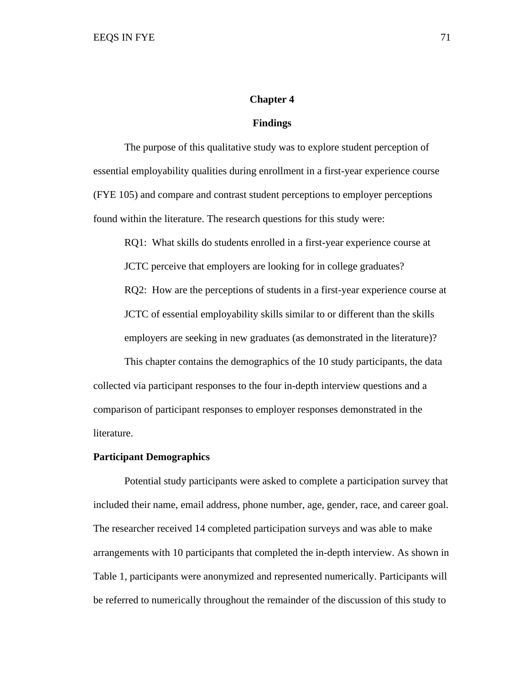## **Chapter 4**

### **Findings**

The purpose of this qualitative study was to explore student perception of essential employability qualities during enrollment in a first-year experience course (FYE 105) and compare and contrast student perceptions to employer perceptions found within the literature. The research questions for this study were:

RQ1: What skills do students enrolled in a first-year experience course at JCTC perceive that employers are looking for in college graduates? RQ2: How are the perceptions of students in a first-year experience course at JCTC of essential employability skills similar to or different than the skills employers are seeking in new graduates (as demonstrated in the literature)?

This chapter contains the demographics of the 10 study participants, the data collected via participant responses to the four in-depth interview questions and a comparison of participant responses to employer responses demonstrated in the literature.

## **Participant Demographics**

Potential study participants were asked to complete a participation survey that included their name, email address, phone number, age, gender, race, and career goal. The researcher received 14 completed participation surveys and was able to make arrangements with 10 participants that completed the in-depth interview. As shown in Table 1, participants were anonymized and represented numerically. Participants will be referred to numerically throughout the remainder of the discussion of this study to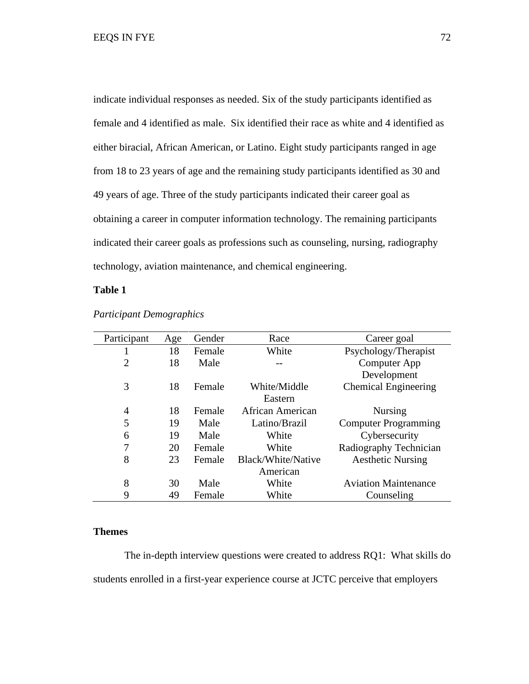indicate individual responses as needed. Six of the study participants identified as female and 4 identified as male. Six identified their race as white and 4 identified as either biracial, African American, or Latino. Eight study participants ranged in age from 18 to 23 years of age and the remaining study participants identified as 30 and 49 years of age. Three of the study participants indicated their career goal as obtaining a career in computer information technology. The remaining participants indicated their career goals as professions such as counseling, nursing, radiography technology, aviation maintenance, and chemical engineering.

# **Table 1**

| Participant    | Age | Gender | Race               | Career goal                 |
|----------------|-----|--------|--------------------|-----------------------------|
|                | 18  | Female | White              | Psychology/Therapist        |
| $\overline{2}$ | 18  | Male   |                    | Computer App                |
|                |     |        |                    | Development                 |
| 3              | 18  | Female | White/Middle       | <b>Chemical Engineering</b> |
|                |     |        | Eastern            |                             |
| $\overline{4}$ | 18  | Female | African American   | <b>Nursing</b>              |
| 5              | 19  | Male   | Latino/Brazil      | <b>Computer Programming</b> |
| 6              | 19  | Male   | White              | Cybersecurity               |
| 7              | 20  | Female | White              | Radiography Technician      |
| 8              | 23  | Female | Black/White/Native | <b>Aesthetic Nursing</b>    |
|                |     |        | American           |                             |
| 8              | 30  | Male   | White              | <b>Aviation Maintenance</b> |
| 9              | 49  | Female | White              | Counseling                  |

# *Participant Demographics*

## **Themes**

The in-depth interview questions were created to address RQ1: What skills do students enrolled in a first-year experience course at JCTC perceive that employers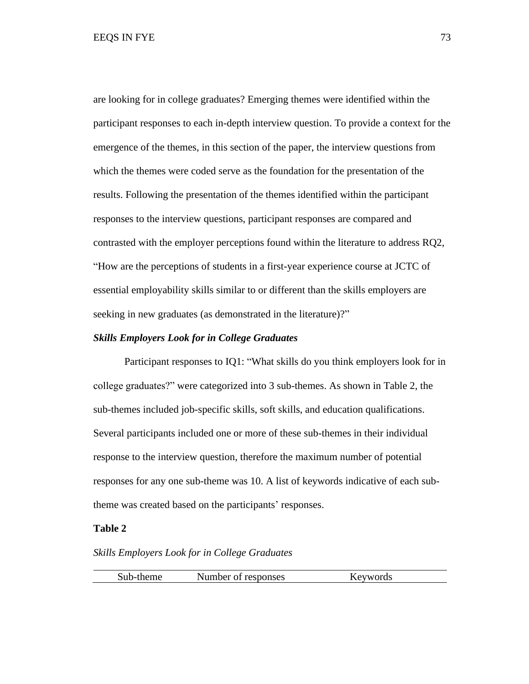are looking for in college graduates? Emerging themes were identified within the participant responses to each in-depth interview question. To provide a context for the emergence of the themes, in this section of the paper, the interview questions from which the themes were coded serve as the foundation for the presentation of the results. Following the presentation of the themes identified within the participant responses to the interview questions, participant responses are compared and contrasted with the employer perceptions found within the literature to address RQ2, "How are the perceptions of students in a first-year experience course at JCTC of essential employability skills similar to or different than the skills employers are seeking in new graduates (as demonstrated in the literature)?"

## *Skills Employers Look for in College Graduates*

Participant responses to IQ1: "What skills do you think employers look for in college graduates?" were categorized into 3 sub-themes. As shown in Table 2, the sub-themes included job-specific skills, soft skills, and education qualifications. Several participants included one or more of these sub-themes in their individual response to the interview question, therefore the maximum number of potential responses for any one sub-theme was 10. A list of keywords indicative of each subtheme was created based on the participants' responses.

#### **Table 2**

## *Skills Employers Look for in College Graduates*

| Sub-theme<br>Number of responses<br>Keywords |  |
|----------------------------------------------|--|
|----------------------------------------------|--|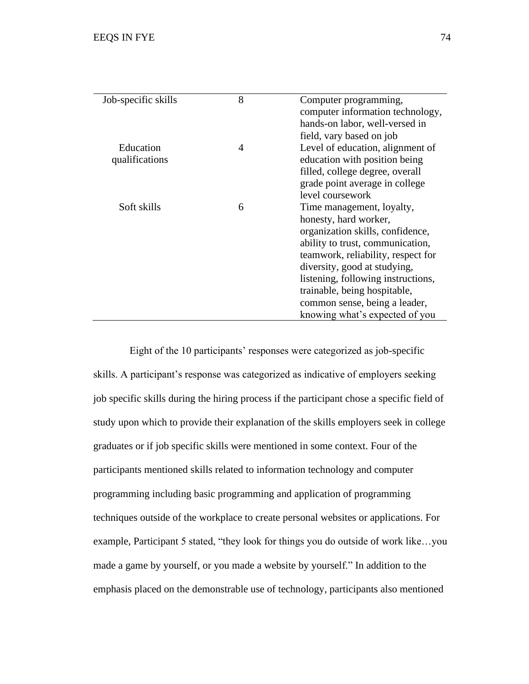| Job-specific skills | 8              | Computer programming,              |
|---------------------|----------------|------------------------------------|
|                     |                | computer information technology,   |
|                     |                | hands-on labor, well-versed in     |
|                     |                | field, vary based on job           |
| Education           | $\overline{4}$ | Level of education, alignment of   |
| qualifications      |                | education with position being      |
|                     |                | filled, college degree, overall    |
|                     |                | grade point average in college     |
|                     |                | level coursework                   |
| Soft skills         | 6              | Time management, loyalty,          |
|                     |                | honesty, hard worker,              |
|                     |                | organization skills, confidence,   |
|                     |                | ability to trust, communication,   |
|                     |                | teamwork, reliability, respect for |
|                     |                | diversity, good at studying,       |
|                     |                | listening, following instructions, |
|                     |                | trainable, being hospitable,       |
|                     |                | common sense, being a leader,      |
|                     |                | knowing what's expected of you     |

 Eight of the 10 participants' responses were categorized as job-specific skills. A participant's response was categorized as indicative of employers seeking job specific skills during the hiring process if the participant chose a specific field of study upon which to provide their explanation of the skills employers seek in college graduates or if job specific skills were mentioned in some context. Four of the participants mentioned skills related to information technology and computer programming including basic programming and application of programming techniques outside of the workplace to create personal websites or applications. For example, Participant 5 stated, "they look for things you do outside of work like…you made a game by yourself, or you made a website by yourself." In addition to the emphasis placed on the demonstrable use of technology, participants also mentioned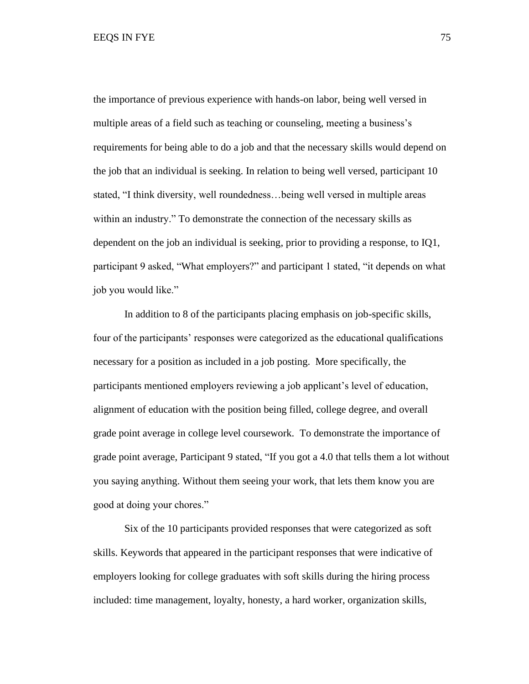the importance of previous experience with hands-on labor, being well versed in multiple areas of a field such as teaching or counseling, meeting a business's requirements for being able to do a job and that the necessary skills would depend on the job that an individual is seeking. In relation to being well versed, participant 10 stated, "I think diversity, well roundedness…being well versed in multiple areas within an industry." To demonstrate the connection of the necessary skills as dependent on the job an individual is seeking, prior to providing a response, to IQ1, participant 9 asked, "What employers?" and participant 1 stated, "it depends on what job you would like."

In addition to 8 of the participants placing emphasis on job-specific skills, four of the participants' responses were categorized as the educational qualifications necessary for a position as included in a job posting. More specifically, the participants mentioned employers reviewing a job applicant's level of education, alignment of education with the position being filled, college degree, and overall grade point average in college level coursework. To demonstrate the importance of grade point average, Participant 9 stated, "If you got a 4.0 that tells them a lot without you saying anything. Without them seeing your work, that lets them know you are good at doing your chores."

Six of the 10 participants provided responses that were categorized as soft skills. Keywords that appeared in the participant responses that were indicative of employers looking for college graduates with soft skills during the hiring process included: time management, loyalty, honesty, a hard worker, organization skills,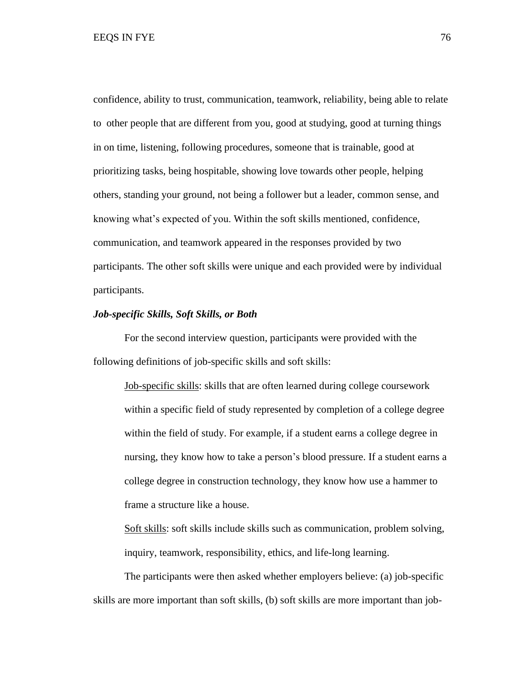confidence, ability to trust, communication, teamwork, reliability, being able to relate to other people that are different from you, good at studying, good at turning things in on time, listening, following procedures, someone that is trainable, good at prioritizing tasks, being hospitable, showing love towards other people, helping others, standing your ground, not being a follower but a leader, common sense, and knowing what's expected of you. Within the soft skills mentioned, confidence, communication, and teamwork appeared in the responses provided by two participants. The other soft skills were unique and each provided were by individual participants.

## *Job-specific Skills, Soft Skills, or Both*

For the second interview question, participants were provided with the following definitions of job-specific skills and soft skills:

Job-specific skills: skills that are often learned during college coursework within a specific field of study represented by completion of a college degree within the field of study. For example, if a student earns a college degree in nursing, they know how to take a person's blood pressure. If a student earns a college degree in construction technology, they know how use a hammer to frame a structure like a house.

Soft skills: soft skills include skills such as communication, problem solving, inquiry, teamwork, responsibility, ethics, and life-long learning.

The participants were then asked whether employers believe: (a) job-specific skills are more important than soft skills, (b) soft skills are more important than job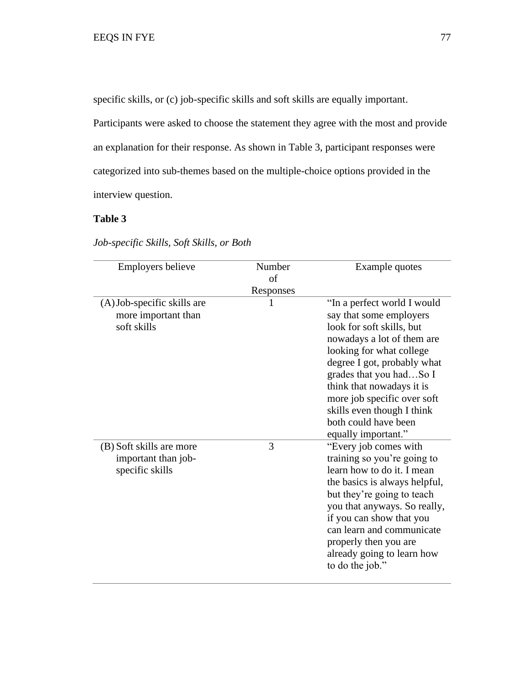specific skills, or (c) job-specific skills and soft skills are equally important.

Participants were asked to choose the statement they agree with the most and provide an explanation for their response. As shown in Table 3, participant responses were categorized into sub-themes based on the multiple-choice options provided in the interview question.

# **Table 3**

| <b>Employers believe</b>                                           | Number<br>of   | Example quotes                                                                                                                                                                                                                                                                                                                                   |
|--------------------------------------------------------------------|----------------|--------------------------------------------------------------------------------------------------------------------------------------------------------------------------------------------------------------------------------------------------------------------------------------------------------------------------------------------------|
| (A) Job-specific skills are<br>more important than<br>soft skills  | Responses<br>1 | "In a perfect world I would<br>say that some employers<br>look for soft skills, but<br>nowadays a lot of them are<br>looking for what college<br>degree I got, probably what<br>grades that you hadSo I<br>think that nowadays it is<br>more job specific over soft<br>skills even though I think<br>both could have been<br>equally important." |
| (B) Soft skills are more<br>important than job-<br>specific skills | 3              | "Every job comes with<br>training so you're going to<br>learn how to do it. I mean<br>the basics is always helpful,<br>but they're going to teach<br>you that anyways. So really,<br>if you can show that you<br>can learn and communicate<br>properly then you are<br>already going to learn how<br>to do the job."                             |

*Job-specific Skills, Soft Skills, or Both*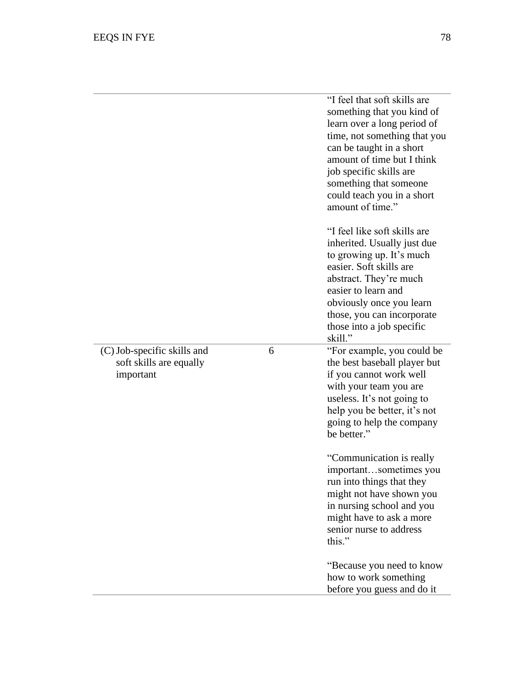|                                                                     |   | "I feel that soft skills are<br>something that you kind of<br>learn over a long period of<br>time, not something that you<br>can be taught in a short<br>amount of time but I think<br>job specific skills are<br>something that someone<br>could teach you in a short<br>amount of time." |
|---------------------------------------------------------------------|---|--------------------------------------------------------------------------------------------------------------------------------------------------------------------------------------------------------------------------------------------------------------------------------------------|
|                                                                     |   | "I feel like soft skills are<br>inherited. Usually just due<br>to growing up. It's much<br>easier. Soft skills are<br>abstract. They're much<br>easier to learn and<br>obviously once you learn<br>those, you can incorporate<br>those into a job specific<br>skill."                      |
| (C) Job-specific skills and<br>soft skills are equally<br>important | 6 | "For example, you could be<br>the best baseball player but<br>if you cannot work well<br>with your team you are<br>useless. It's not going to<br>help you be better, it's not<br>going to help the company<br>be better."                                                                  |
|                                                                     |   | "Communication is really"<br>importantsometimes you<br>run into things that they<br>might not have shown you<br>in nursing school and you<br>might have to ask a more<br>senior nurse to address<br>this."                                                                                 |
|                                                                     |   | "Because you need to know<br>how to work something<br>before you guess and do it                                                                                                                                                                                                           |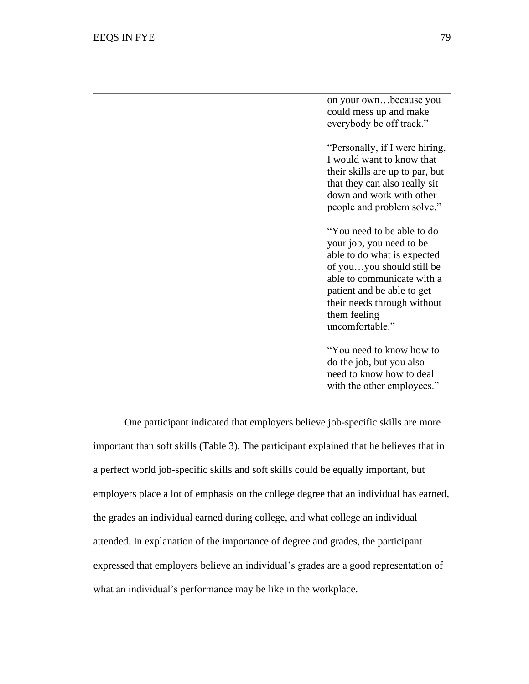on your own…because you could mess up and make everybody be off track."

"Personally, if I were hiring, I would want to know that their skills are up to par, but that they can also really sit down and work with other people and problem solve."

"You need to be able to do your job, you need to be able to do what is expected of you…you should still be able to communicate with a patient and be able to get their needs through without them feeling uncomfortable."

"You need to know how to do the job, but you also need to know how to deal with the other employees."

One participant indicated that employers believe job-specific skills are more important than soft skills (Table 3). The participant explained that he believes that in a perfect world job-specific skills and soft skills could be equally important, but employers place a lot of emphasis on the college degree that an individual has earned, the grades an individual earned during college, and what college an individual attended. In explanation of the importance of degree and grades, the participant expressed that employers believe an individual's grades are a good representation of what an individual's performance may be like in the workplace.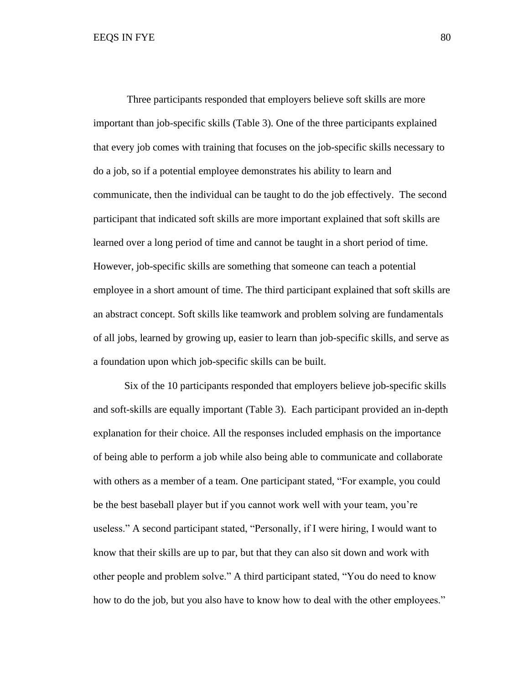Three participants responded that employers believe soft skills are more important than job-specific skills (Table 3). One of the three participants explained that every job comes with training that focuses on the job-specific skills necessary to do a job, so if a potential employee demonstrates his ability to learn and communicate, then the individual can be taught to do the job effectively. The second participant that indicated soft skills are more important explained that soft skills are learned over a long period of time and cannot be taught in a short period of time. However, job-specific skills are something that someone can teach a potential employee in a short amount of time. The third participant explained that soft skills are an abstract concept. Soft skills like teamwork and problem solving are fundamentals of all jobs, learned by growing up, easier to learn than job-specific skills, and serve as a foundation upon which job-specific skills can be built.

Six of the 10 participants responded that employers believe job-specific skills and soft-skills are equally important (Table 3). Each participant provided an in-depth explanation for their choice. All the responses included emphasis on the importance of being able to perform a job while also being able to communicate and collaborate with others as a member of a team. One participant stated, "For example, you could be the best baseball player but if you cannot work well with your team, you're useless." A second participant stated, "Personally, if I were hiring, I would want to know that their skills are up to par, but that they can also sit down and work with other people and problem solve." A third participant stated, "You do need to know how to do the job, but you also have to know how to deal with the other employees."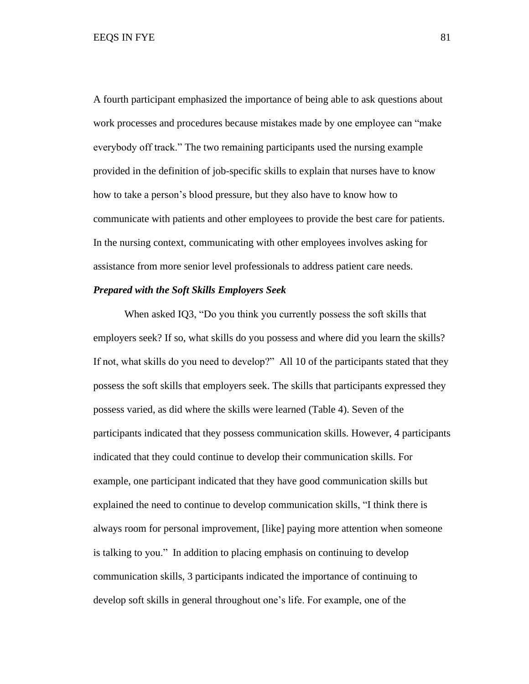A fourth participant emphasized the importance of being able to ask questions about work processes and procedures because mistakes made by one employee can "make everybody off track." The two remaining participants used the nursing example provided in the definition of job-specific skills to explain that nurses have to know how to take a person's blood pressure, but they also have to know how to communicate with patients and other employees to provide the best care for patients. In the nursing context, communicating with other employees involves asking for assistance from more senior level professionals to address patient care needs.

#### *Prepared with the Soft Skills Employers Seek*

When asked IQ3, "Do you think you currently possess the soft skills that employers seek? If so, what skills do you possess and where did you learn the skills? If not, what skills do you need to develop?" All 10 of the participants stated that they possess the soft skills that employers seek. The skills that participants expressed they possess varied, as did where the skills were learned (Table 4). Seven of the participants indicated that they possess communication skills. However, 4 participants indicated that they could continue to develop their communication skills. For example, one participant indicated that they have good communication skills but explained the need to continue to develop communication skills, "I think there is always room for personal improvement, [like] paying more attention when someone is talking to you." In addition to placing emphasis on continuing to develop communication skills, 3 participants indicated the importance of continuing to develop soft skills in general throughout one's life. For example, one of the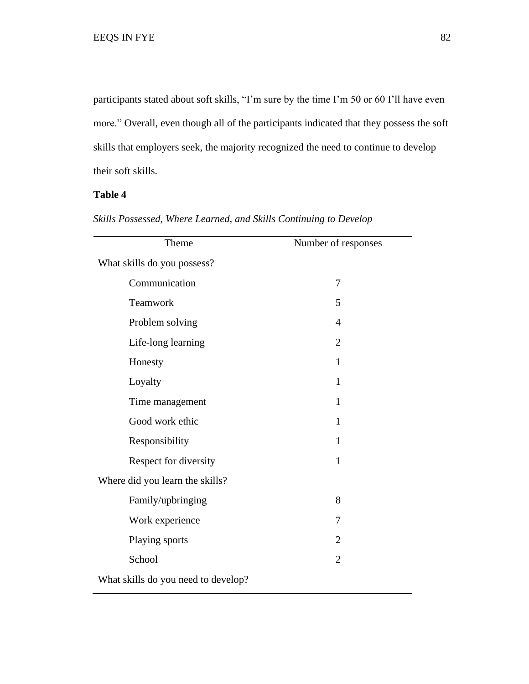participants stated about soft skills, "I'm sure by the time I'm 50 or 60 I'll have even more." Overall, even though all of the participants indicated that they possess the soft skills that employers seek, the majority recognized the need to continue to develop their soft skills.

# **Table 4**

| Theme                               | Number of responses |  |
|-------------------------------------|---------------------|--|
| What skills do you possess?         |                     |  |
| Communication                       | 7                   |  |
| Teamwork                            | 5                   |  |
| Problem solving                     | $\overline{4}$      |  |
| Life-long learning                  | $\overline{2}$      |  |
| Honesty                             | 1                   |  |
| Loyalty                             | 1                   |  |
| Time management                     | $\mathbf{1}$        |  |
| Good work ethic                     | $\mathbf{1}$        |  |
| Responsibility                      | $\mathbf{1}$        |  |
| Respect for diversity               | $\mathbf{1}$        |  |
| Where did you learn the skills?     |                     |  |
| Family/upbringing                   | 8                   |  |
| Work experience                     | 7                   |  |
| Playing sports                      | 2                   |  |
| School                              | $\overline{2}$      |  |
| What skills do you need to develop? |                     |  |

*Skills Possessed, Where Learned, and Skills Continuing to Develop*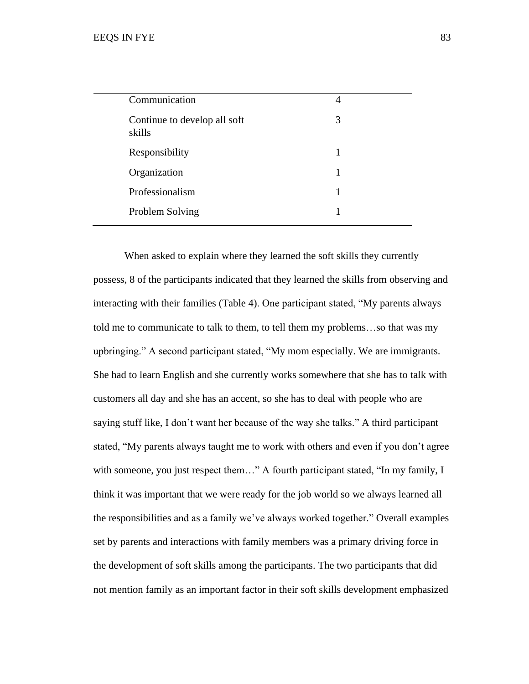| Communication                          | 4 |
|----------------------------------------|---|
| Continue to develop all soft<br>skills | 3 |
| Responsibility                         | 1 |
| Organization                           | 1 |
| Professionalism                        | 1 |
| Problem Solving                        |   |
|                                        |   |

When asked to explain where they learned the soft skills they currently possess, 8 of the participants indicated that they learned the skills from observing and interacting with their families (Table 4). One participant stated, "My parents always told me to communicate to talk to them, to tell them my problems…so that was my upbringing." A second participant stated, "My mom especially. We are immigrants. She had to learn English and she currently works somewhere that she has to talk with customers all day and she has an accent, so she has to deal with people who are saying stuff like, I don't want her because of the way she talks." A third participant stated, "My parents always taught me to work with others and even if you don't agree with someone, you just respect them..." A fourth participant stated, "In my family, I think it was important that we were ready for the job world so we always learned all the responsibilities and as a family we've always worked together." Overall examples set by parents and interactions with family members was a primary driving force in the development of soft skills among the participants. The two participants that did not mention family as an important factor in their soft skills development emphasized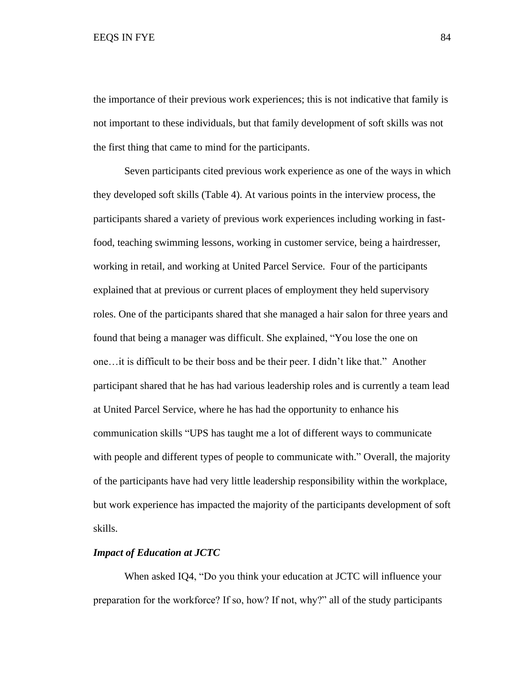the importance of their previous work experiences; this is not indicative that family is not important to these individuals, but that family development of soft skills was not the first thing that came to mind for the participants.

Seven participants cited previous work experience as one of the ways in which they developed soft skills (Table 4). At various points in the interview process, the participants shared a variety of previous work experiences including working in fastfood, teaching swimming lessons, working in customer service, being a hairdresser, working in retail, and working at United Parcel Service. Four of the participants explained that at previous or current places of employment they held supervisory roles. One of the participants shared that she managed a hair salon for three years and found that being a manager was difficult. She explained, "You lose the one on one…it is difficult to be their boss and be their peer. I didn't like that." Another participant shared that he has had various leadership roles and is currently a team lead at United Parcel Service, where he has had the opportunity to enhance his communication skills "UPS has taught me a lot of different ways to communicate with people and different types of people to communicate with." Overall, the majority of the participants have had very little leadership responsibility within the workplace, but work experience has impacted the majority of the participants development of soft skills.

## *Impact of Education at JCTC*

When asked IQ4, "Do you think your education at JCTC will influence your preparation for the workforce? If so, how? If not, why?" all of the study participants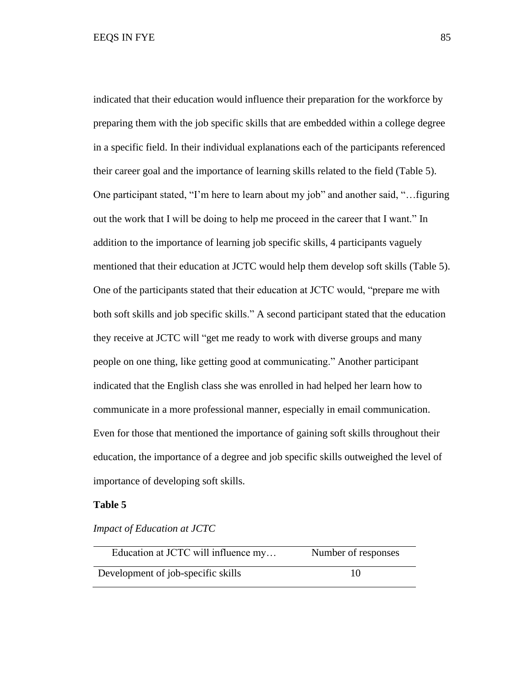indicated that their education would influence their preparation for the workforce by preparing them with the job specific skills that are embedded within a college degree in a specific field. In their individual explanations each of the participants referenced their career goal and the importance of learning skills related to the field (Table 5). One participant stated, "I'm here to learn about my job" and another said, "…figuring out the work that I will be doing to help me proceed in the career that I want." In addition to the importance of learning job specific skills, 4 participants vaguely mentioned that their education at JCTC would help them develop soft skills (Table 5). One of the participants stated that their education at JCTC would, "prepare me with both soft skills and job specific skills." A second participant stated that the education they receive at JCTC will "get me ready to work with diverse groups and many people on one thing, like getting good at communicating." Another participant indicated that the English class she was enrolled in had helped her learn how to communicate in a more professional manner, especially in email communication. Even for those that mentioned the importance of gaining soft skills throughout their education, the importance of a degree and job specific skills outweighed the level of importance of developing soft skills.

## **Table 5**

*Impact of Education at JCTC*

| Education at JCTC will influence my | Number of responses |
|-------------------------------------|---------------------|
| Development of job-specific skills  | 10                  |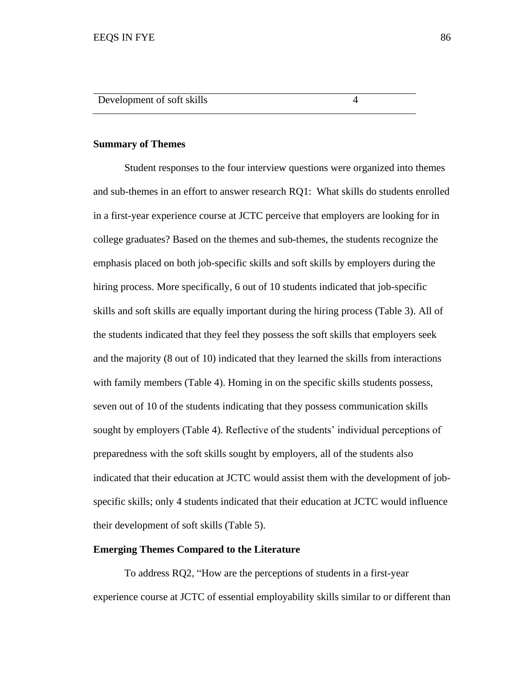#### **Summary of Themes**

Student responses to the four interview questions were organized into themes and sub-themes in an effort to answer research RQ1: What skills do students enrolled in a first-year experience course at JCTC perceive that employers are looking for in college graduates? Based on the themes and sub-themes, the students recognize the emphasis placed on both job-specific skills and soft skills by employers during the hiring process. More specifically, 6 out of 10 students indicated that job-specific skills and soft skills are equally important during the hiring process (Table 3). All of the students indicated that they feel they possess the soft skills that employers seek and the majority (8 out of 10) indicated that they learned the skills from interactions with family members (Table 4). Homing in on the specific skills students possess, seven out of 10 of the students indicating that they possess communication skills sought by employers (Table 4). Reflective of the students' individual perceptions of preparedness with the soft skills sought by employers, all of the students also indicated that their education at JCTC would assist them with the development of jobspecific skills; only 4 students indicated that their education at JCTC would influence their development of soft skills (Table 5).

#### **Emerging Themes Compared to the Literature**

To address RQ2, "How are the perceptions of students in a first-year experience course at JCTC of essential employability skills similar to or different than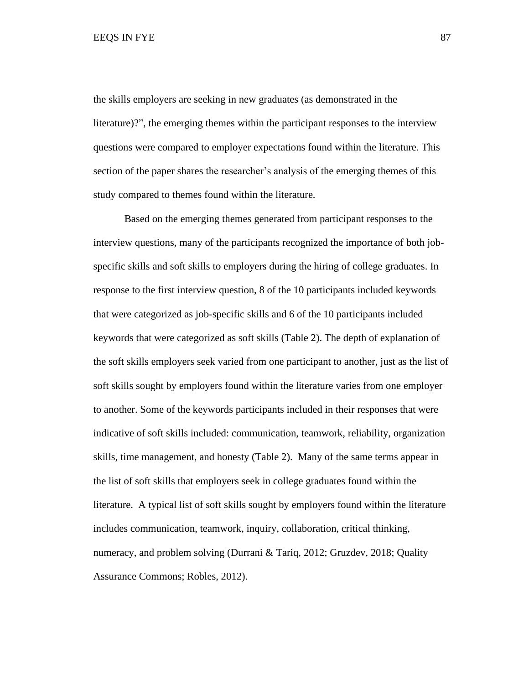the skills employers are seeking in new graduates (as demonstrated in the literature)?", the emerging themes within the participant responses to the interview questions were compared to employer expectations found within the literature. This section of the paper shares the researcher's analysis of the emerging themes of this study compared to themes found within the literature.

Based on the emerging themes generated from participant responses to the interview questions, many of the participants recognized the importance of both jobspecific skills and soft skills to employers during the hiring of college graduates. In response to the first interview question, 8 of the 10 participants included keywords that were categorized as job-specific skills and 6 of the 10 participants included keywords that were categorized as soft skills (Table 2). The depth of explanation of the soft skills employers seek varied from one participant to another, just as the list of soft skills sought by employers found within the literature varies from one employer to another. Some of the keywords participants included in their responses that were indicative of soft skills included: communication, teamwork, reliability, organization skills, time management, and honesty (Table 2). Many of the same terms appear in the list of soft skills that employers seek in college graduates found within the literature. A typical list of soft skills sought by employers found within the literature includes communication, teamwork, inquiry, collaboration, critical thinking, numeracy, and problem solving (Durrani & Tariq, 2012; Gruzdev, 2018; Quality Assurance Commons; Robles, 2012).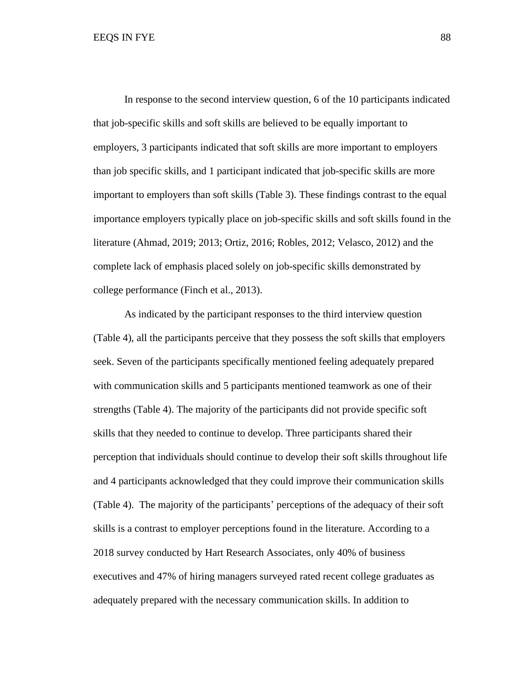In response to the second interview question, 6 of the 10 participants indicated that job-specific skills and soft skills are believed to be equally important to employers, 3 participants indicated that soft skills are more important to employers than job specific skills, and 1 participant indicated that job-specific skills are more important to employers than soft skills (Table 3). These findings contrast to the equal importance employers typically place on job-specific skills and soft skills found in the literature (Ahmad, 2019; 2013; Ortiz, 2016; Robles, 2012; Velasco, 2012) and the complete lack of emphasis placed solely on job-specific skills demonstrated by college performance (Finch et al., 2013).

As indicated by the participant responses to the third interview question (Table 4), all the participants perceive that they possess the soft skills that employers seek. Seven of the participants specifically mentioned feeling adequately prepared with communication skills and 5 participants mentioned teamwork as one of their strengths (Table 4). The majority of the participants did not provide specific soft skills that they needed to continue to develop. Three participants shared their perception that individuals should continue to develop their soft skills throughout life and 4 participants acknowledged that they could improve their communication skills (Table 4). The majority of the participants' perceptions of the adequacy of their soft skills is a contrast to employer perceptions found in the literature. According to a 2018 survey conducted by Hart Research Associates, only 40% of business executives and 47% of hiring managers surveyed rated recent college graduates as adequately prepared with the necessary communication skills. In addition to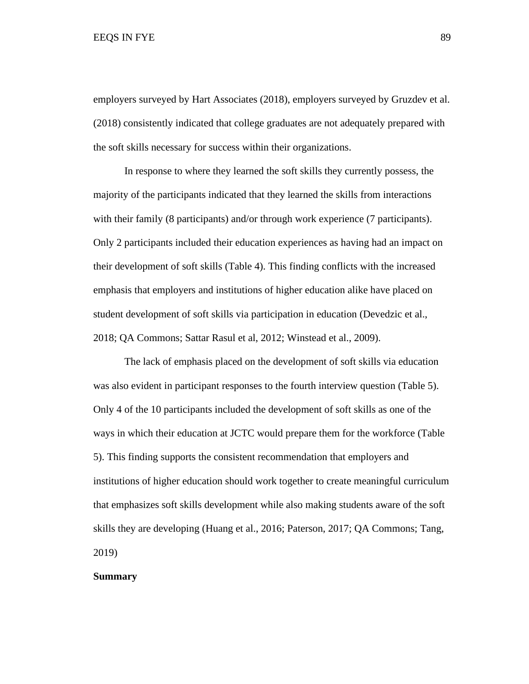#### EEQS IN FYE 89

employers surveyed by Hart Associates (2018), employers surveyed by Gruzdev et al. (2018) consistently indicated that college graduates are not adequately prepared with the soft skills necessary for success within their organizations.

In response to where they learned the soft skills they currently possess, the majority of the participants indicated that they learned the skills from interactions with their family (8 participants) and/or through work experience (7 participants). Only 2 participants included their education experiences as having had an impact on their development of soft skills (Table 4). This finding conflicts with the increased emphasis that employers and institutions of higher education alike have placed on student development of soft skills via participation in education (Devedzic et al., 2018; QA Commons; Sattar Rasul et al, 2012; Winstead et al., 2009).

The lack of emphasis placed on the development of soft skills via education was also evident in participant responses to the fourth interview question (Table 5). Only 4 of the 10 participants included the development of soft skills as one of the ways in which their education at JCTC would prepare them for the workforce (Table 5). This finding supports the consistent recommendation that employers and institutions of higher education should work together to create meaningful curriculum that emphasizes soft skills development while also making students aware of the soft skills they are developing (Huang et al., 2016; Paterson, 2017; QA Commons; Tang, 2019)

## **Summary**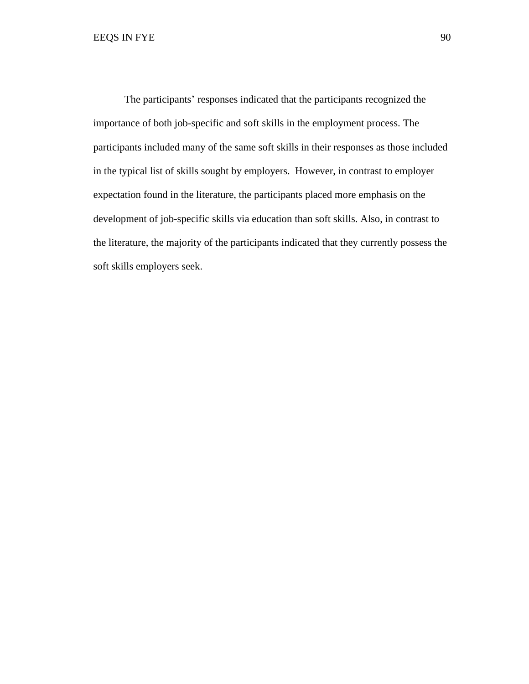The participants' responses indicated that the participants recognized the importance of both job-specific and soft skills in the employment process. The participants included many of the same soft skills in their responses as those included in the typical list of skills sought by employers. However, in contrast to employer expectation found in the literature, the participants placed more emphasis on the development of job-specific skills via education than soft skills. Also, in contrast to the literature, the majority of the participants indicated that they currently possess the soft skills employers seek.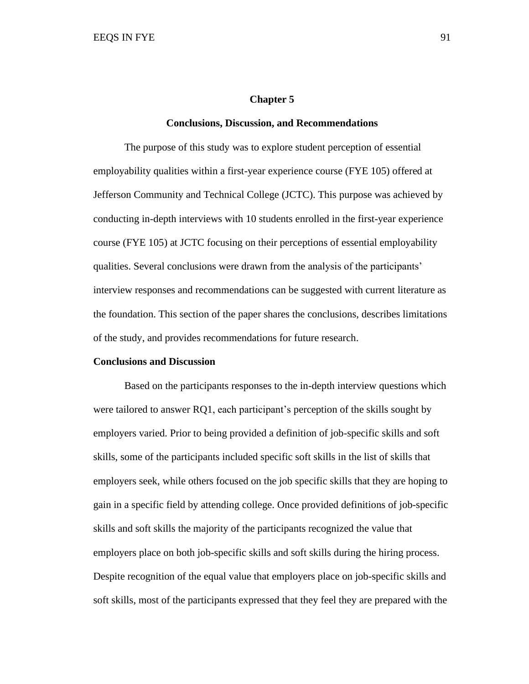#### **Chapter 5**

#### **Conclusions, Discussion, and Recommendations**

The purpose of this study was to explore student perception of essential employability qualities within a first-year experience course (FYE 105) offered at Jefferson Community and Technical College (JCTC). This purpose was achieved by conducting in-depth interviews with 10 students enrolled in the first-year experience course (FYE 105) at JCTC focusing on their perceptions of essential employability qualities. Several conclusions were drawn from the analysis of the participants' interview responses and recommendations can be suggested with current literature as the foundation. This section of the paper shares the conclusions, describes limitations of the study, and provides recommendations for future research.

## **Conclusions and Discussion**

Based on the participants responses to the in-depth interview questions which were tailored to answer RQ1, each participant's perception of the skills sought by employers varied. Prior to being provided a definition of job-specific skills and soft skills, some of the participants included specific soft skills in the list of skills that employers seek, while others focused on the job specific skills that they are hoping to gain in a specific field by attending college. Once provided definitions of job-specific skills and soft skills the majority of the participants recognized the value that employers place on both job-specific skills and soft skills during the hiring process. Despite recognition of the equal value that employers place on job-specific skills and soft skills, most of the participants expressed that they feel they are prepared with the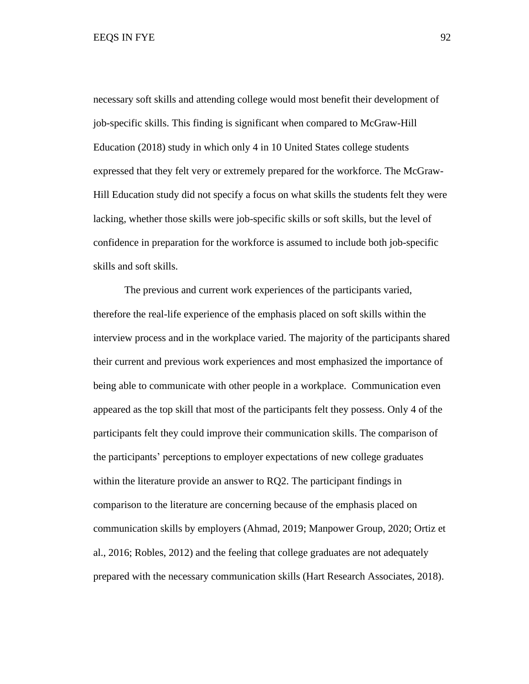necessary soft skills and attending college would most benefit their development of job-specific skills. This finding is significant when compared to McGraw-Hill Education (2018) study in which only 4 in 10 United States college students expressed that they felt very or extremely prepared for the workforce. The McGraw-Hill Education study did not specify a focus on what skills the students felt they were lacking, whether those skills were job-specific skills or soft skills, but the level of confidence in preparation for the workforce is assumed to include both job-specific skills and soft skills.

The previous and current work experiences of the participants varied, therefore the real-life experience of the emphasis placed on soft skills within the interview process and in the workplace varied. The majority of the participants shared their current and previous work experiences and most emphasized the importance of being able to communicate with other people in a workplace. Communication even appeared as the top skill that most of the participants felt they possess. Only 4 of the participants felt they could improve their communication skills. The comparison of the participants' perceptions to employer expectations of new college graduates within the literature provide an answer to RQ2. The participant findings in comparison to the literature are concerning because of the emphasis placed on communication skills by employers (Ahmad, 2019; Manpower Group, 2020; Ortiz et al., 2016; Robles, 2012) and the feeling that college graduates are not adequately prepared with the necessary communication skills (Hart Research Associates, 2018).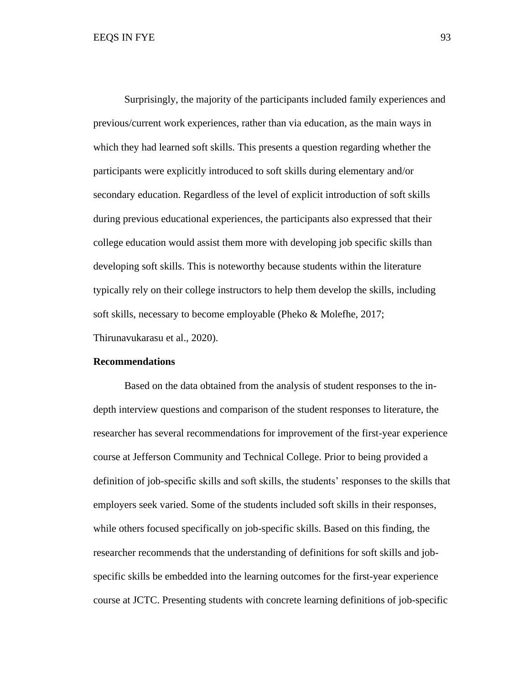Surprisingly, the majority of the participants included family experiences and previous/current work experiences, rather than via education, as the main ways in which they had learned soft skills. This presents a question regarding whether the participants were explicitly introduced to soft skills during elementary and/or secondary education. Regardless of the level of explicit introduction of soft skills during previous educational experiences, the participants also expressed that their college education would assist them more with developing job specific skills than developing soft skills. This is noteworthy because students within the literature typically rely on their college instructors to help them develop the skills, including soft skills, necessary to become employable (Pheko & Molefhe, 2017; Thirunavukarasu et al., 2020).

#### **Recommendations**

Based on the data obtained from the analysis of student responses to the indepth interview questions and comparison of the student responses to literature, the researcher has several recommendations for improvement of the first-year experience course at Jefferson Community and Technical College. Prior to being provided a definition of job-specific skills and soft skills, the students' responses to the skills that employers seek varied. Some of the students included soft skills in their responses, while others focused specifically on job-specific skills. Based on this finding, the researcher recommends that the understanding of definitions for soft skills and jobspecific skills be embedded into the learning outcomes for the first-year experience course at JCTC. Presenting students with concrete learning definitions of job-specific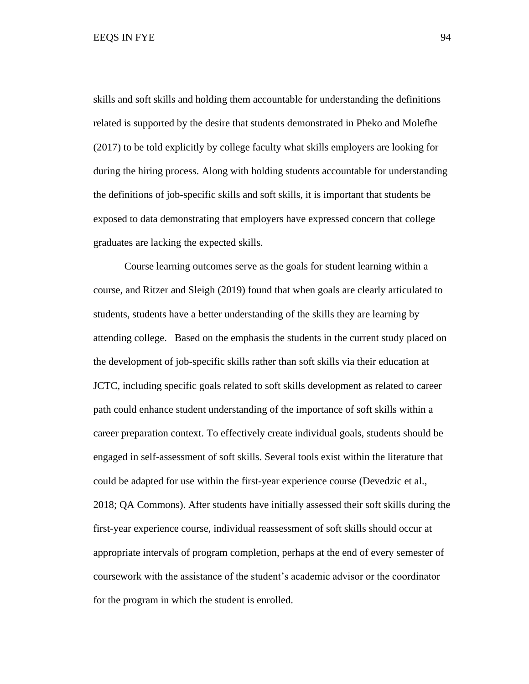EEQS IN FYE 94

skills and soft skills and holding them accountable for understanding the definitions related is supported by the desire that students demonstrated in Pheko and Molefhe (2017) to be told explicitly by college faculty what skills employers are looking for during the hiring process. Along with holding students accountable for understanding the definitions of job-specific skills and soft skills, it is important that students be exposed to data demonstrating that employers have expressed concern that college graduates are lacking the expected skills.

Course learning outcomes serve as the goals for student learning within a course, and Ritzer and Sleigh (2019) found that when goals are clearly articulated to students, students have a better understanding of the skills they are learning by attending college. Based on the emphasis the students in the current study placed on the development of job-specific skills rather than soft skills via their education at JCTC, including specific goals related to soft skills development as related to career path could enhance student understanding of the importance of soft skills within a career preparation context. To effectively create individual goals, students should be engaged in self-assessment of soft skills. Several tools exist within the literature that could be adapted for use within the first-year experience course (Devedzic et al., 2018; QA Commons). After students have initially assessed their soft skills during the first-year experience course, individual reassessment of soft skills should occur at appropriate intervals of program completion, perhaps at the end of every semester of coursework with the assistance of the student's academic advisor or the coordinator for the program in which the student is enrolled.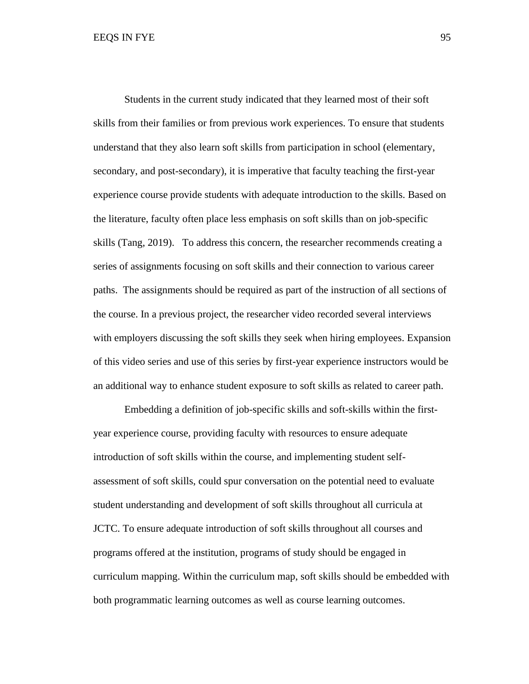Students in the current study indicated that they learned most of their soft skills from their families or from previous work experiences. To ensure that students understand that they also learn soft skills from participation in school (elementary, secondary, and post-secondary), it is imperative that faculty teaching the first-year experience course provide students with adequate introduction to the skills. Based on the literature, faculty often place less emphasis on soft skills than on job-specific skills (Tang, 2019). To address this concern, the researcher recommends creating a series of assignments focusing on soft skills and their connection to various career paths. The assignments should be required as part of the instruction of all sections of the course. In a previous project, the researcher video recorded several interviews with employers discussing the soft skills they seek when hiring employees. Expansion of this video series and use of this series by first-year experience instructors would be an additional way to enhance student exposure to soft skills as related to career path.

Embedding a definition of job-specific skills and soft-skills within the firstyear experience course, providing faculty with resources to ensure adequate introduction of soft skills within the course, and implementing student selfassessment of soft skills, could spur conversation on the potential need to evaluate student understanding and development of soft skills throughout all curricula at JCTC. To ensure adequate introduction of soft skills throughout all courses and programs offered at the institution, programs of study should be engaged in curriculum mapping. Within the curriculum map, soft skills should be embedded with both programmatic learning outcomes as well as course learning outcomes.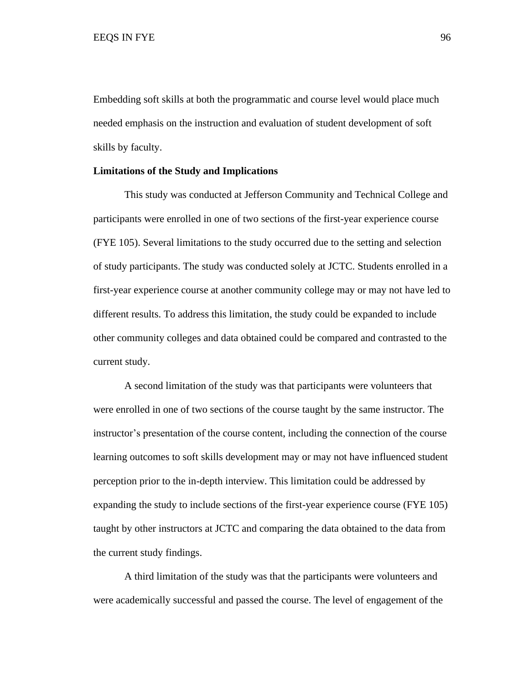Embedding soft skills at both the programmatic and course level would place much needed emphasis on the instruction and evaluation of student development of soft skills by faculty.

#### **Limitations of the Study and Implications**

This study was conducted at Jefferson Community and Technical College and participants were enrolled in one of two sections of the first-year experience course (FYE 105). Several limitations to the study occurred due to the setting and selection of study participants. The study was conducted solely at JCTC. Students enrolled in a first-year experience course at another community college may or may not have led to different results. To address this limitation, the study could be expanded to include other community colleges and data obtained could be compared and contrasted to the current study.

A second limitation of the study was that participants were volunteers that were enrolled in one of two sections of the course taught by the same instructor. The instructor's presentation of the course content, including the connection of the course learning outcomes to soft skills development may or may not have influenced student perception prior to the in-depth interview. This limitation could be addressed by expanding the study to include sections of the first-year experience course (FYE 105) taught by other instructors at JCTC and comparing the data obtained to the data from the current study findings.

A third limitation of the study was that the participants were volunteers and were academically successful and passed the course. The level of engagement of the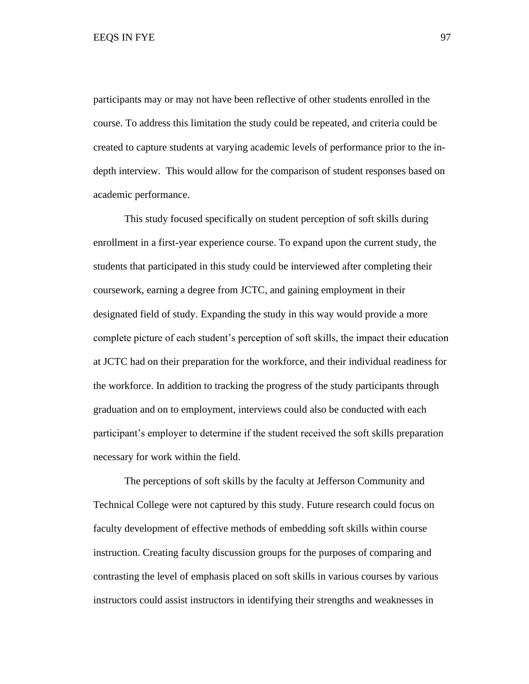participants may or may not have been reflective of other students enrolled in the course. To address this limitation the study could be repeated, and criteria could be created to capture students at varying academic levels of performance prior to the indepth interview. This would allow for the comparison of student responses based on academic performance.

This study focused specifically on student perception of soft skills during enrollment in a first-year experience course. To expand upon the current study, the students that participated in this study could be interviewed after completing their coursework, earning a degree from JCTC, and gaining employment in their designated field of study. Expanding the study in this way would provide a more complete picture of each student's perception of soft skills, the impact their education at JCTC had on their preparation for the workforce, and their individual readiness for the workforce. In addition to tracking the progress of the study participants through graduation and on to employment, interviews could also be conducted with each participant's employer to determine if the student received the soft skills preparation necessary for work within the field.

The perceptions of soft skills by the faculty at Jefferson Community and Technical College were not captured by this study. Future research could focus on faculty development of effective methods of embedding soft skills within course instruction. Creating faculty discussion groups for the purposes of comparing and contrasting the level of emphasis placed on soft skills in various courses by various instructors could assist instructors in identifying their strengths and weaknesses in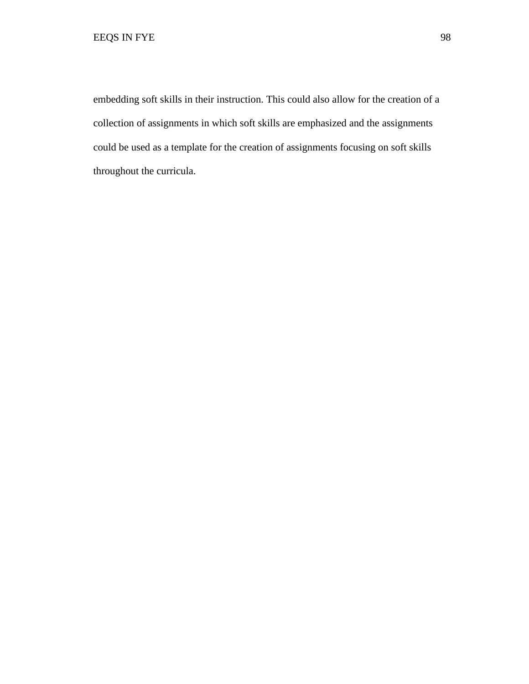embedding soft skills in their instruction. This could also allow for the creation of a collection of assignments in which soft skills are emphasized and the assignments could be used as a template for the creation of assignments focusing on soft skills throughout the curricula.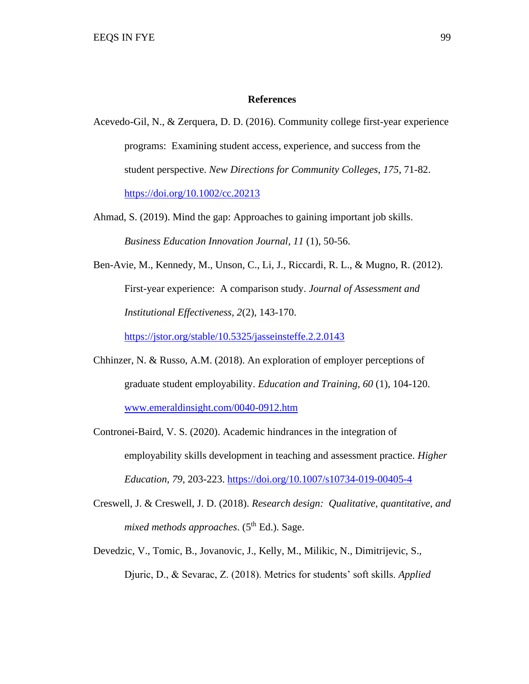#### **References**

- Acevedo-Gil, N., & Zerquera, D. D. (2016). Community college first-year experience programs: Examining student access, experience, and success from the student perspective. *New Directions for Community Colleges*, *175*, 71-82. <https://doi.org/10.1002/cc.20213>
- Ahmad, S. (2019). Mind the gap: Approaches to gaining important job skills. *Business Education Innovation Journal, 11* (1), 50-56.
- Ben-Avie, M., Kennedy, M., Unson, C., Li, J., Riccardi, R. L., & Mugno, R. (2012). First-year experience: A comparison study. *Journal of Assessment and Institutional Effectiveness, 2*(2), 143-170. <https://jstor.org/stable/10.5325/jasseinsteffe.2.2.0143>
- Chhinzer, N. & Russo, A.M. (2018). An exploration of employer perceptions of graduate student employability. *Education and Training, 60* (1), 104-120. [www.emeraldinsight.com/0040-0912.htm](http://www.emeraldinsight.com/0040-0912.htm)
- Contronei-Baird, V. S. (2020). Academic hindrances in the integration of employability skills development in teaching and assessment practice. *Higher Education, 79*, 203-223. <https://doi.org/10.1007/s10734-019-00405-4>
- Creswell, J. & Creswell, J. D. (2018). *Research design: Qualitative, quantitative, and mixed methods approaches.* (5<sup>th</sup> Ed.). Sage.
- Devedzic, V., Tomic, B., Jovanovic, J., Kelly, M., Milikic, N., Dimitrijevic, S., Djuric, D., & Sevarac, Z. (2018). Metrics for students' soft skills. *Applied*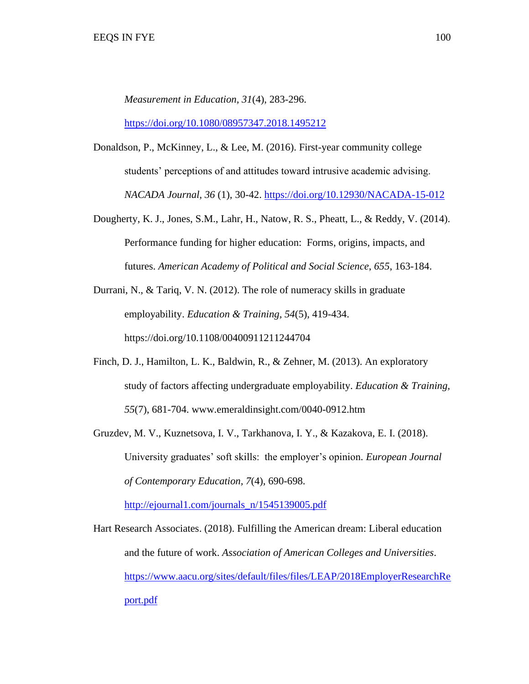*Measurement in Education, 31*(4), 283-296.

<https://doi.org/10.1080/08957347.2018.1495212>

- Donaldson, P., McKinney, L., & Lee, M. (2016). First-year community college students' perceptions of and attitudes toward intrusive academic advising. *NACADA Journal, 36* (1), 30-42.<https://doi.org/10.12930/NACADA-15-012>
- Dougherty, K. J., Jones, S.M., Lahr, H., Natow, R. S., Pheatt, L., & Reddy, V. (2014). Performance funding for higher education: Forms, origins, impacts, and futures. *American Academy of Political and Social Science*, *655*, 163-184.
- Durrani, N., & Tariq, V. N. (2012). The role of numeracy skills in graduate employability. *Education & Training, 54*(5), 419-434. <https://doi.org/10.1108/00400911211244704>
- Finch, D. J., Hamilton, L. K., Baldwin, R., & Zehner, M. (2013). An exploratory study of factors affecting undergraduate employability. *Education & Training, 55*(7), 681-704. [www.emeraldinsight.com/0040-0912.htm](http://www.emeraldinsight.com/0040-0912.htm)
- Gruzdev, M. V., Kuznetsova, I. V., Tarkhanova, I. Y., & Kazakova, E. I. (2018). University graduates' soft skills: the employer's opinion*. European Journal of Contemporary Education, 7*(4), 690-698.

[http://ejournal1.com/journals\\_n/1545139005.pdf](http://ejournal1.com/journals_n/1545139005.pdf)

Hart Research Associates. (2018). Fulfilling the American dream: Liberal education and the future of work. *Association of American Colleges and Universities*. [https://www.aacu.org/sites/default/files/files/LEAP/2018EmployerResearchRe](https://www.aacu.org/sites/default/files/files/LEAP/2018EmployerResearchRe%09port.pdf) [port.pdf](https://www.aacu.org/sites/default/files/files/LEAP/2018EmployerResearchRe%09port.pdf)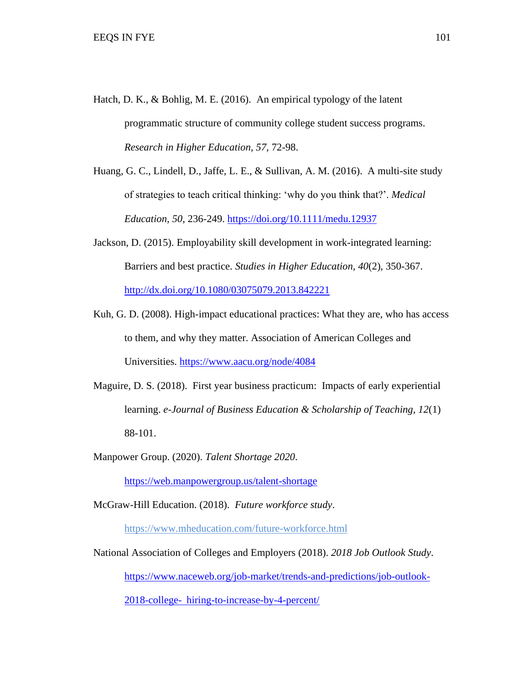Hatch, D. K., & Bohlig, M. E. (2016). An empirical typology of the latent programmatic structure of community college student success programs. *Research in Higher Education, 57*, 72-98.

Huang, G. C., Lindell, D., Jaffe, L. E., & Sullivan, A. M. (2016). A multi-site study of strategies to teach critical thinking: 'why do you think that?'. *Medical Education, 50*, 236-249.<https://doi.org/10.1111/medu.12937>

- Jackson, D. (2015). Employability skill development in work-integrated learning: Barriers and best practice. *Studies in Higher Education, 40*(2), 350-367. <http://dx.doi.org/10.1080/03075079.2013.842221>
- Kuh, G. D. (2008). High-impact educational practices: What they are, who has access to them, and why they matter. Association of American Colleges and Universities.<https://www.aacu.org/node/4084>
- Maguire, D. S. (2018). First year business practicum: Impacts of early experiential learning. *e-Journal of Business Education & Scholarship of Teaching, 12*(1) 88-101.
- Manpower Group. (2020). *Talent Shortage 2020*.

<https://web.manpowergroup.us/talent-shortage>

McGraw-Hill Education. (2018). *Future workforce study*.

<https://www.mheducation.com/future-workforce.html>

National Association of Colleges and Employers (2018). *2018 Job Outlook Study*. [https://www.naceweb.org/job-market/trends-and-predictions/job-outlook-](https://www.naceweb.org/job-market/trends-and-predictions/job-outlook-%092018-college-%09hiring-to-increase-by-4-percent/)

2018-college- [hiring-to-increase-by-4-percent/](https://www.naceweb.org/job-market/trends-and-predictions/job-outlook-%092018-college-%09hiring-to-increase-by-4-percent/)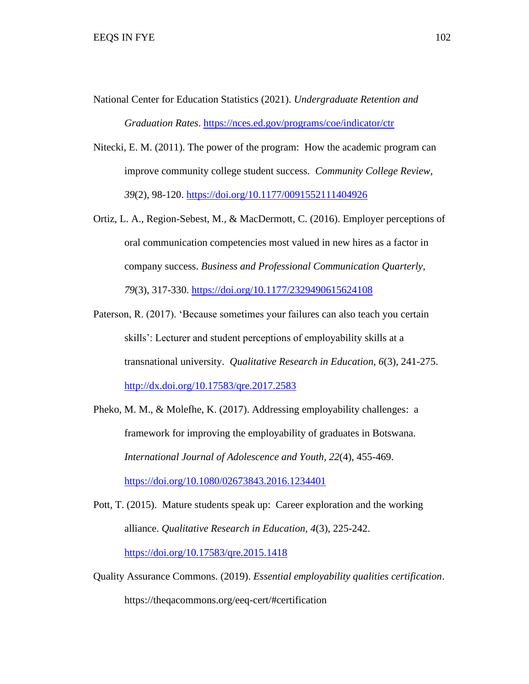- National Center for Education Statistics (2021). *Undergraduate Retention and Graduation Rates*. <https://nces.ed.gov/programs/coe/indicator/ctr>
- Nitecki, E. M. (2011). The power of the program: How the academic program can improve community college student success. *Community College Review, 39*(2), 98-120.<https://doi.org/10.1177/0091552111404926>
- Ortiz, L. A., Region-Sebest, M., & MacDermott, C. (2016). Employer perceptions of oral communication competencies most valued in new hires as a factor in company success. *Business and Professional Communication Quarterly, 79*(3), 317-330.<https://doi.org/10.1177/2329490615624108>
- Paterson, R. (2017). 'Because sometimes your failures can also teach you certain skills': Lecturer and student perceptions of employability skills at a transnational university. *Qualitative Research in Education, 6*(3), 241-275. <http://dx.doi.org/10.17583/qre.2017.2583>
- Pheko, M. M., & Molefhe, K. (2017). Addressing employability challenges: a framework for improving the employability of graduates in Botswana. *International Journal of Adolescence and Youth, 22*(4), 455-469. <https://doi.org/10.1080/02673843.2016.1234401>
- Pott, T. (2015). Mature students speak up: Career exploration and the working alliance. *Qualitative Research in Education, 4*(3), 225-242. <https://doi.org/10.17583/qre.2015.1418>
- Quality Assurance Commons. (2019). *Essential employability qualities certification*. https://theqacommons.org/eeq-cert/#certification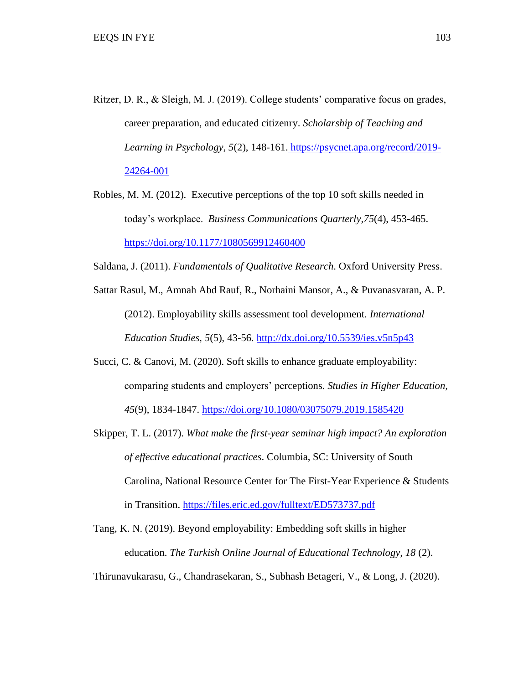- Ritzer, D. R., & Sleigh, M. J. (2019). College students' comparative focus on grades, career preparation, and educated citizenry. *Scholarship of Teaching and Learning in Psychology, 5*(2), 148-161. [https://psycnet.apa.org/record/2019-](https://psycnet.apa.org/record/2019-24264-001) [24264-001](https://psycnet.apa.org/record/2019-24264-001)
- Robles, M. M. (2012). Executive perceptions of the top 10 soft skills needed in today's workplace. *Business Communications Quarterly,75*(4), 453-465. <https://doi.org/10.1177/1080569912460400>
- Saldana, J. (2011). *Fundamentals of Qualitative Research*. Oxford University Press.
- Sattar Rasul, M., Amnah Abd Rauf, R., Norhaini Mansor, A., & Puvanasvaran, A. P. (2012). Employability skills assessment tool development. *International Education Studies, 5*(5), 43-56.<http://dx.doi.org/10.5539/ies.v5n5p43>
- Succi, C. & Canovi, M. (2020). Soft skills to enhance graduate employability: comparing students and employers' perceptions. *Studies in Higher Education, 45*(9), 1834-1847.<https://doi.org/10.1080/03075079.2019.1585420>
- Skipper, T. L. (2017). *What make the first-year seminar high impact? An exploration of effective educational practices*. Columbia, SC: University of South Carolina, National Resource Center for The First-Year Experience & Students in Transition.<https://files.eric.ed.gov/fulltext/ED573737.pdf>
- Tang, K. N. (2019). Beyond employability: Embedding soft skills in higher education. *The Turkish Online Journal of Educational Technology, 18* (2).

Thirunavukarasu, G., Chandrasekaran, S., Subhash Betageri, V., & Long, J. (2020).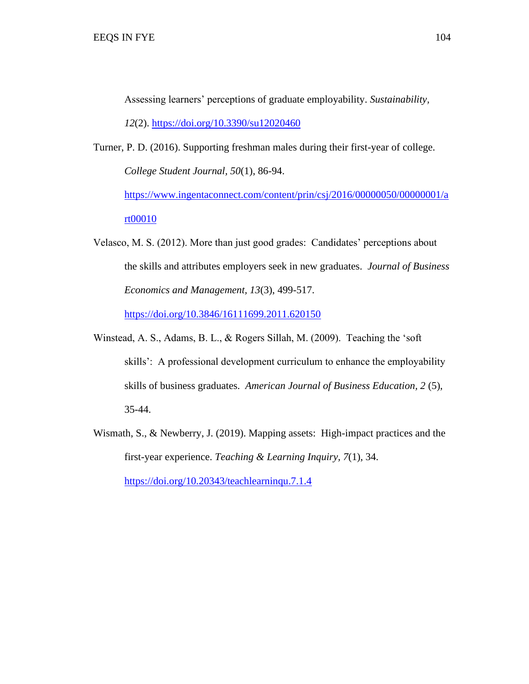Assessing learners' perceptions of graduate employability. *Sustainability,*

*12*(2).<https://doi.org/10.3390/su12020460>

- Turner, P. D. (2016). Supporting freshman males during their first-year of college. *College Student Journal, 50*(1), 86-94. [https://www.ingentaconnect.com/content/prin/csj/2016/00000050/00000001/a](https://www.ingentaconnect.com/content/prin/csj/2016/00000050/00000001/art00010) [rt00010](https://www.ingentaconnect.com/content/prin/csj/2016/00000050/00000001/art00010)
- Velasco, M. S. (2012). More than just good grades: Candidates' perceptions about the skills and attributes employers seek in new graduates. *Journal of Business Economics and Management, 13*(3), 499-517.

<https://doi.org/10.3846/16111699.2011.620150>

- Winstead, A. S., Adams, B. L., & Rogers Sillah, M. (2009). Teaching the 'soft skills': A professional development curriculum to enhance the employability skills of business graduates. *American Journal of Business Education, 2* (5), 35-44.
- Wismath, S., & Newberry, J. (2019). Mapping assets: High-impact practices and the first-year experience. *Teaching & Learning Inquiry, 7*(1), 34.

<https://doi.org/10.20343/teachlearninqu.7.1.4>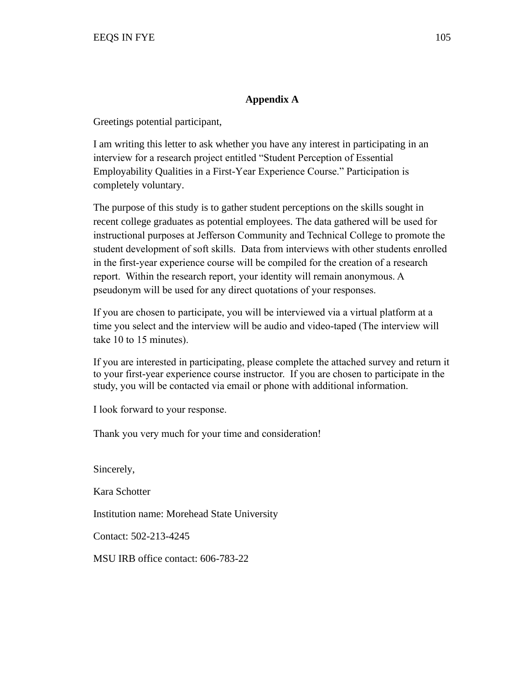# **Appendix A**

Greetings potential participant,

I am writing this letter to ask whether you have any interest in participating in an interview for a research project entitled "Student Perception of Essential Employability Qualities in a First-Year Experience Course." Participation is completely voluntary.

The purpose of this study is to gather student perceptions on the skills sought in recent college graduates as potential employees. The data gathered will be used for instructional purposes at Jefferson Community and Technical College to promote the student development of soft skills. Data from interviews with other students enrolled in the first-year experience course will be compiled for the creation of a research report. Within the research report, your identity will remain anonymous. A pseudonym will be used for any direct quotations of your responses.

If you are chosen to participate, you will be interviewed via a virtual platform at a time you select and the interview will be audio and video-taped (The interview will take 10 to 15 minutes).

If you are interested in participating, please complete the attached survey and return it to your first-year experience course instructor. If you are chosen to participate in the study, you will be contacted via email or phone with additional information.

I look forward to your response.

Thank you very much for your time and consideration!

Sincerely,

Kara Schotter

Institution name: Morehead State University

Contact: 502-213-4245

MSU IRB office contact: 606-783-22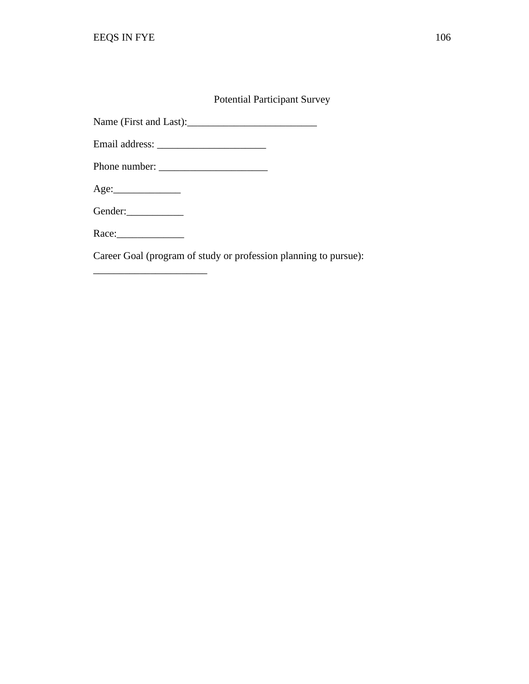# Potential Participant Survey

Name (First and Last):\_\_\_\_\_\_\_\_\_\_\_\_\_\_\_\_\_\_\_\_\_\_\_\_\_

| Email address: |  |
|----------------|--|
|----------------|--|

Phone number: \_\_\_\_\_\_\_\_\_\_\_\_\_\_\_\_\_\_\_\_\_

Age:\_\_\_\_\_\_\_\_\_\_\_\_\_

Gender:\_\_\_\_\_\_\_\_\_\_\_

Race:\_\_\_\_\_\_\_\_\_\_\_\_\_

\_\_\_\_\_\_\_\_\_\_\_\_\_\_\_\_\_\_\_\_\_\_

Career Goal (program of study or profession planning to pursue):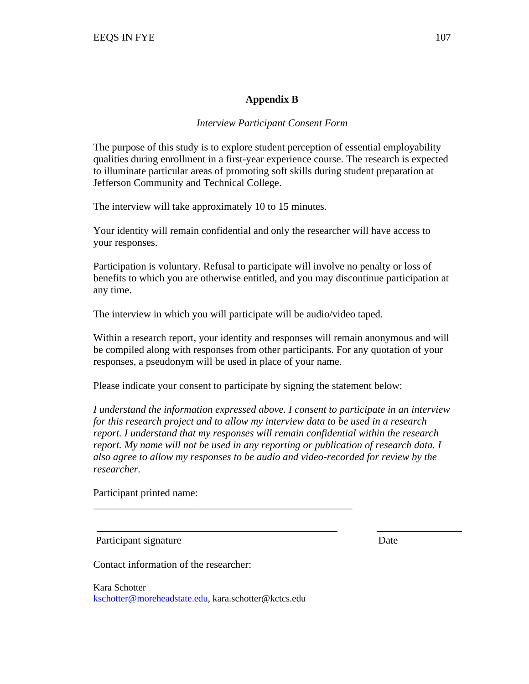# **Appendix B**

# *Interview Participant Consent Form*

The purpose of this study is to explore student perception of essential employability qualities during enrollment in a first-year experience course. The research is expected to illuminate particular areas of promoting soft skills during student preparation at Jefferson Community and Technical College.

The interview will take approximately 10 to 15 minutes.

Your identity will remain confidential and only the researcher will have access to your responses.

Participation is voluntary. Refusal to participate will involve no penalty or loss of benefits to which you are otherwise entitled, and you may discontinue participation at any time.

The interview in which you will participate will be audio/video taped.

Within a research report, your identity and responses will remain anonymous and will be compiled along with responses from other participants. For any quotation of your responses, a pseudonym will be used in place of your name.

Please indicate your consent to participate by signing the statement below:

*I understand the information expressed above. I consent to participate in an interview for this research project and to allow my interview data to be used in a research report. I understand that my responses will remain confidential within the research report. My name will not be used in any reporting or publication of research data. I also agree to allow my responses to be audio and video-recorded for review by the researcher.*

Participant printed name:

Participant signature Date

Contact information of the researcher:

Kara Schotter [kschotter@moreheadstate.edu,](mailto:kschotter@moreheadstate.edu) kara.schotter@kctcs.edu

\_\_\_\_\_\_\_\_\_\_\_\_\_\_\_\_\_\_\_\_\_\_\_\_\_\_\_\_\_\_\_\_\_\_\_\_\_\_\_\_\_\_\_\_\_\_\_\_\_\_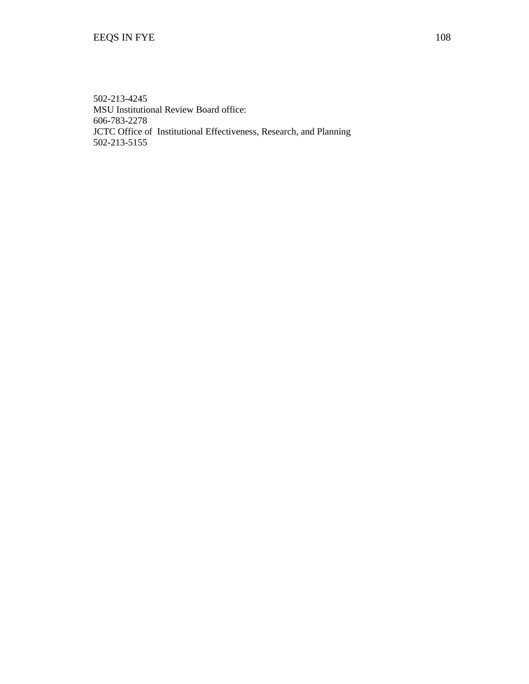502-213-4245 MSU Institutional Review Board office: 606-783-2278 JCTC Office of Institutional Effectiveness, Research, and Planning 502-213-5155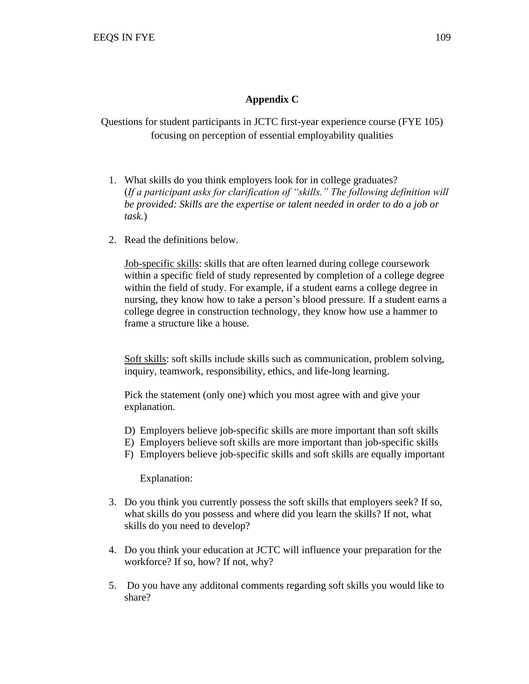## **Appendix C**

Questions for student participants in JCTC first-year experience course (FYE 105) focusing on perception of essential employability qualities

- 1. What skills do you think employers look for in college graduates? (*If a participant asks for clarification of "skills." The following definition will be provided: Skills are the expertise or talent needed in order to do a job or task.*)
- 2. Read the definitions below.

Job-specific skills: skills that are often learned during college coursework within a specific field of study represented by completion of a college degree within the field of study. For example, if a student earns a college degree in nursing, they know how to take a person's blood pressure. If a student earns a college degree in construction technology, they know how use a hammer to frame a structure like a house.

Soft skills: soft skills include skills such as communication, problem solving, inquiry, teamwork, responsibility, ethics, and life-long learning.

Pick the statement (only one) which you most agree with and give your explanation.

- D) Employers believe job-specific skills are more important than soft skills
- E) Employers believe soft skills are more important than job-specific skills
- F) Employers believe job-specific skills and soft skills are equally important

Explanation:

- 3. Do you think you currently possess the soft skills that employers seek? If so, what skills do you possess and where did you learn the skills? If not, what skills do you need to develop?
- 4. Do you think your education at JCTC will influence your preparation for the workforce? If so, how? If not, why?
- 5. Do you have any additonal comments regarding soft skills you would like to share?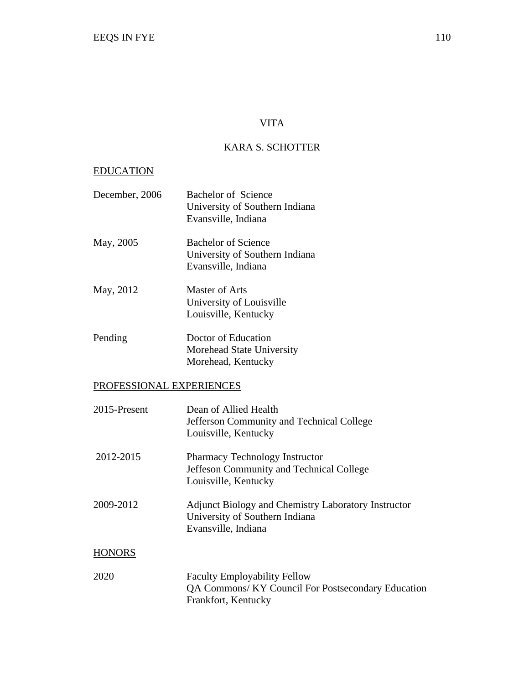## VITA

## KARA S. SCHOTTER

## EDUCATION

| December, 2006           | <b>Bachelor of Science</b><br>University of Southern Indiana<br>Evansville, Indiana                              |
|--------------------------|------------------------------------------------------------------------------------------------------------------|
| May, 2005                | <b>Bachelor of Science</b><br>University of Southern Indiana<br>Evansville, Indiana                              |
| May, 2012                | <b>Master of Arts</b><br>University of Louisville<br>Louisville, Kentucky                                        |
| Pending                  | Doctor of Education<br>Morehead State University<br>Morehead, Kentucky                                           |
| PROFESSIONAL EXPERIENCES |                                                                                                                  |
| 2015-Present             | Dean of Allied Health<br>Jefferson Community and Technical College<br>Louisville, Kentucky                       |
| 2012-2015                | <b>Pharmacy Technology Instructor</b><br>Jeffeson Community and Technical College<br>Louisville, Kentucky        |
| 2009-2012                | Adjunct Biology and Chemistry Laboratory Instructor<br>University of Southern Indiana<br>Evansville, Indiana     |
| <b>HONORS</b>            |                                                                                                                  |
| 2020                     | <b>Faculty Employability Fellow</b><br>QA Commons/ KY Council For Postsecondary Education<br>Frankfort, Kentucky |